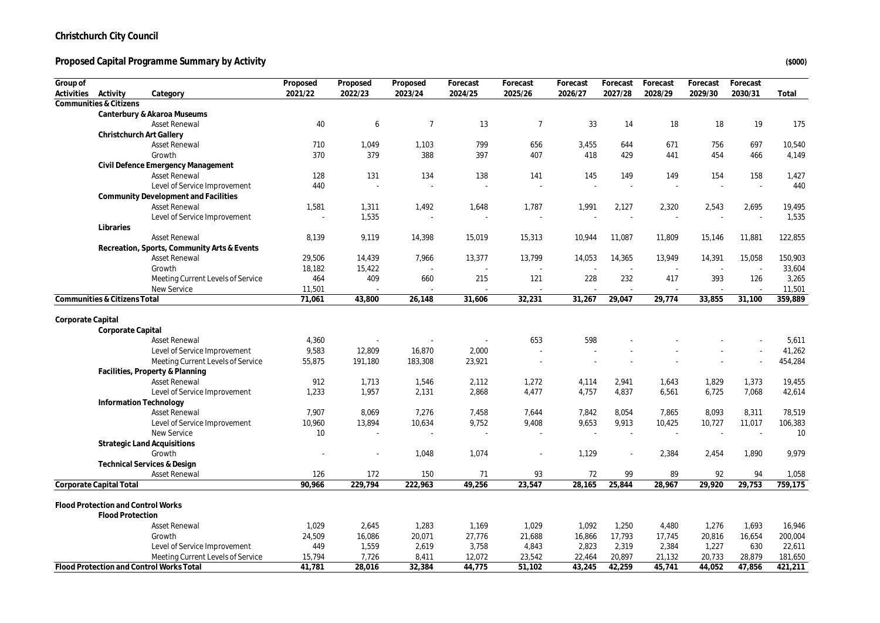#### Proposed Capital Programme Summary by Activity *(\$000)* (\$000)

| Group of          |                                    |                                             | Proposed | Proposed | Proposed        | Forecast | Forecast        | Forecast | Forecast | Forecast | Forecast | Forecast |         |
|-------------------|------------------------------------|---------------------------------------------|----------|----------|-----------------|----------|-----------------|----------|----------|----------|----------|----------|---------|
| Activities        | Activity                           | Category                                    | 2021/22  | 2022/23  | 2023/24         | 2024/25  | 2025/26         | 2026/27  | 2027/28  | 2028/29  | 2029/30  | 2030/31  | Total   |
|                   | Communities & Citizens             |                                             |          |          |                 |          |                 |          |          |          |          |          |         |
|                   |                                    | Canterbury & Akaroa Museums                 |          |          |                 |          |                 |          |          |          |          |          |         |
|                   |                                    | Asset Renewal                               | 40       | 6        | $7\overline{ }$ | 13       | $7\overline{ }$ | 33       | 14       | 18       | 18       | 19       | 175     |
|                   |                                    | Christchurch Art Gallery                    |          |          |                 |          |                 |          |          |          |          |          |         |
|                   |                                    | <b>Asset Renewal</b>                        | 710      | 1,049    | 1,103           | 799      | 656             | 3,455    | 644      | 671      | 756      | 697      | 10,540  |
|                   |                                    | Growth                                      | 370      | 379      | 388             | 397      | 407             | 418      | 429      | 441      | 454      | 466      | 4,149   |
|                   |                                    | Civil Defence Emergency Management          |          |          |                 |          |                 |          |          |          |          |          |         |
|                   |                                    | <b>Asset Renewal</b>                        | 128      | 131      | 134             | 138      | 141             | 145      | 149      | 149      | 154      | 158      | 1,427   |
|                   |                                    | Level of Service Improvement                | 440      |          |                 |          |                 |          |          |          |          | J.       | 440     |
|                   |                                    | Community Development and Facilities        |          |          |                 |          |                 |          |          |          |          |          |         |
|                   |                                    | <b>Asset Renewal</b>                        | 1,581    | 1,311    | 1,492           | 1,648    | 1,787           | 1,991    | 2,127    | 2,320    | 2,543    | 2,695    | 19,495  |
|                   |                                    | Level of Service Improvement                |          | 1,535    |                 |          |                 |          |          |          |          | ÷.       | 1,535   |
|                   | Libraries                          |                                             |          |          |                 |          |                 |          |          |          |          |          |         |
|                   |                                    | <b>Asset Renewal</b>                        | 8,139    | 9,119    | 14,398          | 15,019   | 15,313          | 10,944   | 11,087   | 11,809   | 15,146   | 11,881   | 122,855 |
|                   |                                    | Recreation, Sports, Community Arts & Events |          |          |                 |          |                 |          |          |          |          |          |         |
|                   |                                    | <b>Asset Renewal</b>                        | 29,506   | 14,439   | 7,966           | 13,377   | 13,799          | 14,053   | 14,365   | 13,949   | 14,391   | 15,058   | 150,903 |
|                   |                                    | Growth                                      | 18,182   | 15,422   |                 |          |                 |          |          |          |          |          | 33,604  |
|                   |                                    | Meeting Current Levels of Service           | 464      | 409      | 660             | 215      | 121             | 228      | 232      | 417      | 393      | 126      | 3,265   |
|                   |                                    | New Service                                 | 11,501   |          |                 |          |                 |          |          |          |          |          | 11,501  |
|                   | Communities & Citizens Total       |                                             | 71,061   | 43,800   | 26,148          | 31,606   | 32,231          | 31,267   | 29,047   | 29,774   | 33,855   | 31,100   | 359,889 |
|                   |                                    |                                             |          |          |                 |          |                 |          |          |          |          |          |         |
| Corporate Capital |                                    |                                             |          |          |                 |          |                 |          |          |          |          |          |         |
|                   | Corporate Capital                  |                                             |          |          |                 |          |                 |          |          |          |          |          |         |
|                   |                                    | <b>Asset Renewal</b>                        | 4,360    |          |                 |          | 653             | 598      |          |          |          |          | 5,611   |
|                   |                                    | Level of Service Improvement                | 9,583    | 12,809   | 16,870          | 2,000    |                 |          |          |          |          |          | 41,262  |
|                   |                                    | Meeting Current Levels of Service           | 55,875   | 191,180  | 183,308         | 23,921   |                 |          |          |          |          |          | 454,284 |
|                   |                                    | Facilities, Property & Planning             |          |          |                 |          |                 |          |          |          |          |          |         |
|                   |                                    | <b>Asset Renewal</b>                        | 912      | 1,713    | 1,546           | 2,112    | 1,272           | 4,114    | 2,941    | 1,643    | 1,829    | 1,373    | 19,455  |
|                   |                                    | Level of Service Improvement                | 1,233    | 1,957    | 2,131           | 2,868    | 4,477           | 4,757    | 4,837    | 6,561    | 6,725    | 7,068    | 42,614  |
|                   |                                    | Information Technology                      |          |          |                 |          |                 |          |          |          |          |          |         |
|                   |                                    | <b>Asset Renewal</b>                        | 7,907    | 8,069    | 7,276           | 7,458    | 7,644           | 7,842    | 8,054    | 7,865    | 8,093    | 8,311    | 78,519  |
|                   |                                    | Level of Service Improvement                | 10,960   | 13,894   | 10,634          | 9,752    | 9,408           | 9,653    | 9,913    | 10,425   | 10,727   | 11,017   | 106,383 |
|                   |                                    | New Service                                 | 10       |          |                 |          |                 |          |          |          |          | ٠.       | 10      |
|                   |                                    | <b>Strategic Land Acquisitions</b>          |          |          |                 |          |                 |          |          |          |          |          |         |
|                   |                                    | Growth                                      |          |          | 1,048           | 1,074    |                 | 1,129    |          | 2,384    | 2,454    | 1,890    | 9,979   |
|                   |                                    | <b>Technical Services &amp; Design</b>      |          |          |                 |          |                 |          |          |          |          |          |         |
|                   |                                    | <b>Asset Renewal</b>                        | 126      | 172      | 150             | 71       | 93              | 72       | 99       | 89       | 92       | 94       | 1,058   |
|                   | Corporate Capital Total            |                                             | 90,966   | 229,794  | 222,963         | 49,256   | 23,547          | 28,165   | 25,844   | 28,967   | 29,920   | 29,753   | 759,175 |
|                   |                                    |                                             |          |          |                 |          |                 |          |          |          |          |          |         |
|                   | Flood Protection and Control Works |                                             |          |          |                 |          |                 |          |          |          |          |          |         |
|                   | <b>Flood Protection</b>            |                                             |          |          |                 |          |                 |          |          |          |          |          |         |
|                   |                                    | <b>Asset Renewal</b>                        | 1,029    | 2,645    | 1,283           | 1,169    | 1,029           | 1,092    | 1,250    | 4,480    | 1,276    | 1,693    | 16,946  |
|                   |                                    | Growth                                      | 24,509   | 16,086   | 20,071          | 27,776   | 21,688          | 16,866   | 17,793   | 17,745   | 20,816   | 16,654   | 200,004 |
|                   |                                    | Level of Service Improvement                | 449      | 1,559    | 2,619           | 3,758    | 4,843           | 2,823    | 2,319    | 2,384    | 1,227    | 630      | 22,611  |
|                   |                                    | Meeting Current Levels of Service           | 15,794   | 7,726    | 8,411           | 12,072   | 23,542          | 22,464   | 20,897   | 21,132   | 20,733   | 28,879   | 181,650 |
|                   |                                    | Flood Protection and Control Works Total    | 41.781   | 28,016   | 32,384          | 44,775   | 51,102          | 43,245   | 42,259   | 45,741   | 44,052   | 47,856   | 421,211 |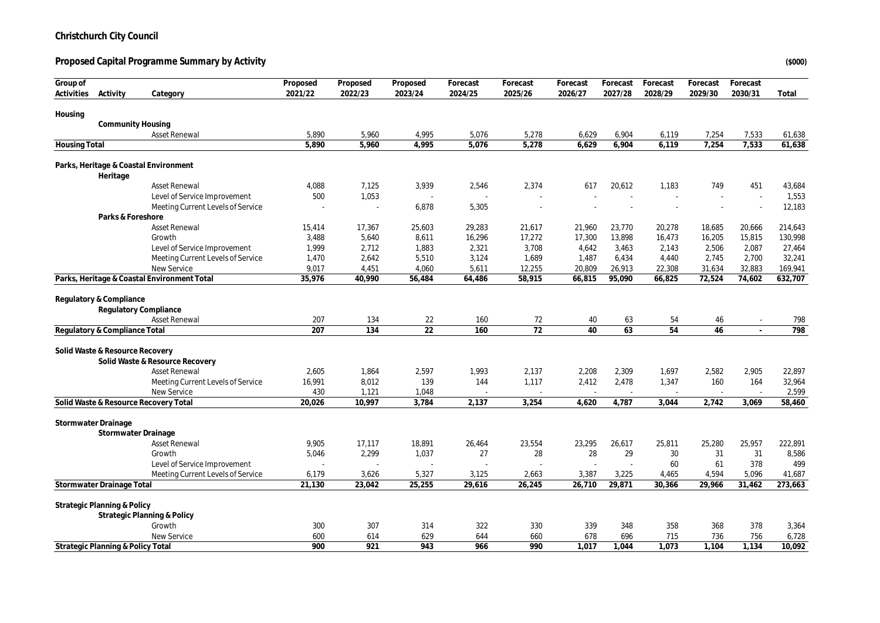**Proposed Capital Programme Summary by Activity (\$000)**

| Group of             |                                        |                                             | Proposed | Proposed | Proposed        | Forecast | Forecast | Forecast | Forecast | Forecast | Forecast | Forecast |         |
|----------------------|----------------------------------------|---------------------------------------------|----------|----------|-----------------|----------|----------|----------|----------|----------|----------|----------|---------|
| Activities           | Activity                               | Category                                    | 2021/22  | 2022/23  | 2023/24         | 2024/25  | 2025/26  | 2026/27  | 2027/28  | 2028/29  | 2029/30  | 2030/31  | Total   |
| Housing              |                                        |                                             |          |          |                 |          |          |          |          |          |          |          |         |
|                      | Community Housing                      |                                             |          |          |                 |          |          |          |          |          |          |          |         |
|                      |                                        | <b>Asset Renewal</b>                        | 5,890    | 5,960    | 4,995           | 5,076    | 5,278    | 6,629    | 6,904    | 6,119    | 7,254    | 7,533    | 61,638  |
| <b>Housing Total</b> |                                        |                                             | 5,890    | 5,960    | 4,995           | 5,076    | 5,278    | 6,629    | 6,904    | 6,119    | 7,254    | 7,533    | 61,638  |
|                      |                                        |                                             |          |          |                 |          |          |          |          |          |          |          |         |
|                      |                                        | Parks, Heritage & Coastal Environment       |          |          |                 |          |          |          |          |          |          |          |         |
|                      | Heritage                               |                                             |          |          |                 |          |          |          |          |          |          |          |         |
|                      |                                        | <b>Asset Renewal</b>                        | 4,088    | 7,125    | 3,939           | 2,546    | 2,374    | 617      | 20,612   | 1,183    | 749      | 451      | 43,684  |
|                      |                                        | Level of Service Improvement                | 500      | 1,053    |                 |          |          |          |          |          |          |          | 1,553   |
|                      |                                        | Meeting Current Levels of Service           |          | J.       | 6,878           | 5,305    |          |          |          |          |          |          | 12,183  |
|                      | Parks & Foreshore                      |                                             |          |          |                 |          |          |          |          |          |          |          |         |
|                      |                                        | <b>Asset Renewal</b>                        | 15,414   | 17,367   | 25,603          | 29,283   | 21,617   | 21,960   | 23,770   | 20,278   | 18,685   | 20,666   | 214,643 |
|                      |                                        | Growth                                      | 3,488    | 5,640    | 8,611           | 16,296   | 17,272   | 17,300   | 13,898   | 16,473   | 16,205   | 15,815   | 130,998 |
|                      |                                        | Level of Service Improvement                | 1,999    | 2,712    | 1,883           | 2,321    | 3,708    | 4,642    | 3,463    | 2,143    | 2,506    | 2,087    | 27,464  |
|                      |                                        | Meeting Current Levels of Service           | 1,470    | 2,642    | 5,510           | 3,124    | 1,689    | 1,487    | 6,434    | 4,440    | 2,745    | 2,700    | 32,241  |
|                      |                                        | New Service                                 | 9,017    | 4,451    | 4,060           | 5,611    | 12,255   | 20,809   | 26,913   | 22,308   | 31,634   | 32,883   | 169,941 |
|                      |                                        | Parks, Heritage & Coastal Environment Total | 35,976   | 40,990   | 56,484          | 64,486   | 58,915   | 66,815   | 95,090   | 66,825   | 72,524   | 74,602   | 632,707 |
|                      | Regulatory & Compliance                |                                             |          |          |                 |          |          |          |          |          |          |          |         |
|                      |                                        | Regulatory Compliance                       |          |          |                 |          |          |          |          |          |          |          |         |
|                      |                                        | <b>Asset Renewal</b>                        | 207      | 134      | 22              | 160      | 72       | 40       | 63       | 54       | 46       | $\sim$   | 798     |
|                      | Regulatory & Compliance Total          |                                             | 207      | 134      | $\overline{22}$ | 160      | 72       | 40       | 63       | 54       | 46       | $\sim$   | 798     |
|                      |                                        |                                             |          |          |                 |          |          |          |          |          |          |          |         |
|                      | Solid Waste & Resource Recovery        |                                             |          |          |                 |          |          |          |          |          |          |          |         |
|                      |                                        | Solid Waste & Resource Recovery             |          |          |                 |          |          |          |          |          |          |          |         |
|                      |                                        | <b>Asset Renewal</b>                        | 2,605    | 1,864    | 2,597           | 1,993    | 2,137    | 2,208    | 2,309    | 1,697    | 2,582    | 2,905    | 22,897  |
|                      |                                        | Meeting Current Levels of Service           | 16,991   | 8,012    | 139             | 144      | 1,117    | 2,412    | 2,478    | 1,347    | 160      | 164      | 32,964  |
|                      |                                        | New Service                                 | 430      | 1,121    | 1,048           |          |          |          |          |          |          |          | 2,599   |
|                      |                                        | Solid Waste & Resource Recovery Total       | 20.026   | 10,997   | 3,784           | 2,137    | 3,254    | 4,620    | 4,787    | 3,044    | 2,742    | 3.069    | 58,460  |
|                      |                                        |                                             |          |          |                 |          |          |          |          |          |          |          |         |
|                      | Stormwater Drainage                    |                                             |          |          |                 |          |          |          |          |          |          |          |         |
|                      |                                        | Stormwater Drainage                         |          |          |                 |          |          |          |          |          |          |          |         |
|                      |                                        | <b>Asset Renewal</b>                        | 9.905    | 17,117   | 18,891          | 26,464   | 23,554   | 23,295   | 26.617   | 25,811   | 25,280   | 25,957   | 222,891 |
|                      |                                        | Growth                                      | 5,046    | 2,299    | 1,037           | 27       | 28       | 28       | 29       | 30       | 31       | 31       | 8,586   |
|                      |                                        | Level of Service Improvement                |          |          |                 |          |          |          |          | 60       | 61       | 378      | 499     |
|                      |                                        | Meeting Current Levels of Service           | 6,179    | 3,626    | 5,327           | 3,125    | 2,663    | 3,387    | 3,225    | 4,465    | 4,594    | 5,096    | 41,687  |
|                      | Stormwater Drainage Total              |                                             | 21,130   | 23,042   | 25,255          | 29,616   | 26,245   | 26,710   | 29,871   | 30,366   | 29,966   | 31,462   | 273,663 |
|                      | <b>Strategic Planning &amp; Policy</b> |                                             |          |          |                 |          |          |          |          |          |          |          |         |
|                      |                                        | Strategic Planning & Policy                 |          |          |                 |          |          |          |          |          |          |          |         |
|                      |                                        | Growth                                      | 300      | 307      | 314             | 322      | 330      | 339      | 348      | 358      | 368      | 378      | 3,364   |
|                      |                                        | New Service                                 | 600      | 614      | 629             | 644      | 660      | 678      | 696      | 715      | 736      | 756      | 6,728   |
|                      | Strategic Planning & Policy Total      |                                             | 900      | 921      | 943             | 966      | 990      | 1.017    | 1.044    | 1.073    | 1.104    | 1.134    | 10,092  |
|                      |                                        |                                             |          |          |                 |          |          |          |          |          |          |          |         |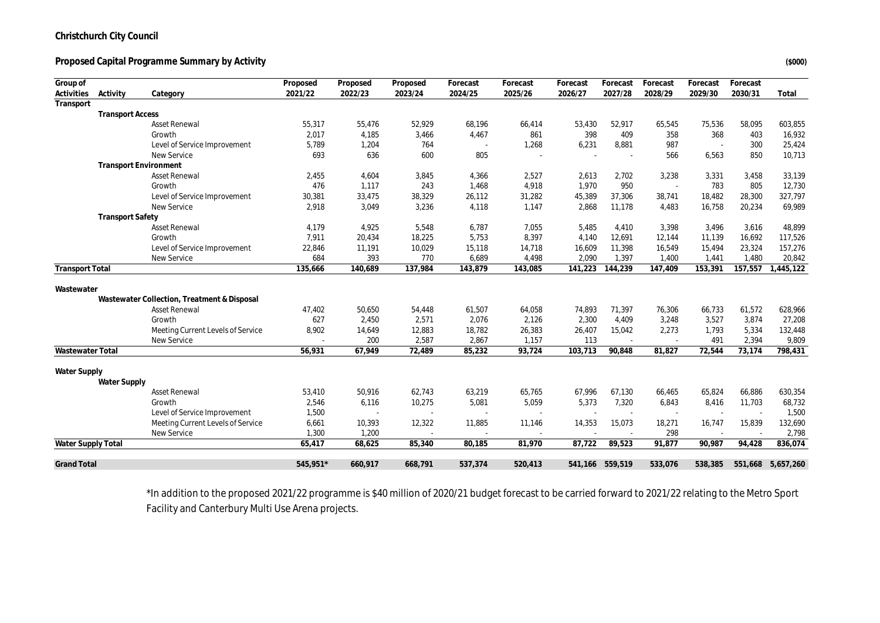#### Proposed Capital Programme Summary by Activity *(\$000)* (\$000)

| Group of               |                         |                                                  | Proposed        | Proposed        | Proposed | Forecast        | Forecast | Forecast | Forecast        | Forecast      | Forecast | Forecast |                  |
|------------------------|-------------------------|--------------------------------------------------|-----------------|-----------------|----------|-----------------|----------|----------|-----------------|---------------|----------|----------|------------------|
| Activities             | Activity                | Category                                         | 2021/22         | 2022/23         | 2023/24  | 2024/25         | 2025/26  | 2026/27  | 2027/28         | 2028/29       | 2029/30  | 2030/31  | Total            |
| Transport              |                         |                                                  |                 |                 |          |                 |          |          |                 |               |          |          |                  |
|                        | <b>Transport Access</b> |                                                  |                 |                 |          |                 |          |          |                 |               |          |          |                  |
|                        |                         | <b>Asset Renewal</b>                             | 55,317          | 55,476          | 52,929   | 68,196          | 66,414   | 53,430   | 52,917          | 65,545        | 75,536   | 58,095   | 603,855          |
|                        |                         | Growth                                           | 2,017           | 4,185           | 3,466    | 4,467           | 861      | 398      | 409             | 358           | 368      | 403      | 16,932           |
|                        |                         | Level of Service Improvement                     | 5,789           | 1,204           | 764      |                 | 1,268    | 6,231    | 8,881           | 987           |          | 300      | 25,424           |
|                        |                         | New Service                                      | 693             | 636             | 600      | 805             |          |          |                 | 566           | 6,563    | 850      | 10,713           |
|                        |                         | <b>Transport Environment</b>                     |                 |                 |          |                 |          |          |                 |               |          |          |                  |
|                        |                         | <b>Asset Renewal</b>                             | 2,455           | 4,604           | 3,845    | 4,366           | 2,527    | 2,613    | 2,702           | 3,238         | 3,331    | 3,458    | 33,139           |
|                        |                         | Growth                                           | 476             | 1,117           | 243      | 1,468           | 4,918    | 1,970    | 950             |               | 783      | 805      | 12,730           |
|                        |                         | Level of Service Improvement                     | 30,381          | 33,475          | 38,329   | 26,112          | 31,282   | 45,389   | 37,306          | 38,741        | 18,482   | 28,300   | 327,797          |
|                        |                         | New Service                                      | 2,918           | 3,049           | 3,236    | 4,118           | 1,147    | 2,868    | 11,178          | 4,483         | 16,758   | 20,234   | 69,989           |
|                        | <b>Transport Safety</b> |                                                  |                 |                 |          |                 |          |          |                 |               |          |          |                  |
|                        |                         | <b>Asset Renewal</b>                             | 4,179           | 4,925           | 5,548    | 6,787           | 7,055    | 5,485    | 4,410           | 3,398         | 3,496    | 3,616    | 48,899           |
|                        |                         | Growth                                           | 7,911           | 20,434          | 18,225   | 5,753           | 8,397    | 4,140    | 12,691          | 12,144        | 11,139   | 16,692   | 117,526          |
|                        |                         | Level of Service Improvement                     | 22,846          | 11,191          | 10,029   | 15,118          | 14,718   | 16,609   | 11,398          | 16,549        | 15,494   | 23,324   | 157,276          |
|                        |                         | New Service                                      | 684             | 393             | 770      | 6,689           | 4,498    | 2,090    | 1,397           | 1,400         | 1,441    | 1,480    | 20,842           |
| <b>Transport Total</b> |                         |                                                  | 135,666         | 140,689         | 137,984  | 143,879         | 143,085  | 141,223  | 144,239         | 147,409       | 153,391  | 157,557  | 1,445,122        |
|                        |                         |                                                  |                 |                 |          |                 |          |          |                 |               |          |          |                  |
| Wastewater             |                         |                                                  |                 |                 |          |                 |          |          |                 |               |          |          |                  |
|                        |                         | Wastewater Collection, Treatment & Disposal      |                 |                 |          |                 |          |          |                 |               |          |          |                  |
|                        |                         | <b>Asset Renewal</b>                             | 47,402          | 50,650          | 54,448   | 61,507          | 64,058   | 74,893   | 71,397          | 76,306        | 66,733   | 61,572   | 628,966          |
|                        |                         | Growth                                           | 627             | 2,450           | 2,571    | 2,076           | 2,126    | 2,300    | 4,409           | 3,248         | 3,527    | 3,874    | 27,208           |
|                        |                         | Meeting Current Levels of Service                | 8,902           | 14,649          | 12,883   | 18,782          | 26,383   | 26,407   | 15,042          | 2,273         | 1,793    | 5,334    | 132,448          |
|                        |                         | New Service                                      |                 | 200             | 2,587    | 2,867           | 1,157    | 113      | ×.              | $\sim$        | 491      | 2,394    | 9,809            |
| Wastewater Total       |                         |                                                  | 56,931          | 67,949          | 72,489   | 85,232          | 93,724   | 103,713  | 90,848          | 81,827        | 72,544   | 73,174   | 798,431          |
|                        |                         |                                                  |                 |                 |          |                 |          |          |                 |               |          |          |                  |
| Water Supply           |                         |                                                  |                 |                 |          |                 |          |          |                 |               |          |          |                  |
|                        | Water Supply            |                                                  |                 | 50,916          | 62,743   |                 |          | 67,996   | 67,130          |               | 65,824   | 66,886   |                  |
|                        |                         | <b>Asset Renewal</b><br>Growth                   | 53,410<br>2,546 | 6,116           |          | 63,219<br>5,081 | 65,765   |          |                 | 66,465        | 8,416    | 11,703   | 630,354          |
|                        |                         |                                                  |                 |                 | 10,275   |                 | 5,059    | 5,373    | 7,320           | 6,843         |          |          | 68,732           |
|                        |                         | Level of Service Improvement                     | 1,500           |                 | $\sim$   |                 |          |          |                 |               |          |          | 1,500            |
|                        |                         | Meeting Current Levels of Service<br>New Service | 6,661<br>1,300  | 10,393          | 12,322   | 11,885          | 11,146   | 14,353   | 15,073          | 18,271<br>298 | 16,747   | 15,839   | 132,690          |
|                        |                         |                                                  |                 | 1,200<br>68,625 | 85,340   |                 | 81,970   | 87,722   |                 |               | 90,987   | 94,428   | 2,798<br>836,074 |
| Water Supply Total     |                         |                                                  | 65,417          |                 |          | 80,185          |          |          | 89,523          | 91,877        |          |          |                  |
| <b>Grand Total</b>     |                         |                                                  | 545,951*        | 660,917         | 668,791  | 537,374         | 520,413  |          | 541,166 559,519 | 533,076       | 538,385  | 551,668  | 5,657,260        |

\*In addition to the proposed 2021/22 programme is \$40 million of 2020/21 budget forecast to be carried forward to 2021/22 relating to the Metro Sport Facility and Canterbury Multi Use Arena projects.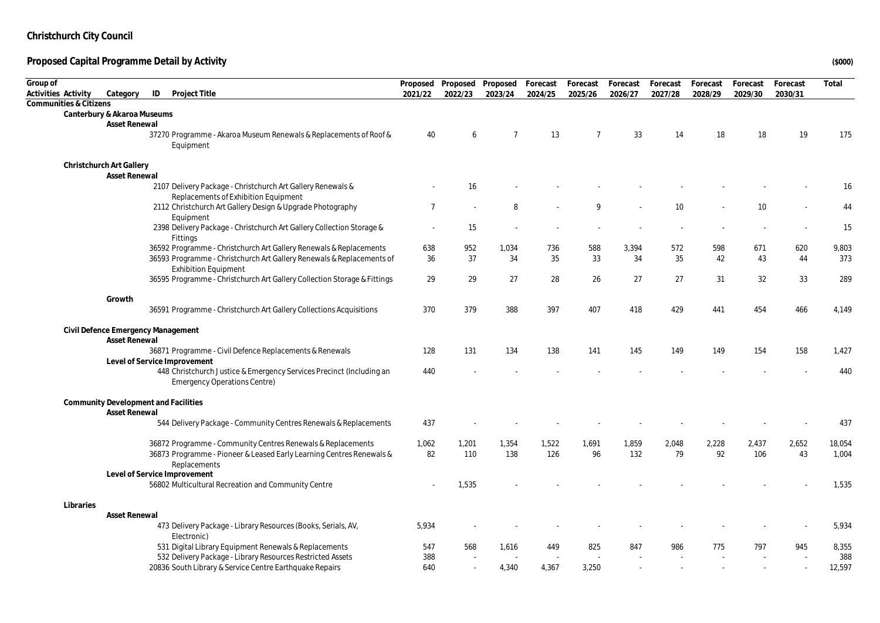| Group of<br>Activities Activity | Category                                         | ID<br>Project Title                                                                                                   | Proposed<br>2021/22 | Proposed<br>2022/23 | Proposed<br>2023/24 | Forecast<br>2024/25 | Forecast<br>2025/26 | Forecast<br>2026/27 | Forecast<br>2027/28 | Forecast<br>2028/29 | Forecast<br>2029/30 | Forecast<br>2030/31 | Total         |
|---------------------------------|--------------------------------------------------|-----------------------------------------------------------------------------------------------------------------------|---------------------|---------------------|---------------------|---------------------|---------------------|---------------------|---------------------|---------------------|---------------------|---------------------|---------------|
|                                 | Communities & Citizens                           |                                                                                                                       |                     |                     |                     |                     |                     |                     |                     |                     |                     |                     |               |
|                                 | Canterbury & Akaroa Museums                      |                                                                                                                       |                     |                     |                     |                     |                     |                     |                     |                     |                     |                     |               |
|                                 | Asset Renewal                                    |                                                                                                                       |                     |                     |                     |                     |                     |                     |                     |                     |                     |                     |               |
|                                 |                                                  | 37270 Programme - Akaroa Museum Renewals & Replacements of Roof &<br>Equipment                                        | 40                  | 6                   | $\overline{7}$      | 13                  | $\overline{7}$      | 33                  | 14                  | 18                  | 18                  | 19                  | 175           |
|                                 | Christchurch Art Gallery<br><b>Asset Renewal</b> |                                                                                                                       |                     |                     |                     |                     |                     |                     |                     |                     |                     |                     |               |
|                                 |                                                  | 2107 Delivery Package - Christchurch Art Gallery Renewals &<br>Replacements of Exhibition Equipment                   |                     | 16                  |                     |                     |                     |                     |                     |                     |                     |                     | 16            |
|                                 |                                                  | 2112 Christchurch Art Gallery Design & Upgrade Photography<br>Equipment                                               | $\overline{7}$      |                     | 8                   |                     | $\mathsf Q$         |                     | 10                  |                     | 10                  |                     | 44            |
|                                 |                                                  | 2398 Delivery Package - Christchurch Art Gallery Collection Storage &<br>Fittings                                     | $\sim$              | 15                  |                     |                     |                     |                     |                     |                     |                     |                     | 15            |
|                                 |                                                  | 36592 Programme - Christchurch Art Gallery Renewals & Replacements                                                    | 638                 | 952                 | 1,034               | 736                 | 588                 | 3,394               | 572                 | 598                 | 671                 | 620                 | 9,803         |
|                                 |                                                  | 36593 Programme - Christchurch Art Gallery Renewals & Replacements of<br><b>Exhibition Equipment</b>                  | 36                  | 37                  | 34                  | 35                  | 33                  | 34                  | 35                  | 42                  | 43                  | 44                  | 373           |
|                                 |                                                  | 36595 Programme - Christchurch Art Gallery Collection Storage & Fittings                                              | 29                  | 29                  | 27                  | 28                  | 26                  | 27                  | 27                  | 31                  | 32                  | 33                  | 289           |
|                                 | Growth                                           |                                                                                                                       |                     |                     |                     |                     |                     |                     |                     |                     |                     |                     |               |
|                                 |                                                  | 36591 Programme - Christchurch Art Gallery Collections Acquisitions                                                   | 370                 | 379                 | 388                 | 397                 | 407                 | 418                 | 429                 | 441                 | 454                 | 466                 | 4,149         |
|                                 | <b>Asset Renewal</b>                             | Civil Defence Emergency Management                                                                                    |                     |                     |                     |                     |                     |                     |                     |                     |                     |                     |               |
|                                 |                                                  | 36871 Programme - Civil Defence Replacements & Renewals<br>Level of Service Improvement                               | 128                 | 131                 | 134                 | 138                 | 141                 | 145                 | 149                 | 149                 | 154                 | 158                 | 1,427         |
|                                 |                                                  | 448 Christchurch Justice & Emergency Services Precinct (Including an<br><b>Emergency Operations Centre)</b>           | 440                 |                     |                     |                     |                     |                     |                     |                     |                     |                     | 440           |
|                                 | Asset Renewal                                    | Community Development and Facilities                                                                                  |                     |                     |                     |                     |                     |                     |                     |                     |                     |                     |               |
|                                 |                                                  | 544 Delivery Package - Community Centres Renewals & Replacements                                                      | 437                 |                     |                     |                     |                     |                     |                     |                     |                     |                     | 437           |
|                                 |                                                  | 36872 Programme - Community Centres Renewals & Replacements                                                           | 1,062               | 1,201               | 1,354               | 1,522               | 1,691               | 1,859               | 2,048               | 2,228               | 2,437               | 2,652               | 18,054        |
|                                 |                                                  | 36873 Programme - Pioneer & Leased Early Learning Centres Renewals &<br>Replacements                                  | 82                  | 110                 | 138                 | 126                 | 96                  | 132                 | 79                  | 92                  | 106                 | 43                  | 1,004         |
|                                 |                                                  | Level of Service Improvement                                                                                          |                     |                     |                     |                     |                     |                     |                     |                     |                     |                     |               |
|                                 |                                                  | 56802 Multicultural Recreation and Community Centre                                                                   |                     | 1,535               |                     |                     |                     |                     |                     |                     |                     |                     | 1,535         |
|                                 | Libraries                                        |                                                                                                                       |                     |                     |                     |                     |                     |                     |                     |                     |                     |                     |               |
|                                 | <b>Asset Renewal</b>                             |                                                                                                                       |                     |                     |                     |                     |                     |                     |                     |                     |                     |                     |               |
|                                 |                                                  | 473 Delivery Package - Library Resources (Books, Serials, AV,<br>Electronic)                                          | 5,934               |                     |                     |                     |                     |                     |                     |                     |                     |                     | 5,934         |
|                                 |                                                  | 531 Digital Library Equipment Renewals & Replacements                                                                 | 547                 | 568                 | 1,616               | 449                 | 825                 | 847                 | 986                 | 775                 | 797                 | 945                 | 8,355         |
|                                 |                                                  | 532 Delivery Package - Library Resources Restricted Assets<br>20836 South Library & Service Centre Earthquake Repairs | 388<br>640          |                     | 4,340               | 4,367               | 3,250               |                     |                     |                     |                     |                     | 388<br>12,597 |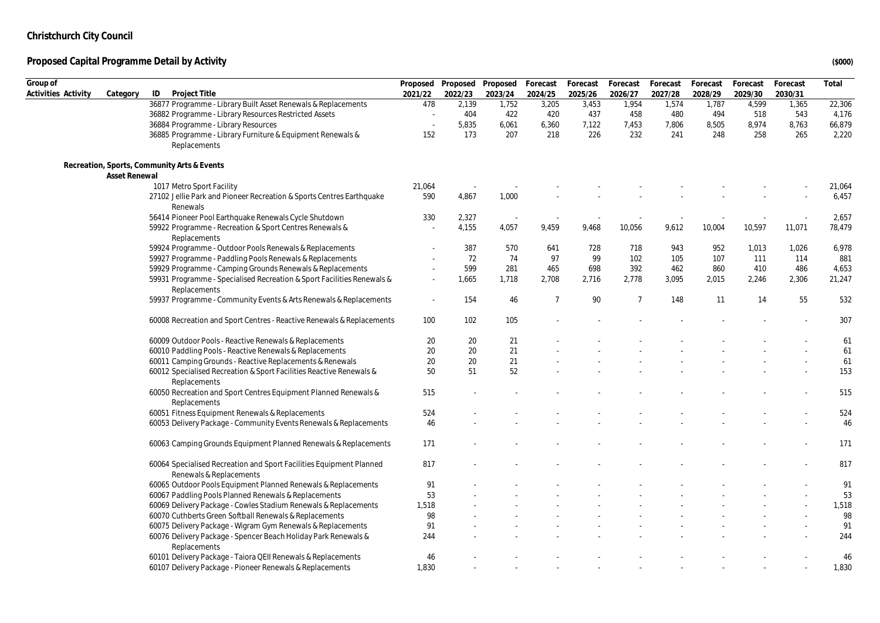| Group of            |               |                                                                                                |                          |                          | Proposed Proposed Proposed | Forecast       | Forecast | Forecast       | Forecast | Forecast | Forecast | Forecast | Total  |
|---------------------|---------------|------------------------------------------------------------------------------------------------|--------------------------|--------------------------|----------------------------|----------------|----------|----------------|----------|----------|----------|----------|--------|
| Activities Activity | Category      | Project Title<br>ID                                                                            | 2021/22                  | 2022/23                  | 2023/24                    | 2024/25        | 2025/26  | 2026/27        | 2027/28  | 2028/29  | 2029/30  | 2030/31  |        |
|                     |               | 36877 Programme - Library Built Asset Renewals & Replacements                                  | 478                      | 2,139                    | 1,752                      | 3,205          | 3,453    | 1,954          | 1,574    | 1,787    | 4,599    | 1,365    | 22,306 |
|                     |               | 36882 Programme - Library Resources Restricted Assets                                          |                          | 404                      | 422                        | 420            | 437      | 458            | 480      | 494      | 518      | 543      | 4,176  |
|                     |               | 36884 Programme - Library Resources                                                            |                          | 5,835                    | 6,061                      | 6,360          | 7,122    | 7,453          | 7,806    | 8,505    | 8,974    | 8,763    | 66,879 |
|                     |               | 36885 Programme - Library Furniture & Equipment Renewals &                                     | 152                      | 173                      | 207                        | 218            | 226      | 232            | 241      | 248      | 258      | 265      | 2,220  |
|                     |               | Replacements                                                                                   |                          |                          |                            |                |          |                |          |          |          |          |        |
|                     | Asset Renewal | Recreation, Sports, Community Arts & Events                                                    |                          |                          |                            |                |          |                |          |          |          |          |        |
|                     |               | 1017 Metro Sport Facility                                                                      | 21,064                   | $\overline{\phantom{a}}$ |                            |                |          |                |          |          |          |          | 21,064 |
|                     |               | 27102 Jellie Park and Pioneer Recreation & Sports Centres Earthquake<br>Renewals               | 590                      | 4,867                    | 1,000                      |                |          |                |          |          |          |          | 6,457  |
|                     |               | 56414 Pioneer Pool Earthquake Renewals Cycle Shutdown                                          | 330                      | 2,327                    | $\sim$                     |                |          |                |          |          |          |          | 2,657  |
|                     |               | 59922 Programme - Recreation & Sport Centres Renewals &<br>Replacements                        |                          | 4,155                    | 4,057                      | 9,459          | 9,468    | 10,056         | 9,612    | 10,004   | 10,597   | 11,071   | 78,479 |
|                     |               | 59924 Programme - Outdoor Pools Renewals & Replacements                                        |                          | 387                      | 570                        | 641            | 728      | 718            | 943      | 952      | 1,013    | 1,026    | 6,978  |
|                     |               | 59927 Programme - Paddling Pools Renewals & Replacements                                       |                          | 72                       | 74                         | 97             | 99       | 102            | 105      | 107      | 111      | 114      | 881    |
|                     |               | 59929 Programme - Camping Grounds Renewals & Replacements                                      |                          | 599                      | 281                        | 465            | 698      | 392            | 462      | 860      | 410      | 486      | 4,653  |
|                     |               | 59931 Programme - Specialised Recreation & Sport Facilities Renewals &<br>Replacements         | $\overline{\phantom{a}}$ | 1,665                    | 1,718                      | 2,708          | 2,716    | 2,778          | 3,095    | 2,015    | 2,246    | 2,306    | 21,247 |
|                     |               | 59937 Programme - Community Events & Arts Renewals & Replacements                              | $\overline{\phantom{a}}$ | 154                      | 46                         | $\overline{7}$ | 90       | $\overline{7}$ | 148      | 11       | 14       | 55       | 532    |
|                     |               | 60008 Recreation and Sport Centres - Reactive Renewals & Replacements                          | 100                      | 102                      | 105                        |                |          |                |          |          |          |          | 307    |
|                     |               | 60009 Outdoor Pools - Reactive Renewals & Replacements                                         | 20                       | 20                       | 21                         |                |          |                |          |          |          |          | 61     |
|                     |               | 60010 Paddling Pools - Reactive Renewals & Replacements                                        | 20                       | 20                       | 21                         |                |          |                |          |          |          |          | 61     |
|                     |               | 60011 Camping Grounds - Reactive Replacements & Renewals                                       | 20                       | 20                       | 21                         |                |          |                |          |          |          |          | 61     |
|                     |               | 60012 Specialised Recreation & Sport Facilities Reactive Renewals &<br>Replacements            | 50                       | 51                       | 52                         |                |          |                |          |          |          |          | 153    |
|                     |               | 60050 Recreation and Sport Centres Equipment Planned Renewals &<br>Replacements                | 515                      |                          |                            |                |          |                |          |          |          |          | 515    |
|                     |               | 60051 Fitness Equipment Renewals & Replacements                                                | 524                      |                          |                            |                |          |                |          |          |          |          | 524    |
|                     |               | 60053 Delivery Package - Community Events Renewals & Replacements                              | 46                       |                          |                            |                |          |                |          |          |          |          | 46     |
|                     |               | 60063 Camping Grounds Equipment Planned Renewals & Replacements                                | 171                      |                          |                            |                |          |                |          |          |          |          | 171    |
|                     |               | 60064 Specialised Recreation and Sport Facilities Equipment Planned<br>Renewals & Replacements | 817                      |                          |                            |                |          |                |          |          |          |          | 817    |
|                     |               | 60065 Outdoor Pools Equipment Planned Renewals & Replacements                                  | 91                       |                          |                            |                |          |                |          |          |          |          | 91     |
|                     |               | 60067 Paddling Pools Planned Renewals & Replacements                                           | 53                       |                          |                            |                |          |                |          |          |          |          | 53     |
|                     |               | 60069 Delivery Package - Cowles Stadium Renewals & Replacements                                | 1,518                    |                          |                            |                |          |                |          |          |          |          | 1,518  |
|                     |               | 60070 Cuthberts Green Softball Renewals & Replacements                                         | 98                       |                          |                            |                |          |                |          |          |          |          | 98     |
|                     |               | 60075 Delivery Package - Wigram Gym Renewals & Replacements                                    | 91                       |                          |                            |                |          |                |          |          |          |          | 91     |
|                     |               | 60076 Delivery Package - Spencer Beach Holiday Park Renewals &                                 | 244                      |                          |                            |                |          |                |          |          |          |          | 244    |
|                     |               | Replacements                                                                                   |                          |                          |                            |                |          |                |          |          |          |          |        |
|                     |               | 60101 Delivery Package - Taiora QEII Renewals & Replacements                                   | 46                       |                          |                            |                |          |                |          |          |          |          | 46     |
|                     |               | 60107 Delivery Package - Pioneer Renewals & Replacements                                       | 1,830                    |                          |                            |                |          |                |          |          |          |          | 1,830  |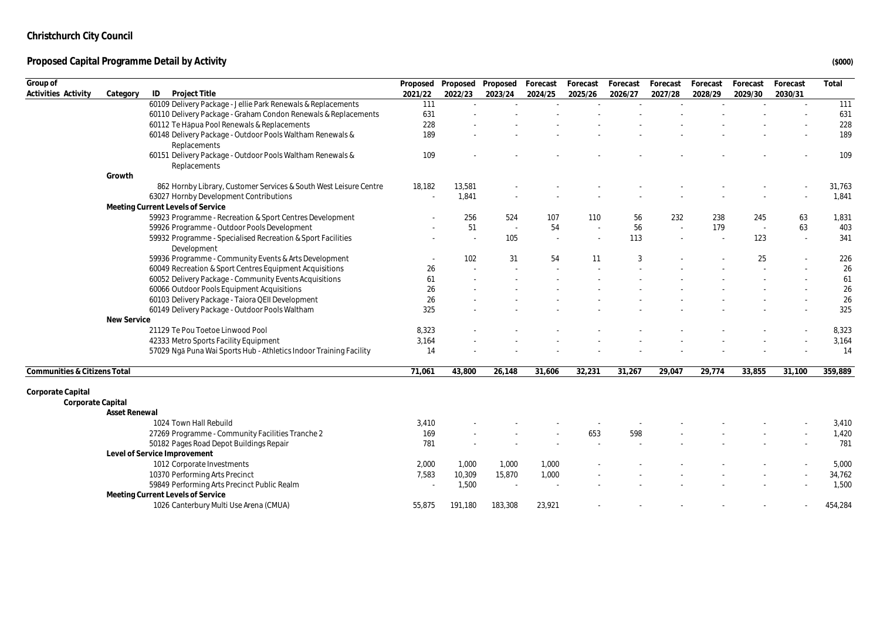| ID<br>Project Title<br>Activities Activity<br>Category<br>2021/22<br>2022/23<br>2023/24<br>2024/25<br>2025/26<br>2026/27<br>2027/28<br>2028/29<br>2029/30<br>2030/31<br>60109 Delivery Package - Jellie Park Renewals & Replacements<br>111<br>111<br>60110 Delivery Package - Graham Condon Renewals & Replacements<br>631<br>631<br>228<br>60112 Te Hāpua Pool Renewals & Replacements<br>228<br>189<br>60148 Delivery Package - Outdoor Pools Waltham Renewals &<br>189<br>Replacements<br>60151 Delivery Package - Outdoor Pools Waltham Renewals &<br>109<br>109<br>Replacements<br>Growth<br>862 Hornby Library, Customer Services & South West Leisure Centre<br>18,182<br>13,581<br>31,763<br>63027 Hornby Development Contributions<br>1,841<br>1,841<br>Meeting Current Levels of Service<br>59923 Programme - Recreation & Sport Centres Development<br>256<br>524<br>107<br>232<br>238<br>245<br>63<br>1,831<br>110<br>56<br>59926 Programme - Outdoor Pools Development<br>51<br>54<br>56<br>179<br>63<br>403<br>$\sim$<br>59932 Programme - Specialised Recreation & Sport Facilities<br>105<br>113<br>123<br>341<br>Development<br>59936 Programme - Community Events & Arts Development<br>25<br>102<br>31<br>54<br>11<br>3<br>226<br>26<br>60049 Recreation & Sport Centres Equipment Acquisitions<br>26<br>60052 Delivery Package - Community Events Acquisitions<br>61<br>61<br>60066 Outdoor Pools Equipment Acquisitions<br>26<br>26<br>60103 Delivery Package - Taiora QEII Development<br>26<br>26<br>325<br>60149 Delivery Package - Outdoor Pools Waltham<br>325<br>New Service<br>21129 Te Pou Toetoe Linwood Pool<br>8,323<br>8,323<br>42333 Metro Sports Facility Equipment<br>3,164<br>3,164<br>14<br>57029 Ngā Puna Wai Sports Hub - Athletics Indoor Training Facility<br>14<br>Communities & Citizens Total<br>71,061<br>43,800<br>31,606<br>32,231<br>31,267<br>29,774<br>33,855<br>359,889<br>26,148<br>29,047<br>31,100<br>Corporate Capital<br>Corporate Capital<br><b>Asset Renewal</b><br>1024 Town Hall Rebuild<br>3,410<br>3,410<br>27269 Programme - Community Facilities Tranche 2<br>169<br>653<br>598<br>1,420<br>50182 Pages Road Depot Buildings Repair<br>781<br>781<br>Level of Service Improvement<br>1012 Corporate Investments<br>2,000<br>1,000<br>5,000<br>1,000<br>1,000<br>10,309<br>10370 Performing Arts Precinct<br>7,583<br>15,870<br>1,000<br>34,762<br>59849 Performing Arts Precinct Public Realm<br>1,500<br>1,500<br>Meeting Current Levels of Service | Group of |                                        | Proposed | Proposed | Proposed | Forecast | Forecast | Forecast | Forecast | Forecast | Forecast | Forecast | Total   |
|------------------------------------------------------------------------------------------------------------------------------------------------------------------------------------------------------------------------------------------------------------------------------------------------------------------------------------------------------------------------------------------------------------------------------------------------------------------------------------------------------------------------------------------------------------------------------------------------------------------------------------------------------------------------------------------------------------------------------------------------------------------------------------------------------------------------------------------------------------------------------------------------------------------------------------------------------------------------------------------------------------------------------------------------------------------------------------------------------------------------------------------------------------------------------------------------------------------------------------------------------------------------------------------------------------------------------------------------------------------------------------------------------------------------------------------------------------------------------------------------------------------------------------------------------------------------------------------------------------------------------------------------------------------------------------------------------------------------------------------------------------------------------------------------------------------------------------------------------------------------------------------------------------------------------------------------------------------------------------------------------------------------------------------------------------------------------------------------------------------------------------------------------------------------------------------------------------------------------------------------------------------------------------------------------------------------------------------------------------------------------------------------------------------------------------------------------------------------------------------------------------------------|----------|----------------------------------------|----------|----------|----------|----------|----------|----------|----------|----------|----------|----------|---------|
|                                                                                                                                                                                                                                                                                                                                                                                                                                                                                                                                                                                                                                                                                                                                                                                                                                                                                                                                                                                                                                                                                                                                                                                                                                                                                                                                                                                                                                                                                                                                                                                                                                                                                                                                                                                                                                                                                                                                                                                                                                                                                                                                                                                                                                                                                                                                                                                                                                                                                                                        |          |                                        |          |          |          |          |          |          |          |          |          |          |         |
|                                                                                                                                                                                                                                                                                                                                                                                                                                                                                                                                                                                                                                                                                                                                                                                                                                                                                                                                                                                                                                                                                                                                                                                                                                                                                                                                                                                                                                                                                                                                                                                                                                                                                                                                                                                                                                                                                                                                                                                                                                                                                                                                                                                                                                                                                                                                                                                                                                                                                                                        |          |                                        |          |          |          |          |          |          |          |          |          |          |         |
|                                                                                                                                                                                                                                                                                                                                                                                                                                                                                                                                                                                                                                                                                                                                                                                                                                                                                                                                                                                                                                                                                                                                                                                                                                                                                                                                                                                                                                                                                                                                                                                                                                                                                                                                                                                                                                                                                                                                                                                                                                                                                                                                                                                                                                                                                                                                                                                                                                                                                                                        |          |                                        |          |          |          |          |          |          |          |          |          |          |         |
|                                                                                                                                                                                                                                                                                                                                                                                                                                                                                                                                                                                                                                                                                                                                                                                                                                                                                                                                                                                                                                                                                                                                                                                                                                                                                                                                                                                                                                                                                                                                                                                                                                                                                                                                                                                                                                                                                                                                                                                                                                                                                                                                                                                                                                                                                                                                                                                                                                                                                                                        |          |                                        |          |          |          |          |          |          |          |          |          |          |         |
|                                                                                                                                                                                                                                                                                                                                                                                                                                                                                                                                                                                                                                                                                                                                                                                                                                                                                                                                                                                                                                                                                                                                                                                                                                                                                                                                                                                                                                                                                                                                                                                                                                                                                                                                                                                                                                                                                                                                                                                                                                                                                                                                                                                                                                                                                                                                                                                                                                                                                                                        |          |                                        |          |          |          |          |          |          |          |          |          |          |         |
|                                                                                                                                                                                                                                                                                                                                                                                                                                                                                                                                                                                                                                                                                                                                                                                                                                                                                                                                                                                                                                                                                                                                                                                                                                                                                                                                                                                                                                                                                                                                                                                                                                                                                                                                                                                                                                                                                                                                                                                                                                                                                                                                                                                                                                                                                                                                                                                                                                                                                                                        |          |                                        |          |          |          |          |          |          |          |          |          |          |         |
|                                                                                                                                                                                                                                                                                                                                                                                                                                                                                                                                                                                                                                                                                                                                                                                                                                                                                                                                                                                                                                                                                                                                                                                                                                                                                                                                                                                                                                                                                                                                                                                                                                                                                                                                                                                                                                                                                                                                                                                                                                                                                                                                                                                                                                                                                                                                                                                                                                                                                                                        |          |                                        |          |          |          |          |          |          |          |          |          |          |         |
|                                                                                                                                                                                                                                                                                                                                                                                                                                                                                                                                                                                                                                                                                                                                                                                                                                                                                                                                                                                                                                                                                                                                                                                                                                                                                                                                                                                                                                                                                                                                                                                                                                                                                                                                                                                                                                                                                                                                                                                                                                                                                                                                                                                                                                                                                                                                                                                                                                                                                                                        |          |                                        |          |          |          |          |          |          |          |          |          |          |         |
|                                                                                                                                                                                                                                                                                                                                                                                                                                                                                                                                                                                                                                                                                                                                                                                                                                                                                                                                                                                                                                                                                                                                                                                                                                                                                                                                                                                                                                                                                                                                                                                                                                                                                                                                                                                                                                                                                                                                                                                                                                                                                                                                                                                                                                                                                                                                                                                                                                                                                                                        |          |                                        |          |          |          |          |          |          |          |          |          |          |         |
|                                                                                                                                                                                                                                                                                                                                                                                                                                                                                                                                                                                                                                                                                                                                                                                                                                                                                                                                                                                                                                                                                                                                                                                                                                                                                                                                                                                                                                                                                                                                                                                                                                                                                                                                                                                                                                                                                                                                                                                                                                                                                                                                                                                                                                                                                                                                                                                                                                                                                                                        |          |                                        |          |          |          |          |          |          |          |          |          |          |         |
|                                                                                                                                                                                                                                                                                                                                                                                                                                                                                                                                                                                                                                                                                                                                                                                                                                                                                                                                                                                                                                                                                                                                                                                                                                                                                                                                                                                                                                                                                                                                                                                                                                                                                                                                                                                                                                                                                                                                                                                                                                                                                                                                                                                                                                                                                                                                                                                                                                                                                                                        |          |                                        |          |          |          |          |          |          |          |          |          |          |         |
|                                                                                                                                                                                                                                                                                                                                                                                                                                                                                                                                                                                                                                                                                                                                                                                                                                                                                                                                                                                                                                                                                                                                                                                                                                                                                                                                                                                                                                                                                                                                                                                                                                                                                                                                                                                                                                                                                                                                                                                                                                                                                                                                                                                                                                                                                                                                                                                                                                                                                                                        |          |                                        |          |          |          |          |          |          |          |          |          |          |         |
|                                                                                                                                                                                                                                                                                                                                                                                                                                                                                                                                                                                                                                                                                                                                                                                                                                                                                                                                                                                                                                                                                                                                                                                                                                                                                                                                                                                                                                                                                                                                                                                                                                                                                                                                                                                                                                                                                                                                                                                                                                                                                                                                                                                                                                                                                                                                                                                                                                                                                                                        |          |                                        |          |          |          |          |          |          |          |          |          |          |         |
|                                                                                                                                                                                                                                                                                                                                                                                                                                                                                                                                                                                                                                                                                                                                                                                                                                                                                                                                                                                                                                                                                                                                                                                                                                                                                                                                                                                                                                                                                                                                                                                                                                                                                                                                                                                                                                                                                                                                                                                                                                                                                                                                                                                                                                                                                                                                                                                                                                                                                                                        |          |                                        |          |          |          |          |          |          |          |          |          |          |         |
|                                                                                                                                                                                                                                                                                                                                                                                                                                                                                                                                                                                                                                                                                                                                                                                                                                                                                                                                                                                                                                                                                                                                                                                                                                                                                                                                                                                                                                                                                                                                                                                                                                                                                                                                                                                                                                                                                                                                                                                                                                                                                                                                                                                                                                                                                                                                                                                                                                                                                                                        |          |                                        |          |          |          |          |          |          |          |          |          |          |         |
|                                                                                                                                                                                                                                                                                                                                                                                                                                                                                                                                                                                                                                                                                                                                                                                                                                                                                                                                                                                                                                                                                                                                                                                                                                                                                                                                                                                                                                                                                                                                                                                                                                                                                                                                                                                                                                                                                                                                                                                                                                                                                                                                                                                                                                                                                                                                                                                                                                                                                                                        |          |                                        |          |          |          |          |          |          |          |          |          |          |         |
|                                                                                                                                                                                                                                                                                                                                                                                                                                                                                                                                                                                                                                                                                                                                                                                                                                                                                                                                                                                                                                                                                                                                                                                                                                                                                                                                                                                                                                                                                                                                                                                                                                                                                                                                                                                                                                                                                                                                                                                                                                                                                                                                                                                                                                                                                                                                                                                                                                                                                                                        |          |                                        |          |          |          |          |          |          |          |          |          |          |         |
|                                                                                                                                                                                                                                                                                                                                                                                                                                                                                                                                                                                                                                                                                                                                                                                                                                                                                                                                                                                                                                                                                                                                                                                                                                                                                                                                                                                                                                                                                                                                                                                                                                                                                                                                                                                                                                                                                                                                                                                                                                                                                                                                                                                                                                                                                                                                                                                                                                                                                                                        |          |                                        |          |          |          |          |          |          |          |          |          |          |         |
|                                                                                                                                                                                                                                                                                                                                                                                                                                                                                                                                                                                                                                                                                                                                                                                                                                                                                                                                                                                                                                                                                                                                                                                                                                                                                                                                                                                                                                                                                                                                                                                                                                                                                                                                                                                                                                                                                                                                                                                                                                                                                                                                                                                                                                                                                                                                                                                                                                                                                                                        |          |                                        |          |          |          |          |          |          |          |          |          |          |         |
|                                                                                                                                                                                                                                                                                                                                                                                                                                                                                                                                                                                                                                                                                                                                                                                                                                                                                                                                                                                                                                                                                                                                                                                                                                                                                                                                                                                                                                                                                                                                                                                                                                                                                                                                                                                                                                                                                                                                                                                                                                                                                                                                                                                                                                                                                                                                                                                                                                                                                                                        |          |                                        |          |          |          |          |          |          |          |          |          |          |         |
|                                                                                                                                                                                                                                                                                                                                                                                                                                                                                                                                                                                                                                                                                                                                                                                                                                                                                                                                                                                                                                                                                                                                                                                                                                                                                                                                                                                                                                                                                                                                                                                                                                                                                                                                                                                                                                                                                                                                                                                                                                                                                                                                                                                                                                                                                                                                                                                                                                                                                                                        |          |                                        |          |          |          |          |          |          |          |          |          |          |         |
|                                                                                                                                                                                                                                                                                                                                                                                                                                                                                                                                                                                                                                                                                                                                                                                                                                                                                                                                                                                                                                                                                                                                                                                                                                                                                                                                                                                                                                                                                                                                                                                                                                                                                                                                                                                                                                                                                                                                                                                                                                                                                                                                                                                                                                                                                                                                                                                                                                                                                                                        |          |                                        |          |          |          |          |          |          |          |          |          |          |         |
|                                                                                                                                                                                                                                                                                                                                                                                                                                                                                                                                                                                                                                                                                                                                                                                                                                                                                                                                                                                                                                                                                                                                                                                                                                                                                                                                                                                                                                                                                                                                                                                                                                                                                                                                                                                                                                                                                                                                                                                                                                                                                                                                                                                                                                                                                                                                                                                                                                                                                                                        |          |                                        |          |          |          |          |          |          |          |          |          |          |         |
|                                                                                                                                                                                                                                                                                                                                                                                                                                                                                                                                                                                                                                                                                                                                                                                                                                                                                                                                                                                                                                                                                                                                                                                                                                                                                                                                                                                                                                                                                                                                                                                                                                                                                                                                                                                                                                                                                                                                                                                                                                                                                                                                                                                                                                                                                                                                                                                                                                                                                                                        |          |                                        |          |          |          |          |          |          |          |          |          |          |         |
|                                                                                                                                                                                                                                                                                                                                                                                                                                                                                                                                                                                                                                                                                                                                                                                                                                                                                                                                                                                                                                                                                                                                                                                                                                                                                                                                                                                                                                                                                                                                                                                                                                                                                                                                                                                                                                                                                                                                                                                                                                                                                                                                                                                                                                                                                                                                                                                                                                                                                                                        |          |                                        |          |          |          |          |          |          |          |          |          |          |         |
|                                                                                                                                                                                                                                                                                                                                                                                                                                                                                                                                                                                                                                                                                                                                                                                                                                                                                                                                                                                                                                                                                                                                                                                                                                                                                                                                                                                                                                                                                                                                                                                                                                                                                                                                                                                                                                                                                                                                                                                                                                                                                                                                                                                                                                                                                                                                                                                                                                                                                                                        |          |                                        |          |          |          |          |          |          |          |          |          |          |         |
|                                                                                                                                                                                                                                                                                                                                                                                                                                                                                                                                                                                                                                                                                                                                                                                                                                                                                                                                                                                                                                                                                                                                                                                                                                                                                                                                                                                                                                                                                                                                                                                                                                                                                                                                                                                                                                                                                                                                                                                                                                                                                                                                                                                                                                                                                                                                                                                                                                                                                                                        |          |                                        |          |          |          |          |          |          |          |          |          |          |         |
|                                                                                                                                                                                                                                                                                                                                                                                                                                                                                                                                                                                                                                                                                                                                                                                                                                                                                                                                                                                                                                                                                                                                                                                                                                                                                                                                                                                                                                                                                                                                                                                                                                                                                                                                                                                                                                                                                                                                                                                                                                                                                                                                                                                                                                                                                                                                                                                                                                                                                                                        |          |                                        |          |          |          |          |          |          |          |          |          |          |         |
|                                                                                                                                                                                                                                                                                                                                                                                                                                                                                                                                                                                                                                                                                                                                                                                                                                                                                                                                                                                                                                                                                                                                                                                                                                                                                                                                                                                                                                                                                                                                                                                                                                                                                                                                                                                                                                                                                                                                                                                                                                                                                                                                                                                                                                                                                                                                                                                                                                                                                                                        |          |                                        |          |          |          |          |          |          |          |          |          |          |         |
|                                                                                                                                                                                                                                                                                                                                                                                                                                                                                                                                                                                                                                                                                                                                                                                                                                                                                                                                                                                                                                                                                                                                                                                                                                                                                                                                                                                                                                                                                                                                                                                                                                                                                                                                                                                                                                                                                                                                                                                                                                                                                                                                                                                                                                                                                                                                                                                                                                                                                                                        |          |                                        |          |          |          |          |          |          |          |          |          |          |         |
|                                                                                                                                                                                                                                                                                                                                                                                                                                                                                                                                                                                                                                                                                                                                                                                                                                                                                                                                                                                                                                                                                                                                                                                                                                                                                                                                                                                                                                                                                                                                                                                                                                                                                                                                                                                                                                                                                                                                                                                                                                                                                                                                                                                                                                                                                                                                                                                                                                                                                                                        |          |                                        |          |          |          |          |          |          |          |          |          |          |         |
|                                                                                                                                                                                                                                                                                                                                                                                                                                                                                                                                                                                                                                                                                                                                                                                                                                                                                                                                                                                                                                                                                                                                                                                                                                                                                                                                                                                                                                                                                                                                                                                                                                                                                                                                                                                                                                                                                                                                                                                                                                                                                                                                                                                                                                                                                                                                                                                                                                                                                                                        |          |                                        |          |          |          |          |          |          |          |          |          |          |         |
|                                                                                                                                                                                                                                                                                                                                                                                                                                                                                                                                                                                                                                                                                                                                                                                                                                                                                                                                                                                                                                                                                                                                                                                                                                                                                                                                                                                                                                                                                                                                                                                                                                                                                                                                                                                                                                                                                                                                                                                                                                                                                                                                                                                                                                                                                                                                                                                                                                                                                                                        |          |                                        |          |          |          |          |          |          |          |          |          |          |         |
|                                                                                                                                                                                                                                                                                                                                                                                                                                                                                                                                                                                                                                                                                                                                                                                                                                                                                                                                                                                                                                                                                                                                                                                                                                                                                                                                                                                                                                                                                                                                                                                                                                                                                                                                                                                                                                                                                                                                                                                                                                                                                                                                                                                                                                                                                                                                                                                                                                                                                                                        |          |                                        |          |          |          |          |          |          |          |          |          |          |         |
|                                                                                                                                                                                                                                                                                                                                                                                                                                                                                                                                                                                                                                                                                                                                                                                                                                                                                                                                                                                                                                                                                                                                                                                                                                                                                                                                                                                                                                                                                                                                                                                                                                                                                                                                                                                                                                                                                                                                                                                                                                                                                                                                                                                                                                                                                                                                                                                                                                                                                                                        |          |                                        |          |          |          |          |          |          |          |          |          |          |         |
|                                                                                                                                                                                                                                                                                                                                                                                                                                                                                                                                                                                                                                                                                                                                                                                                                                                                                                                                                                                                                                                                                                                                                                                                                                                                                                                                                                                                                                                                                                                                                                                                                                                                                                                                                                                                                                                                                                                                                                                                                                                                                                                                                                                                                                                                                                                                                                                                                                                                                                                        |          |                                        |          |          |          |          |          |          |          |          |          |          |         |
|                                                                                                                                                                                                                                                                                                                                                                                                                                                                                                                                                                                                                                                                                                                                                                                                                                                                                                                                                                                                                                                                                                                                                                                                                                                                                                                                                                                                                                                                                                                                                                                                                                                                                                                                                                                                                                                                                                                                                                                                                                                                                                                                                                                                                                                                                                                                                                                                                                                                                                                        |          |                                        |          |          |          |          |          |          |          |          |          |          |         |
|                                                                                                                                                                                                                                                                                                                                                                                                                                                                                                                                                                                                                                                                                                                                                                                                                                                                                                                                                                                                                                                                                                                                                                                                                                                                                                                                                                                                                                                                                                                                                                                                                                                                                                                                                                                                                                                                                                                                                                                                                                                                                                                                                                                                                                                                                                                                                                                                                                                                                                                        |          |                                        |          |          |          |          |          |          |          |          |          |          |         |
|                                                                                                                                                                                                                                                                                                                                                                                                                                                                                                                                                                                                                                                                                                                                                                                                                                                                                                                                                                                                                                                                                                                                                                                                                                                                                                                                                                                                                                                                                                                                                                                                                                                                                                                                                                                                                                                                                                                                                                                                                                                                                                                                                                                                                                                                                                                                                                                                                                                                                                                        |          | 1026 Canterbury Multi Use Arena (CMUA) | 55,875   | 191,180  | 183,308  | 23,921   |          |          |          |          |          |          | 454,284 |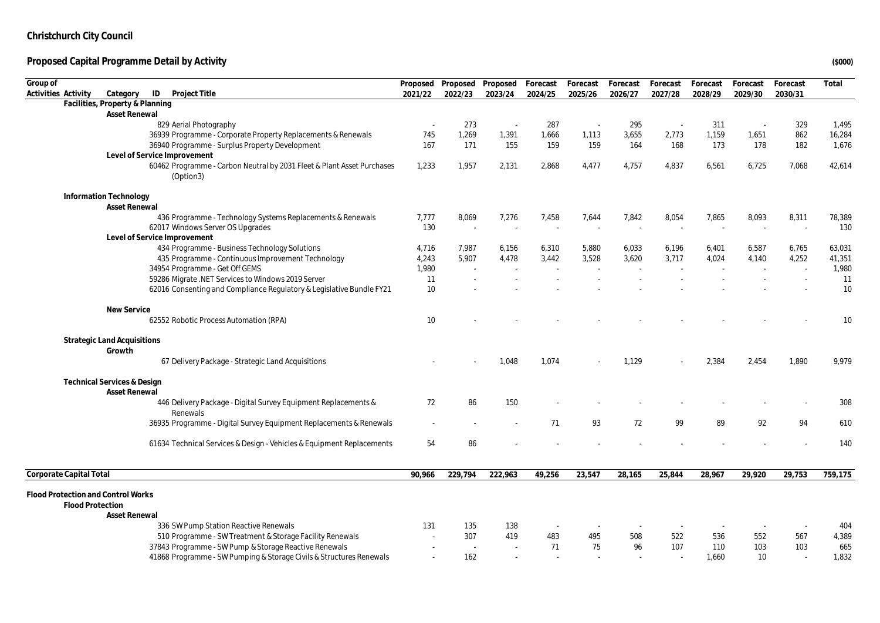| Group of                           |                                                                                        | Proposed | Proposed | Proposed Forecast |         | Forecast | Forecast | Forecast | Forecast | Forecast | Forecast | Total   |
|------------------------------------|----------------------------------------------------------------------------------------|----------|----------|-------------------|---------|----------|----------|----------|----------|----------|----------|---------|
| Activities Activity                | ID<br>Project Title<br>Category                                                        | 2021/22  | 2022/23  | 2023/24           | 2024/25 | 2025/26  | 2026/27  | 2027/28  | 2028/29  | 2029/30  | 2030/31  |         |
|                                    | Facilities, Property & Planning                                                        |          |          |                   |         |          |          |          |          |          |          |         |
|                                    | Asset Renewal                                                                          |          |          |                   |         |          |          |          |          |          |          |         |
|                                    | 829 Aerial Photography                                                                 |          | 273      | $\sim$            | 287     |          | 295      |          | 311      |          | 329      | 1,495   |
|                                    | 36939 Programme - Corporate Property Replacements & Renewals                           | 745      | 1,269    | 1,391             | 1,666   | 1,113    | 3,655    | 2,773    | 1,159    | 1,651    | 862      | 16,284  |
|                                    | 36940 Programme - Surplus Property Development                                         | 167      | 171      | 155               | 159     | 159      | 164      | 168      | 173      | 178      | 182      | 1,676   |
|                                    | Level of Service Improvement                                                           |          |          |                   |         |          |          |          |          |          |          |         |
|                                    | 60462 Programme - Carbon Neutral by 2031 Fleet & Plant Asset Purchases<br>(Option3)    | 1,233    | 1,957    | 2,131             | 2,868   | 4,477    | 4,757    | 4,837    | 6,561    | 6,725    | 7,068    | 42,614  |
|                                    | Information Technology                                                                 |          |          |                   |         |          |          |          |          |          |          |         |
|                                    | <b>Asset Renewal</b>                                                                   |          |          |                   |         |          |          |          |          |          |          |         |
|                                    | 436 Programme - Technology Systems Replacements & Renewals                             | 7,777    | 8,069    | 7,276             | 7,458   | 7,644    | 7,842    | 8,054    | 7,865    | 8,093    | 8,311    | 78,389  |
|                                    | 62017 Windows Server OS Upgrades<br>Level of Service Improvement                       | 130      | $\sim$   | $\sim$            | $\sim$  |          | $\sim$   |          |          |          | $\sim$   | 130     |
|                                    | 434 Programme - Business Technology Solutions                                          | 4,716    | 7,987    | 6,156             | 6,310   | 5,880    | 6,033    | 6,196    | 6,401    | 6,587    | 6,765    | 63,031  |
|                                    | 435 Programme - Continuous Improvement Technology                                      | 4,243    | 5,907    | 4,478             | 3,442   | 3,528    | 3,620    | 3,717    | 4,024    | 4,140    | 4,252    | 41,351  |
|                                    | 34954 Programme - Get Off GEMS                                                         | 1,980    |          |                   |         |          |          |          |          |          | $\sim$   | 1,980   |
|                                    | 59286 Migrate .NET Services to Windows 2019 Server                                     | 11       |          |                   |         |          |          |          |          |          |          | 11      |
|                                    | 62016 Consenting and Compliance Regulatory & Legislative Bundle FY21                   | 10       |          |                   |         |          |          |          |          |          |          | 10      |
|                                    | New Service                                                                            |          |          |                   |         |          |          |          |          |          |          |         |
|                                    | 62552 Robotic Process Automation (RPA)                                                 | 10       |          |                   |         |          |          |          |          |          |          | 10      |
|                                    | <b>Strategic Land Acquisitions</b>                                                     |          |          |                   |         |          |          |          |          |          |          |         |
|                                    | Growth                                                                                 |          |          |                   |         |          |          |          |          |          |          |         |
|                                    | 67 Delivery Package - Strategic Land Acquisitions                                      |          |          | 1.048             | 1.074   |          | 1.129    |          | 2,384    | 2,454    | 1.890    | 9,979   |
|                                    | <b>Technical Services &amp; Design</b>                                                 |          |          |                   |         |          |          |          |          |          |          |         |
|                                    | <b>Asset Renewal</b><br>446 Delivery Package - Digital Survey Equipment Replacements & | 72       | 86       | 150               |         |          |          |          |          |          |          | 308     |
|                                    | Renewals                                                                               |          |          |                   |         |          |          |          |          |          |          |         |
|                                    | 36935 Programme - Digital Survey Equipment Replacements & Renewals                     |          |          |                   | 71      | 93       | 72       | 99       | 89       | 92       | 94       | 610     |
|                                    | 61634 Technical Services & Design - Vehicles & Equipment Replacements                  | 54       | 86       |                   |         |          |          |          |          |          |          | 140     |
| Corporate Capital Total            |                                                                                        | 90,966   | 229,794  | 222,963           | 49,256  | 23,547   | 28,165   | 25,844   | 28,967   | 29,920   | 29,753   | 759,175 |
| Flood Protection and Control Works |                                                                                        |          |          |                   |         |          |          |          |          |          |          |         |
| <b>Flood Protection</b>            |                                                                                        |          |          |                   |         |          |          |          |          |          |          |         |
|                                    | <b>Asset Renewal</b>                                                                   |          |          |                   |         |          |          |          |          |          |          |         |
|                                    | 336 SW Pump Station Reactive Renewals                                                  | 131      | 135      | 138               |         |          |          |          |          |          |          | 404     |
|                                    | 510 Programme - SW Treatment & Storage Facility Renewals                               |          | 307      | 419               | 483     | 495      | 508      | 522      | 536      | 552      | 567      | 4,389   |
|                                    | 37843 Programme - SW Pump & Storage Reactive Renewals                                  |          | $\sim$   |                   | 71      | 75       | 96       | 107      | 110      | 103      | 103      | 665     |
|                                    | 41868 Programme - SW Pumping & Storage Civils & Structures Renewals                    |          | 162      |                   |         |          |          |          | 1,660    | 10       | $\sim$   | 1,832   |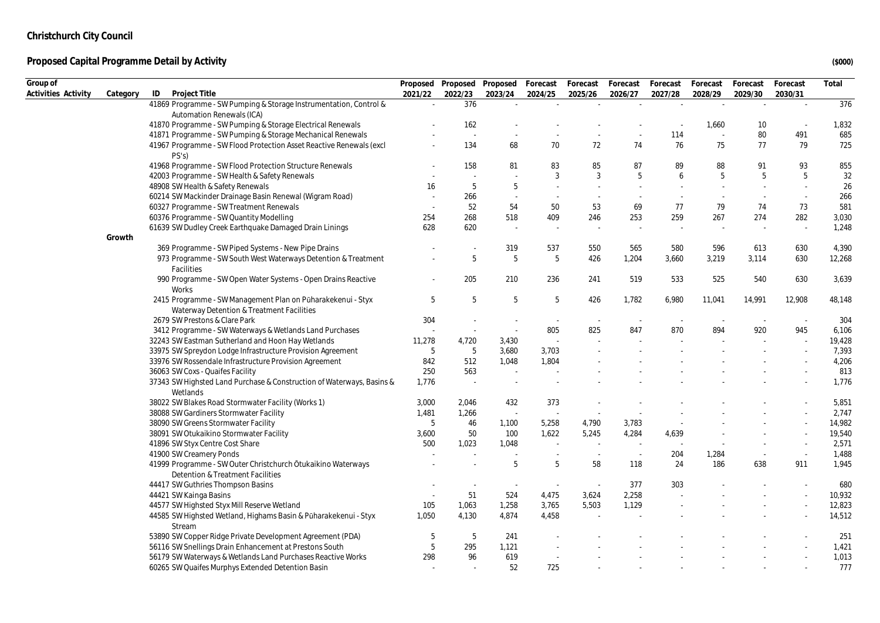| Group of<br>Proposed Proposed Proposed Forecast<br>Forecast<br>Forecast<br>Forecast<br>Forecast<br>Forecast<br>Forecast<br>Activities Activity<br>ID<br>2029/30<br>Category<br>Project Title<br>2021/22<br>2022/23<br>2023/24<br>2024/25<br>2025/26<br>2026/27<br>2027/28<br>2028/29<br>2030/31<br>41869 Programme - SW Pumping & Storage Instrumentation, Control &<br>376<br>$\sim$<br>$\mathcal{L}$<br>$\sim$<br>$\sim$<br>Automation Renewals (ICA)<br>162<br>41870 Programme - SW Pumping & Storage Electrical Renewals<br>1,660<br>10<br>80<br>491<br>41871 Programme - SW Pumping & Storage Mechanical Renewals<br>114<br>$\sim$<br>$\sim$<br>77<br>134<br>68<br>70<br>72<br>74<br>76<br>75<br>79<br>41967 Programme - SW Flood Protection Asset Reactive Renewals (excl<br>PS's<br>88<br>41968 Programme - SW Flood Protection Structure Renewals<br>158<br>81<br>83<br>85<br>87<br>89<br>91<br>93 | Total<br>376<br>1,832<br>685<br>725<br>855<br>32<br>26<br>266<br>581<br>3,030<br>1,248 |
|------------------------------------------------------------------------------------------------------------------------------------------------------------------------------------------------------------------------------------------------------------------------------------------------------------------------------------------------------------------------------------------------------------------------------------------------------------------------------------------------------------------------------------------------------------------------------------------------------------------------------------------------------------------------------------------------------------------------------------------------------------------------------------------------------------------------------------------------------------------------------------------------------------|----------------------------------------------------------------------------------------|
|                                                                                                                                                                                                                                                                                                                                                                                                                                                                                                                                                                                                                                                                                                                                                                                                                                                                                                            |                                                                                        |
|                                                                                                                                                                                                                                                                                                                                                                                                                                                                                                                                                                                                                                                                                                                                                                                                                                                                                                            |                                                                                        |
|                                                                                                                                                                                                                                                                                                                                                                                                                                                                                                                                                                                                                                                                                                                                                                                                                                                                                                            |                                                                                        |
|                                                                                                                                                                                                                                                                                                                                                                                                                                                                                                                                                                                                                                                                                                                                                                                                                                                                                                            |                                                                                        |
|                                                                                                                                                                                                                                                                                                                                                                                                                                                                                                                                                                                                                                                                                                                                                                                                                                                                                                            |                                                                                        |
|                                                                                                                                                                                                                                                                                                                                                                                                                                                                                                                                                                                                                                                                                                                                                                                                                                                                                                            |                                                                                        |
|                                                                                                                                                                                                                                                                                                                                                                                                                                                                                                                                                                                                                                                                                                                                                                                                                                                                                                            |                                                                                        |
|                                                                                                                                                                                                                                                                                                                                                                                                                                                                                                                                                                                                                                                                                                                                                                                                                                                                                                            |                                                                                        |
| 42003 Programme - SW Health & Safety Renewals<br>3<br>3<br>5<br>5<br>5<br>5<br>6                                                                                                                                                                                                                                                                                                                                                                                                                                                                                                                                                                                                                                                                                                                                                                                                                           |                                                                                        |
| 5<br>5<br>48908 SW Health & Safety Renewals<br>16<br>÷.<br>$\sim$<br>$\sim$                                                                                                                                                                                                                                                                                                                                                                                                                                                                                                                                                                                                                                                                                                                                                                                                                                |                                                                                        |
| 60214 SW Mackinder Drainage Basin Renewal (Wigram Road)<br>266<br>$\sim$<br>$\sim$<br>÷.<br>$\sim$<br>$\sim$<br>$\sim$                                                                                                                                                                                                                                                                                                                                                                                                                                                                                                                                                                                                                                                                                                                                                                                     |                                                                                        |
| 52<br>54<br>50<br>60327 Programme - SW Treatment Renewals<br>53<br>69<br>77<br>79<br>74<br>73                                                                                                                                                                                                                                                                                                                                                                                                                                                                                                                                                                                                                                                                                                                                                                                                              |                                                                                        |
| 274<br>60376 Programme - SW Quantity Modelling<br>254<br>268<br>518<br>409<br>246<br>253<br>259<br>267<br>282                                                                                                                                                                                                                                                                                                                                                                                                                                                                                                                                                                                                                                                                                                                                                                                              |                                                                                        |
| 620<br>61639 SW Dudley Creek Earthquake Damaged Drain Linings<br>628<br>$\sim$<br>÷,<br>$\overline{\phantom{a}}$                                                                                                                                                                                                                                                                                                                                                                                                                                                                                                                                                                                                                                                                                                                                                                                           |                                                                                        |
| Growth                                                                                                                                                                                                                                                                                                                                                                                                                                                                                                                                                                                                                                                                                                                                                                                                                                                                                                     |                                                                                        |
| 319<br>613<br>369 Programme - SW Piped Systems - New Pipe Drains<br>537<br>550<br>565<br>580<br>596<br>630                                                                                                                                                                                                                                                                                                                                                                                                                                                                                                                                                                                                                                                                                                                                                                                                 | 4,390                                                                                  |
| 5<br>5<br>5<br>973 Programme - SW South West Waterways Detention & Treatment<br>426<br>1,204<br>3,660<br>3,219<br>3,114<br>630<br><b>Facilities</b>                                                                                                                                                                                                                                                                                                                                                                                                                                                                                                                                                                                                                                                                                                                                                        | 12,268                                                                                 |
| 205<br>210<br>236<br>519<br>533<br>525<br>540<br>630<br>990 Programme - SW Open Water Systems - Open Drains Reactive<br>241<br>Works                                                                                                                                                                                                                                                                                                                                                                                                                                                                                                                                                                                                                                                                                                                                                                       | 3,639                                                                                  |
| 2415 Programme - SW Management Plan on Pūharakekenui - Styx<br>5<br>5<br>5<br>5<br>426<br>1,782<br>6,980<br>11,041<br>14,991<br>12,908<br>Waterway Detention & Treatment Facilities                                                                                                                                                                                                                                                                                                                                                                                                                                                                                                                                                                                                                                                                                                                        | 48,148                                                                                 |
| 2679 SW Prestons & Clare Park<br>304<br>$\overline{\phantom{a}}$<br>$\sim$                                                                                                                                                                                                                                                                                                                                                                                                                                                                                                                                                                                                                                                                                                                                                                                                                                 | 304                                                                                    |
| 825<br>847<br>870<br>894<br>920<br>945<br>3412 Programme - SW Waterways & Wetlands Land Purchases<br>805<br>$\sim$<br>$\sim$                                                                                                                                                                                                                                                                                                                                                                                                                                                                                                                                                                                                                                                                                                                                                                               | 6,106                                                                                  |
| 32243 SW Eastman Sutherland and Hoon Hay Wetlands<br>11,278<br>4,720<br>3,430                                                                                                                                                                                                                                                                                                                                                                                                                                                                                                                                                                                                                                                                                                                                                                                                                              | 19,428                                                                                 |
| 33975 SW Spreydon Lodge Infrastructure Provision Agreement<br>5<br>5<br>3,680<br>3,703                                                                                                                                                                                                                                                                                                                                                                                                                                                                                                                                                                                                                                                                                                                                                                                                                     | 7,393                                                                                  |
| 512<br>33976 SW Rossendale Infrastructure Provision Agreement<br>842<br>1,048<br>1,804                                                                                                                                                                                                                                                                                                                                                                                                                                                                                                                                                                                                                                                                                                                                                                                                                     | 4,206                                                                                  |
| 250<br>563<br>36063 SW Coxs - Quaifes Facility                                                                                                                                                                                                                                                                                                                                                                                                                                                                                                                                                                                                                                                                                                                                                                                                                                                             | 813                                                                                    |
| 37343 SW Highsted Land Purchase & Construction of Waterways, Basins &<br>1,776<br>$\sim$                                                                                                                                                                                                                                                                                                                                                                                                                                                                                                                                                                                                                                                                                                                                                                                                                   | 1,776                                                                                  |
| Wetlands                                                                                                                                                                                                                                                                                                                                                                                                                                                                                                                                                                                                                                                                                                                                                                                                                                                                                                   |                                                                                        |
| 38022 SW Blakes Road Stormwater Facility (Works 1)<br>3,000<br>432<br>373<br>2,046                                                                                                                                                                                                                                                                                                                                                                                                                                                                                                                                                                                                                                                                                                                                                                                                                         | 5,851                                                                                  |
| 38088 SW Gardiners Stormwater Facility<br>1,481<br>1,266<br>$\mathcal{L}$<br>÷,                                                                                                                                                                                                                                                                                                                                                                                                                                                                                                                                                                                                                                                                                                                                                                                                                            | 2,747                                                                                  |
| 5<br>46<br>1,100<br>4,790<br>38090 SW Greens Stormwater Facility<br>5,258<br>3,783                                                                                                                                                                                                                                                                                                                                                                                                                                                                                                                                                                                                                                                                                                                                                                                                                         | 14,982                                                                                 |
| 38091 SW Otukaikino Stormwater Facility<br>50<br>100<br>1,622<br>5,245<br>4,284<br>4,639<br>3,600                                                                                                                                                                                                                                                                                                                                                                                                                                                                                                                                                                                                                                                                                                                                                                                                          | 19,540                                                                                 |
| 1,023<br>41896 SW Styx Centre Cost Share<br>500<br>1,048<br>$\sim$<br>$\sim$<br>$\sim$<br>$\sim$                                                                                                                                                                                                                                                                                                                                                                                                                                                                                                                                                                                                                                                                                                                                                                                                           | 2,571                                                                                  |
| 41900 SW Creamery Ponds<br>204<br>1,284<br>$\sim$<br>$\sim$                                                                                                                                                                                                                                                                                                                                                                                                                                                                                                                                                                                                                                                                                                                                                                                                                                                | 1,488                                                                                  |
| 5<br>41999 Programme - SW Outer Christchurch Ōtukaikino Waterways<br>5<br>58<br>24<br>186<br>638<br>911<br>118<br>Detention & Treatment Facilities                                                                                                                                                                                                                                                                                                                                                                                                                                                                                                                                                                                                                                                                                                                                                         | 1,945                                                                                  |
| 44417 SW Guthries Thompson Basins<br>377<br>303                                                                                                                                                                                                                                                                                                                                                                                                                                                                                                                                                                                                                                                                                                                                                                                                                                                            | 680                                                                                    |
| 51<br>2,258<br>524<br>4,475<br>3,624<br>44421 SW Kainga Basins                                                                                                                                                                                                                                                                                                                                                                                                                                                                                                                                                                                                                                                                                                                                                                                                                                             | 10,932                                                                                 |
| 1,063<br>1,258<br>5,503<br>44577 SW Highsted Styx Mill Reserve Wetland<br>105<br>3,765<br>1,129                                                                                                                                                                                                                                                                                                                                                                                                                                                                                                                                                                                                                                                                                                                                                                                                            | 12,823                                                                                 |
| 4,874<br>44585 SW Highsted Wetland, Highams Basin & Pūharakekenui - Styx<br>1,050<br>4,130<br>4,458                                                                                                                                                                                                                                                                                                                                                                                                                                                                                                                                                                                                                                                                                                                                                                                                        | 14,512                                                                                 |
| Stream                                                                                                                                                                                                                                                                                                                                                                                                                                                                                                                                                                                                                                                                                                                                                                                                                                                                                                     |                                                                                        |
| 53890 SW Copper Ridge Private Development Agreement (PDA)<br>5<br>5<br>241                                                                                                                                                                                                                                                                                                                                                                                                                                                                                                                                                                                                                                                                                                                                                                                                                                 | 251                                                                                    |
| 56116 SW Snellings Drain Enhancement at Prestons South<br>5<br>295<br>1,121                                                                                                                                                                                                                                                                                                                                                                                                                                                                                                                                                                                                                                                                                                                                                                                                                                | 1,421                                                                                  |
| 56179 SW Waterways & Wetlands Land Purchases Reactive Works<br>298<br>96<br>619                                                                                                                                                                                                                                                                                                                                                                                                                                                                                                                                                                                                                                                                                                                                                                                                                            | 1,013                                                                                  |
| 52<br>725<br>60265 SW Quaifes Murphys Extended Detention Basin<br>$\sim$                                                                                                                                                                                                                                                                                                                                                                                                                                                                                                                                                                                                                                                                                                                                                                                                                                   | 777                                                                                    |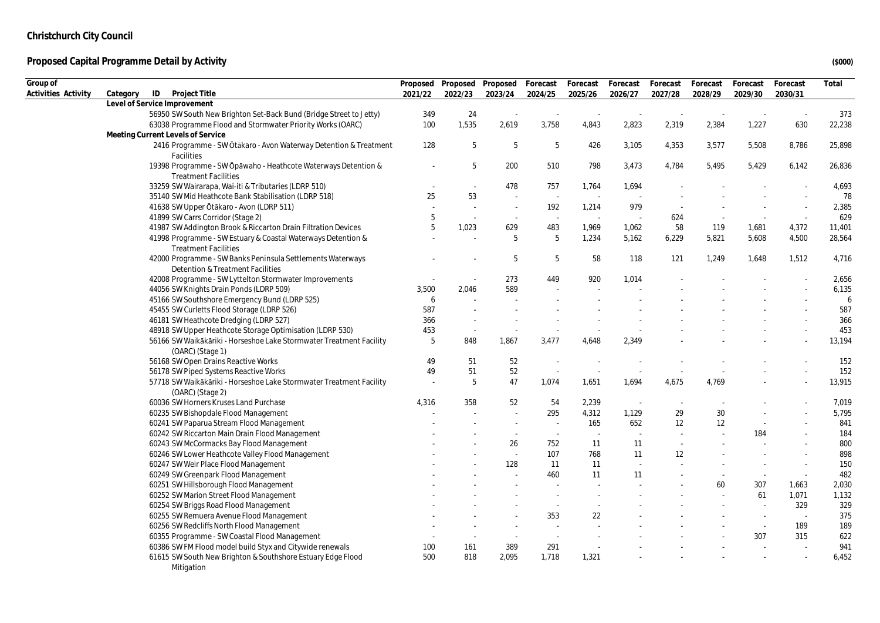| Group of            |                                                                                                |         | Proposed Proposed Proposed |                          | Forecast                 | Forecast | Forecast | Forecast | Forecast | Forecast | Forecast | Total  |
|---------------------|------------------------------------------------------------------------------------------------|---------|----------------------------|--------------------------|--------------------------|----------|----------|----------|----------|----------|----------|--------|
| Activities Activity | Category<br>ID<br>Project Title                                                                | 2021/22 | 2022/23                    | 2023/24                  | 2024/25                  | 2025/26  | 2026/27  | 2027/28  | 2028/29  | 2029/30  | 2030/31  |        |
|                     | Level of Service Improvement                                                                   |         |                            |                          |                          |          |          |          |          |          |          |        |
|                     | 56950 SW South New Brighton Set-Back Bund (Bridge Street to Jetty)                             | 349     | 24                         |                          |                          |          |          |          |          |          |          | 373    |
|                     | 63038 Programme Flood and Stormwater Priority Works (OARC)                                     | 100     | 1,535                      | 2,619                    | 3,758                    | 4,843    | 2,823    | 2,319    | 2,384    | 1,227    | 630      | 22,238 |
|                     | Meeting Current Levels of Service                                                              |         |                            |                          |                          |          |          |          |          |          |          |        |
|                     | 2416 Programme - SW Ōtākaro - Avon Waterway Detention & Treatment<br>Facilities                | 128     | 5                          | $\overline{5}$           | 5                        | 426      | 3,105    | 4,353    | 3,577    | 5,508    | 8,786    | 25,898 |
|                     | 19398 Programme - SW Opawaho - Heathcote Waterways Detention &<br><b>Treatment Facilities</b>  |         | 5                          | 200                      | 510                      | 798      | 3,473    | 4,784    | 5,495    | 5,429    | 6,142    | 26,836 |
|                     | 33259 SW Wairarapa, Wai-iti & Tributaries (LDRP 510)                                           |         | $\sim$                     | 478                      | 757                      | 1,764    | 1,694    |          |          |          |          | 4,693  |
|                     | 35140 SW Mid Heathcote Bank Stabilisation (LDRP 518)                                           | 25      | 53                         | $\overline{\phantom{a}}$ | $\sim$                   | $\sim$   |          |          |          |          |          | 78     |
|                     | 41638 SW Upper Ōtākaro - Avon (LDRP 511)                                                       |         | ÷.                         | $\sim$                   | 192                      | 1,214    | 979      |          |          |          | $\sim$   | 2,385  |
|                     | 41899 SW Carrs Corridor (Stage 2)                                                              | 5       | $\sim$                     | $\sim$                   |                          |          |          | 624      | $\sim$   | $\sim$   | $\sim$   | 629    |
|                     | 41987 SW Addington Brook & Riccarton Drain Filtration Devices                                  | 5       | 1,023                      | 629                      | 483                      | 1,969    | 1,062    | 58       | 119      | 1,681    | 4,372    | 11,401 |
|                     | 41998 Programme - SW Estuary & Coastal Waterways Detention &                                   |         |                            | 5                        | $\overline{5}$           | 1.234    | 5.162    | 6,229    | 5,821    | 5.608    | 4,500    | 28,564 |
|                     | <b>Treatment Facilities</b>                                                                    |         |                            |                          |                          |          |          |          |          |          |          |        |
|                     | 42000 Programme - SW Banks Peninsula Settlements Waterways<br>Detention & Treatment Facilities |         |                            | 5                        | 5                        | 58       | 118      | 121      | 1,249    | 1,648    | 1,512    | 4,716  |
|                     | 42008 Programme - SW Lyttelton Stormwater Improvements                                         |         | $\sim$                     | 273                      | 449                      | 920      | 1,014    |          |          |          |          | 2,656  |
|                     | 44056 SW Knights Drain Ponds (LDRP 509)                                                        | 3,500   | 2,046                      | 589                      |                          |          |          |          |          |          |          | 6,135  |
|                     | 45166 SW Southshore Emergency Bund (LDRP 525)                                                  | 6       |                            |                          |                          |          |          |          |          |          |          | 6      |
|                     | 45455 SW Curletts Flood Storage (LDRP 526)                                                     | 587     |                            |                          |                          |          |          |          |          |          |          | 587    |
|                     | 46181 SW Heathcote Dredging (LDRP 527)                                                         | 366     |                            |                          |                          |          |          |          |          |          |          | 366    |
|                     | 48918 SW Upper Heathcote Storage Optimisation (LDRP 530)                                       | 453     | $\sim$                     | ÷.                       |                          |          |          |          |          |          |          | 453    |
|                     | 56166 SW Waikākāriki - Horseshoe Lake Stormwater Treatment Facility<br>(OARC) (Stage 1)        | 5       | 848                        | 1,867                    | 3,477                    | 4,648    | 2,349    |          |          |          |          | 13,194 |
|                     | 56168 SW Open Drains Reactive Works                                                            | 49      | 51                         | 52                       |                          |          |          |          |          |          |          | 152    |
|                     | 56178 SW Piped Systems Reactive Works                                                          | 49      | 51                         | 52                       | ٠.                       |          |          |          |          |          |          | 152    |
|                     | 57718 SW Waikākāriki - Horseshoe Lake Stormwater Treatment Facility                            |         | 5                          | 47                       | 1,074                    | 1,651    | 1,694    | 4,675    | 4,769    |          |          | 13,915 |
|                     | (OARC) (Stage 2)                                                                               |         |                            |                          |                          |          |          |          |          |          |          |        |
|                     | 60036 SW Horners Kruses Land Purchase                                                          | 4,316   | 358                        | 52                       | 54                       | 2,239    | $\sim$   |          |          |          |          | 7,019  |
|                     | 60235 SW Bishopdale Flood Management                                                           |         |                            |                          | 295                      | 4,312    | 1,129    | 29       | 30       |          |          | 5,795  |
|                     | 60241 SW Paparua Stream Flood Management                                                       |         |                            | $\blacksquare$           | $\overline{\phantom{a}}$ | 165      | 652      | 12       | 12       | $\sim$   |          | 841    |
|                     | 60242 SW Riccarton Main Drain Flood Management                                                 |         |                            | $\sim$                   | $\sim$                   | $\sim$   | $\sim$   |          |          | 184      |          | 184    |
|                     | 60243 SW McCormacks Bay Flood Management                                                       |         |                            | 26                       | 752                      | 11       | 11       | $\sim$   |          |          |          | 800    |
|                     | 60246 SW Lower Heathcote Valley Flood Management                                               |         |                            | $\overline{\phantom{a}}$ | 107                      | 768      | 11       | 12       |          |          |          | 898    |
|                     | 60247 SW Weir Place Flood Management                                                           |         |                            | 128                      | 11                       | 11       |          |          |          | $\sim$   | $\sim$   | 150    |
|                     | 60249 SW Greenpark Flood Management                                                            |         |                            |                          | 460                      | 11       | 11       |          |          | $\sim$   | $\sim$   | 482    |
|                     | 60251 SW Hillsborough Flood Management                                                         |         |                            |                          |                          |          |          |          | 60       | 307      | 1,663    | 2,030  |
|                     | 60252 SW Marion Street Flood Management                                                        |         |                            |                          |                          |          |          |          |          | 61       | 1,071    | 1,132  |
|                     | 60254 SW Briggs Road Flood Management                                                          |         |                            |                          | $\sim$                   |          |          |          |          | $\sim$   | 329      | 329    |
|                     | 60255 SW Remuera Avenue Flood Management                                                       |         |                            |                          | 353                      | 22       |          |          |          |          |          | 375    |
|                     | 60256 SW Redcliffs North Flood Management                                                      |         |                            |                          |                          |          |          |          |          | $\sim$   | 189      | 189    |
|                     | 60355 Programme - SW Coastal Flood Management                                                  |         | $\overline{\phantom{a}}$   | $\overline{\phantom{a}}$ | $\sim$                   |          |          |          |          | 307      | 315      | 622    |
|                     | 60386 SW FM Flood model build Styx and Citywide renewals                                       | 100     | 161                        | 389                      | 291                      | $\sim$   |          |          |          | $\sim$   | ÷.       | 941    |
|                     | 61615 SW South New Brighton & Southshore Estuary Edge Flood                                    | 500     | 818                        | 2,095                    | 1,718                    | 1,321    |          |          |          |          |          | 6,452  |
|                     | Mitigation                                                                                     |         |                            |                          |                          |          |          |          |          |          |          |        |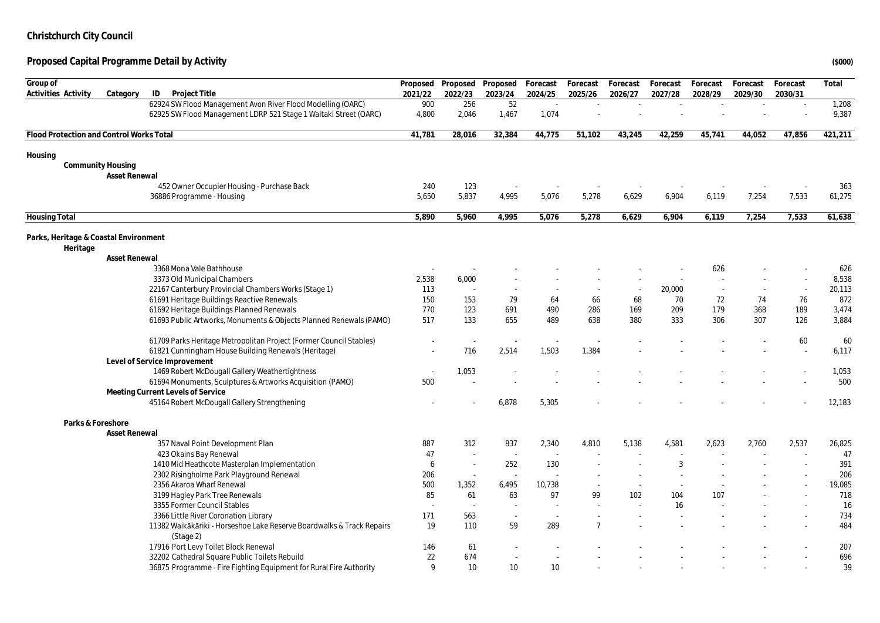| Group of                                          |                          |                                                                       |                          | Proposed Proposed Proposed |         | Forecast | Forecast       | Forecast                 | Forecast | Forecast | Forecast | Forecast | Total   |
|---------------------------------------------------|--------------------------|-----------------------------------------------------------------------|--------------------------|----------------------------|---------|----------|----------------|--------------------------|----------|----------|----------|----------|---------|
| Activities Activity                               | Category                 | ID<br>Project Title                                                   | 2021/22                  | 2022/23                    | 2023/24 | 2024/25  | 2025/26        | 2026/27                  | 2027/28  | 2028/29  | 2029/30  | 2030/31  |         |
|                                                   |                          | 62924 SW Flood Management Avon River Flood Modelling (OARC)           | 900                      | 256                        | 52      | $\sim$   | $\sim$         | ٠                        |          |          |          |          | 1,208   |
|                                                   |                          | 62925 SW Flood Management LDRP 521 Stage 1 Waitaki Street (OARC)      | 4,800                    | 2,046                      | 1,467   | 1,074    |                |                          |          |          |          |          | 9,387   |
|                                                   |                          |                                                                       |                          |                            |         |          |                |                          |          |          |          |          |         |
| Flood Protection and Control Works Total          |                          |                                                                       | 41,781                   | 28,016                     | 32,384  | 44,775   | 51,102         | 43,245                   | 42,259   | 45,741   | 44,052   | 47,856   | 421,211 |
| Housing                                           |                          |                                                                       |                          |                            |         |          |                |                          |          |          |          |          |         |
|                                                   | <b>Community Housing</b> |                                                                       |                          |                            |         |          |                |                          |          |          |          |          |         |
|                                                   | Asset Renewal            |                                                                       |                          |                            |         |          |                |                          |          |          |          |          |         |
|                                                   |                          | 452 Owner Occupier Housing - Purchase Back                            | 240                      | 123                        |         |          |                |                          |          |          |          |          | 363     |
|                                                   |                          | 36886 Programme - Housing                                             | 5,650                    | 5,837                      | 4,995   | 5,076    | 5,278          | 6,629                    | 6,904    | 6,119    | 7,254    | 7,533    | 61,275  |
| <b>Housing Total</b>                              |                          |                                                                       | 5,890                    | 5.960                      | 4,995   | 5,076    | 5,278          | 6,629                    | 6,904    | 6,119    | 7,254    | 7,533    | 61,638  |
|                                                   |                          |                                                                       |                          |                            |         |          |                |                          |          |          |          |          |         |
| Parks, Heritage & Coastal Environment<br>Heritage |                          |                                                                       |                          |                            |         |          |                |                          |          |          |          |          |         |
|                                                   | Asset Renewal            |                                                                       |                          |                            |         |          |                |                          |          |          |          |          |         |
|                                                   |                          | 3368 Mona Vale Bathhouse                                              |                          |                            |         |          |                |                          |          | 626      |          |          | 626     |
|                                                   |                          | 3373 Old Municipal Chambers                                           | 2,538                    | 6,000                      |         |          |                |                          |          |          |          |          | 8,538   |
|                                                   |                          | 22167 Canterbury Provincial Chambers Works (Stage 1)                  | 113                      |                            | $\sim$  |          |                | $\overline{\phantom{a}}$ | 20,000   | $\sim$   |          | $\sim$   | 20,113  |
|                                                   |                          | 61691 Heritage Buildings Reactive Renewals                            | 150                      | 153                        | 79      | 64       | 66             | 68                       | 70       | 72       | 74       | 76       | 872     |
|                                                   |                          | 61692 Heritage Buildings Planned Renewals                             | 770                      | 123                        | 691     | 490      | 286            | 169                      | 209      | 179      | 368      | 189      | 3,474   |
|                                                   |                          | 61693 Public Artworks, Monuments & Objects Planned Renewals (PAMO)    | 517                      | 133                        | 655     | 489      | 638            | 380                      | 333      | 306      | 307      | 126      | 3,884   |
|                                                   |                          | 61709 Parks Heritage Metropolitan Project (Former Council Stables)    |                          | $\overline{\phantom{a}}$   |         |          |                |                          |          |          |          | 60       | 60      |
|                                                   |                          | 61821 Cunningham House Building Renewals (Heritage)                   |                          | 716                        | 2,514   | 1,503    | 1,384          |                          |          |          |          |          | 6,117   |
|                                                   |                          | Level of Service Improvement                                          |                          |                            |         |          |                |                          |          |          |          |          |         |
|                                                   |                          | 1469 Robert McDougall Gallery Weathertightness                        | $\sim$                   | 1,053                      |         |          |                |                          |          |          |          |          | 1,053   |
|                                                   |                          | 61694 Monuments, Sculptures & Artworks Acquisition (PAMO)             | 500                      |                            |         |          |                |                          |          |          |          |          | 500     |
|                                                   |                          | Meeting Current Levels of Service                                     |                          |                            |         |          |                |                          |          |          |          |          |         |
|                                                   |                          | 45164 Robert McDougall Gallery Strengthening                          |                          |                            | 6,878   | 5,305    |                |                          |          |          |          |          | 12,183  |
|                                                   | Parks & Foreshore        |                                                                       |                          |                            |         |          |                |                          |          |          |          |          |         |
|                                                   | Asset Renewal            |                                                                       |                          |                            |         |          |                |                          |          |          |          |          |         |
|                                                   |                          | 357 Naval Point Development Plan                                      | 887                      | 312                        | 837     | 2,340    | 4,810          | 5,138                    | 4,581    | 2,623    | 2,760    | 2,537    | 26,825  |
|                                                   |                          | 423 Okains Bay Renewal                                                | 47                       |                            | $\sim$  |          |                |                          |          |          |          |          | 47      |
|                                                   |                          | 1410 Mid Heathcote Masterplan Implementation                          | 6                        | $\overline{a}$             | 252     | 130      |                |                          | 3        |          |          |          | 391     |
|                                                   |                          | 2302 Risingholme Park Playground Renewal                              | 206                      | $\sim$                     | $\sim$  |          |                |                          |          |          |          |          | 206     |
|                                                   |                          | 2356 Akaroa Wharf Renewal                                             | 500                      | 1,352                      | 6,495   | 10,738   |                |                          | ×.       |          |          |          | 19,085  |
|                                                   |                          | 3199 Hagley Park Tree Renewals                                        | 85                       | 61                         | 63      | 97       | 99             | 102                      | 104      | 107      |          |          | 718     |
|                                                   |                          | 3355 Former Council Stables                                           | $\overline{\phantom{a}}$ | $\sim$                     |         |          |                |                          | 16       |          |          |          | 16      |
|                                                   |                          | 3366 Little River Coronation Library                                  | 171                      | 563                        | $\sim$  | $\sim$   |                |                          |          |          |          |          | 734     |
|                                                   |                          | 11382 Waikākāriki - Horseshoe Lake Reserve Boardwalks & Track Repairs | 19                       | 110                        | 59      | 289      | $\overline{7}$ |                          |          |          |          |          | 484     |
|                                                   |                          | (Stage 2)                                                             |                          |                            |         |          |                |                          |          |          |          |          |         |
|                                                   |                          | 17916 Port Levy Toilet Block Renewal                                  | 146                      | 61                         |         |          |                |                          |          |          |          |          | 207     |
|                                                   |                          | 32202 Cathedral Square Public Toilets Rebuild                         | 22                       | 674                        |         |          |                |                          |          |          |          |          | 696     |
|                                                   |                          | 36875 Programme - Fire Fighting Equipment for Rural Fire Authority    | $\mathsf{Q}$             | 10 <sup>10</sup>           | 10      | 10       |                |                          |          |          |          |          | 39      |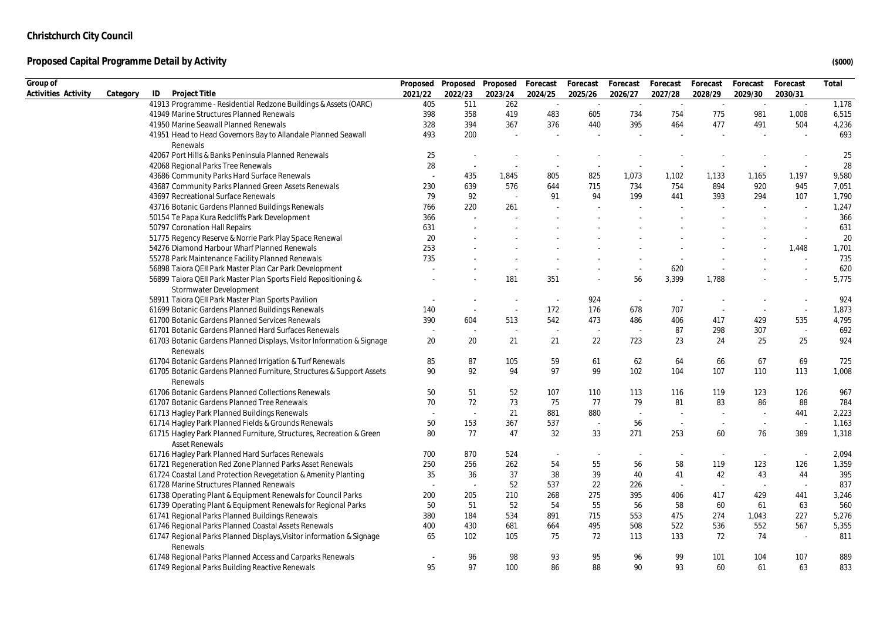| Group of            |          |                                                                                              | Proposed |          | Proposed Proposed Forecast |         | Forecast | Forecast | Forecast                    | Forecast                 | Forecast | Forecast                 | Total |
|---------------------|----------|----------------------------------------------------------------------------------------------|----------|----------|----------------------------|---------|----------|----------|-----------------------------|--------------------------|----------|--------------------------|-------|
| Activities Activity | Category | ID<br>Project Title                                                                          | 2021/22  | 2022/23  | 2023/24                    | 2024/25 | 2025/26  | 2026/27  | 2027/28                     | 2028/29                  | 2029/30  | 2030/31                  |       |
|                     |          | 41913 Programme - Residential Redzone Buildings & Assets (OARC)                              | 405      | 511      | 262                        | $\sim$  | $\sim$   | $\sim$   | $\mathcal{L}_{\mathcal{A}}$ | $\sim$                   | $\sim$   | $\sim$                   | 1,178 |
|                     |          | 41949 Marine Structures Planned Renewals                                                     | 398      | 358      | 419                        | 483     | 605      | 734      | 754                         | 775                      | 981      | 1,008                    | 6,515 |
|                     |          | 41950 Marine Seawall Planned Renewals                                                        | 328      | 394      | 367                        | 376     | 440      | 395      | 464                         | 477                      | 491      | 504                      | 4,236 |
|                     |          | 41951 Head to Head Governors Bay to Allandale Planned Seawall                                | 493      | 200      |                            |         |          |          |                             |                          |          |                          | 693   |
|                     |          | Renewals                                                                                     |          |          |                            |         |          |          |                             |                          |          |                          |       |
|                     |          | 42067 Port Hills & Banks Peninsula Planned Renewals                                          | 25       | $\sim$   |                            |         |          |          |                             |                          |          |                          | 25    |
|                     |          | 42068 Regional Parks Tree Renewals                                                           | 28       | $\sim$   | $\overline{\phantom{a}}$   | $\sim$  | $\sim$   |          |                             |                          | $\sim$   | $\sim$                   | 28    |
|                     |          | 43686 Community Parks Hard Surface Renewals                                                  |          | 435      | 1,845                      | 805     | 825      | 1,073    | 1,102                       | 1,133                    | 1,165    | 1,197                    | 9,580 |
|                     |          | 43687 Community Parks Planned Green Assets Renewals                                          | 230      | 639      | 576                        | 644     | 715      | 734      | 754                         | 894                      | 920      | 945                      | 7,051 |
|                     |          | 43697 Recreational Surface Renewals                                                          | 79       | 92       | $\overline{\phantom{a}}$   | 91      | 94       | 199      | 441                         | 393                      | 294      | 107                      | 1,790 |
|                     |          | 43716 Botanic Gardens Planned Buildings Renewals                                             | 766      | 220      | 261                        |         |          |          |                             |                          | $\sim$   | $\sim$                   | 1,247 |
|                     |          | 50154 Te Papa Kura Redcliffs Park Development                                                | 366      | $\sim$   |                            |         |          |          |                             |                          |          | $\sim$                   | 366   |
|                     |          | 50797 Coronation Hall Repairs                                                                | 631      |          |                            |         |          |          |                             |                          |          |                          | 631   |
|                     |          | 51775 Regency Reserve & Norrie Park Play Space Renewal                                       | 20       |          |                            |         |          |          |                             |                          |          |                          | 20    |
|                     |          | 54276 Diamond Harbour Wharf Planned Renewals                                                 | 253      |          |                            |         |          |          |                             |                          |          | 1,448                    | 1,701 |
|                     |          | 55278 Park Maintenance Facility Planned Renewals                                             | 735      |          |                            |         |          |          |                             |                          |          |                          | 735   |
|                     |          | 56898 Taiora QEII Park Master Plan Car Park Development                                      |          |          | $\overline{\phantom{a}}$   | $\sim$  |          | $\sim$   | 620                         |                          |          | $\sim$                   | 620   |
|                     |          | 56899 Taiora QEII Park Master Plan Sports Field Repositioning &<br>Stormwater Development    |          |          | 181                        | 351     | $\sim$   | 56       | 3,399                       | 1,788                    |          | $\overline{\phantom{a}}$ | 5,775 |
|                     |          | 58911 Taiora QEII Park Master Plan Sports Pavilion                                           |          |          | $\sim$                     | $\sim$  | 924      | $\sim$   |                             |                          |          | ٠                        | 924   |
|                     |          | 61699 Botanic Gardens Planned Buildings Renewals                                             | 140      | $\sim$   | $\sim$                     | 172     | 176      | 678      | 707                         | $\sim$                   | $\sim$   | $\omega$                 | 1,873 |
|                     |          | 61700 Botanic Gardens Planned Services Renewals                                              | 390      | 604      | 513                        | 542     | 473      | 486      | 406                         | 417                      | 429      | 535                      | 4,795 |
|                     |          | 61701 Botanic Gardens Planned Hard Surfaces Renewals                                         |          | $\sim$   | $\overline{\phantom{a}}$   | $\sim$  | $\sim$   |          | 87                          | 298                      | 307      | $\sim$                   | 692   |
|                     |          | 61703 Botanic Gardens Planned Displays, Visitor Information & Signage                        | 20       | 20       | 21                         | 21      | 22       | 723      | 23                          | 24                       | 25       | 25                       | 924   |
|                     |          | Renewals                                                                                     |          |          |                            |         |          |          |                             |                          |          |                          |       |
|                     |          | 61704 Botanic Gardens Planned Irrigation & Turf Renewals                                     | 85       | 87       | 105                        | 59      | 61       | 62       | 64                          | 66                       | 67       | 69                       | 725   |
|                     |          | 61705 Botanic Gardens Planned Furniture, Structures & Support Assets                         | 90       | 92       | 94                         | 97      | 99       | 102      | 104                         | 107                      | 110      | 113                      | 1,008 |
|                     |          | Renewals                                                                                     |          |          |                            |         |          |          |                             |                          |          |                          |       |
|                     |          | 61706 Botanic Gardens Planned Collections Renewals                                           | 50       | 51       | 52                         | 107     | 110      | 113      | 116                         | 119                      | 123      | 126                      | 967   |
|                     |          | 61707 Botanic Gardens Planned Tree Renewals                                                  | 70       | 72       | 73                         | 75      | 77       | 79       | 81                          | 83                       | 86       | 88                       | 784   |
|                     |          | 61713 Hagley Park Planned Buildings Renewals                                                 |          | $\omega$ | 21                         | 881     | 880      | $\sim$   |                             | $\sim$                   | $\sim$   | 441                      | 2,223 |
|                     |          | 61714 Hagley Park Planned Fields & Grounds Renewals                                          | 50       | 153      | 367                        | 537     | $\sim$   | 56       | $\sim$                      | $\overline{\phantom{a}}$ | $\sim$   | $\sim$                   | 1,163 |
|                     |          | 61715 Hagley Park Planned Furniture, Structures, Recreation & Green<br><b>Asset Renewals</b> | 80       | 77       | 47                         | 32      | 33       | 271      | 253                         | 60                       | 76       | 389                      | 1,318 |
|                     |          | 61716 Hagley Park Planned Hard Surfaces Renewals                                             | 700      | 870      | 524                        |         | $\sim$   |          |                             | $\overline{\phantom{a}}$ | $\sim$   | $\overline{\phantom{a}}$ | 2,094 |
|                     |          | 61721 Regeneration Red Zone Planned Parks Asset Renewals                                     | 250      | 256      | 262                        | 54      | 55       | 56       | 58                          | 119                      | 123      | 126                      | 1,359 |
|                     |          | 61724 Coastal Land Protection Revegetation & Amenity Planting                                | 35       | 36       | 37                         | 38      | 39       | 40       | 41                          | 42                       | 43       | 44                       | 395   |
|                     |          | 61728 Marine Structures Planned Renewals                                                     |          | $\sim$   | 52                         | 537     | 22       | 226      |                             |                          | ÷.       |                          | 837   |
|                     |          | 61738 Operating Plant & Equipment Renewals for Council Parks                                 | 200      | 205      | 210                        | 268     | 275      | 395      | 406                         | 417                      | 429      | 441                      | 3,246 |
|                     |          | 61739 Operating Plant & Equipment Renewals for Regional Parks                                | 50       | 51       | 52                         | 54      | 55       | 56       | 58                          | 60                       | 61       | 63                       | 560   |
|                     |          | 61741 Regional Parks Planned Buildings Renewals                                              | 380      | 184      | 534                        | 891     | 715      | 553      | 475                         | 274                      | 1.043    | 227                      | 5,276 |
|                     |          | 61746 Regional Parks Planned Coastal Assets Renewals                                         | 400      | 430      | 681                        | 664     | 495      | 508      | 522                         | 536                      | 552      | 567                      | 5,355 |
|                     |          | 61747 Regional Parks Planned Displays, Visitor information & Signage                         | 65       | 102      | 105                        | 75      | 72       | 113      | 133                         | 72                       | 74       | $\sim$                   | 811   |
|                     |          | Renewals                                                                                     |          |          |                            |         |          |          |                             |                          |          |                          |       |
|                     |          | 61748 Regional Parks Planned Access and Carparks Renewals                                    |          | 96       | 98                         | 93      | 95       | 96       | 99                          | 101                      | 104      | 107                      | 889   |
|                     |          | 61749 Regional Parks Building Reactive Renewals                                              | 95       | 97       | 100                        | 86      | 88       | 90       | 93                          | 60                       | 61       | 63                       | 833   |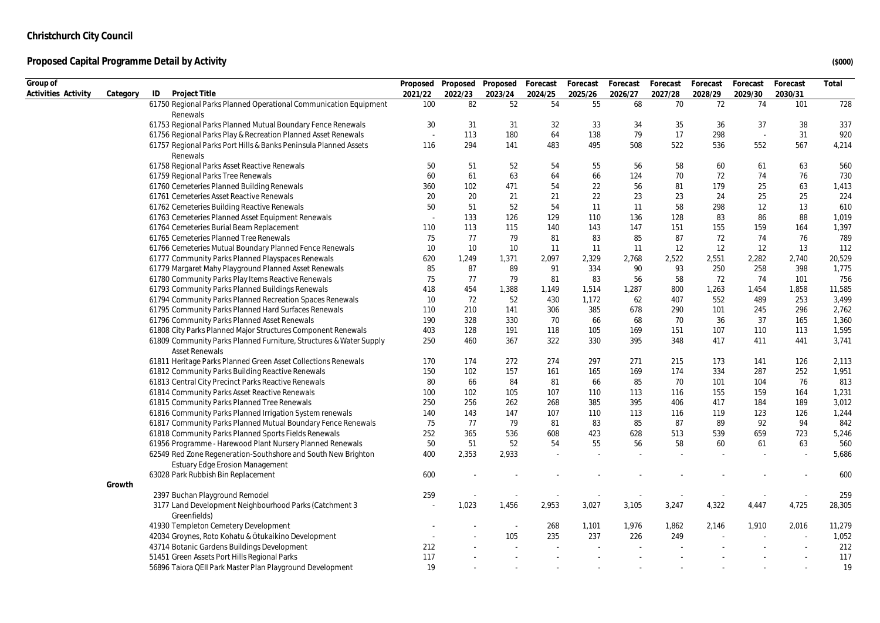| Group of            |          |                                                                    | Proposed |         | Proposed Proposed | Forecast | Forecast | Forecast | Forecast | Forecast | Forecast | Forecast | Total  |
|---------------------|----------|--------------------------------------------------------------------|----------|---------|-------------------|----------|----------|----------|----------|----------|----------|----------|--------|
| Activities Activity | Category | ID<br>Project Title                                                | 2021/22  | 2022/23 | 2023/24           | 2024/25  | 2025/26  | 2026/27  | 2027/28  | 2028/29  | 2029/30  | 2030/31  |        |
|                     |          | 61750 Regional Parks Planned Operational Communication Equipment   | 100      | 82      | 52                | 54       | 55       | 68       | 70       | 72       | 74       | 101      | 728    |
|                     |          | Renewals                                                           |          |         |                   |          |          |          |          |          |          |          |        |
|                     |          | 61753 Regional Parks Planned Mutual Boundary Fence Renewals        | 30       | 31      | 31                | 32       | 33       | 34       | 35       | 36       | 37       | 38       | 337    |
|                     |          | 61756 Regional Parks Play & Recreation Planned Asset Renewals      |          | 113     | 180               | 64       | 138      | 79       | 17       | 298      | $\sim$   | 31       | 920    |
|                     |          | 61757 Regional Parks Port Hills & Banks Peninsula Planned Assets   | 116      | 294     | 141               | 483      | 495      | 508      | 522      | 536      | 552      | 567      | 4,214  |
|                     |          | Renewals                                                           |          |         |                   |          |          |          |          |          |          |          |        |
|                     |          | 61758 Regional Parks Asset Reactive Renewals                       | 50       | 51      | 52                | 54       | 55       | 56       | 58       | 60       | 61       | 63       | 560    |
|                     |          | 61759 Regional Parks Tree Renewals                                 | 60       | 61      | 63                | 64       | 66       | 124      | 70       | 72       | 74       | 76       | 730    |
|                     |          | 61760 Cemeteries Planned Building Renewals                         | 360      | 102     | 471               | 54       | 22       | 56       | 81       | 179      | 25       | 63       | 1,413  |
|                     |          | 61761 Cemeteries Asset Reactive Renewals                           | 20       | 20      | 21                | 21       | 22       | 23       | 23       | 24       | 25       | 25       | 224    |
|                     |          | 61762 Cemeteries Building Reactive Renewals                        | 50       | 51      | 52                | 54       | 11       | 11       | 58       | 298      | 12       | 13       | 610    |
|                     |          | 61763 Cemeteries Planned Asset Equipment Renewals                  |          | 133     | 126               | 129      | 110      | 136      | 128      | 83       | 86       | 88       | 1,019  |
|                     |          | 61764 Cemeteries Burial Beam Replacement                           | 110      | 113     | 115               | 140      | 143      | 147      | 151      | 155      | 159      | 164      | 1,397  |
|                     |          | 61765 Cemeteries Planned Tree Renewals                             | 75       | 77      | 79                | 81       | 83       | 85       | 87       | 72       | 74       | 76       | 789    |
|                     |          | 61766 Cemeteries Mutual Boundary Planned Fence Renewals            | 10       | 10      | 10                | 11       | 11       | 11       | 12       | 12       | 12       | 13       | 112    |
|                     |          | 61777 Community Parks Planned Playspaces Renewals                  | 620      | 1,249   | 1,371             | 2,097    | 2,329    | 2,768    | 2,522    | 2,551    | 2,282    | 2,740    | 20,529 |
|                     |          | 61779 Margaret Mahy Playground Planned Asset Renewals              | 85       | 87      | 89                | 91       | 334      | 90       | 93       | 250      | 258      | 398      | 1,775  |
|                     |          | 61780 Community Parks Play Items Reactive Renewals                 | 75       | 77      | 79                | 81       | 83       | 56       | 58       | 72       | 74       | 101      | 756    |
|                     |          | 61793 Community Parks Planned Buildings Renewals                   | 418      | 454     | 1,388             | 1,149    | 1,514    | 1,287    | 800      | 1,263    | 1,454    | 1,858    | 11,585 |
|                     |          | 61794 Community Parks Planned Recreation Spaces Renewals           | 10       | 72      | 52                | 430      | 1,172    | 62       | 407      | 552      | 489      | 253      | 3,499  |
|                     |          | 61795 Community Parks Planned Hard Surfaces Renewals               | 110      | 210     | 141               | 306      | 385      | 678      | 290      | 101      | 245      | 296      | 2,762  |
|                     |          | 61796 Community Parks Planned Asset Renewals                       | 190      | 328     | 330               | 70       | 66       | 68       | 70       | 36       | 37       | 165      | 1,360  |
|                     |          | 61808 City Parks Planned Major Structures Component Renewals       | 403      | 128     | 191               | 118      | 105      | 169      | 151      | 107      | 110      | 113      | 1,595  |
|                     |          | 61809 Community Parks Planned Furniture, Structures & Water Supply | 250      | 460     | 367               | 322      | 330      | 395      | 348      | 417      | 411      | 441      | 3,741  |
|                     |          | <b>Asset Renewals</b>                                              |          |         |                   |          |          |          |          |          |          |          |        |
|                     |          | 61811 Heritage Parks Planned Green Asset Collections Renewals      | 170      | 174     | 272               | 274      | 297      | 271      | 215      | 173      | 141      | 126      | 2,113  |
|                     |          | 61812 Community Parks Building Reactive Renewals                   | 150      | 102     | 157               | 161      | 165      | 169      | 174      | 334      | 287      | 252      | 1,951  |
|                     |          | 61813 Central City Precinct Parks Reactive Renewals                | 80       | 66      | 84                | 81       | 66       | 85       | 70       | 101      | 104      | 76       | 813    |
|                     |          | 61814 Community Parks Asset Reactive Renewals                      | 100      | 102     | 105               | 107      | 110      | 113      | 116      | 155      | 159      | 164      | 1,231  |
|                     |          | 61815 Community Parks Planned Tree Renewals                        | 250      | 256     | 262               | 268      | 385      | 395      | 406      | 417      | 184      | 189      | 3,012  |
|                     |          | 61816 Community Parks Planned Irrigation System renewals           | 140      | 143     | 147               | 107      | 110      | 113      | 116      | 119      | 123      | 126      | 1,244  |
|                     |          | 61817 Community Parks Planned Mutual Boundary Fence Renewals       | 75       | 77      | 79                | 81       | 83       | 85       | 87       | 89       | 92       | 94       | 842    |
|                     |          | 61818 Community Parks Planned Sports Fields Renewals               | 252      | 365     | 536               | 608      | 423      | 628      | 513      | 539      | 659      | 723      | 5,246  |
|                     |          | 61956 Programme - Harewood Plant Nursery Planned Renewals          | 50       | 51      | 52                | 54       | 55       | 56       | 58       | 60       | 61       | 63       | 560    |
|                     |          | 62549 Red Zone Regeneration-Southshore and South New Brighton      | 400      | 2,353   | 2,933             |          |          |          |          |          |          | $\sim$   | 5,686  |
|                     |          | Estuary Edge Erosion Management                                    |          |         |                   |          |          |          |          |          |          |          |        |
|                     |          | 63028 Park Rubbish Bin Replacement                                 | 600      |         |                   |          |          |          |          |          |          |          | 600    |
|                     | Growth   |                                                                    |          |         |                   |          |          |          |          |          |          |          |        |
|                     |          | 2397 Buchan Playground Remodel                                     | 259      |         |                   |          |          |          |          |          |          |          | 259    |
|                     |          | 3177 Land Development Neighbourhood Parks (Catchment 3             |          | 1,023   | 1,456             | 2,953    | 3,027    | 3,105    | 3,247    | 4,322    | 4,447    | 4,725    | 28,305 |
|                     |          | Greenfields)                                                       |          |         |                   |          |          |          |          |          |          |          |        |
|                     |          | 41930 Templeton Cemetery Development                               |          |         | $\sim$            | 268      | 1,101    | 1,976    | 1,862    | 2,146    | 1,910    | 2,016    | 11,279 |
|                     |          | 42034 Groynes, Roto Kohatu & Ōtukaikino Development                |          |         | 105               | 235      | 237      | 226      | 249      |          |          |          | 1,052  |
|                     |          | 43714 Botanic Gardens Buildings Development                        | 212      |         |                   |          |          |          |          |          |          |          | 212    |
|                     |          | 51451 Green Assets Port Hills Regional Parks                       | 117      |         |                   |          |          |          |          |          |          |          | 117    |
|                     |          | 56896 Taiora QEII Park Master Plan Playground Development          | 19       |         |                   |          |          |          |          |          |          |          | 19     |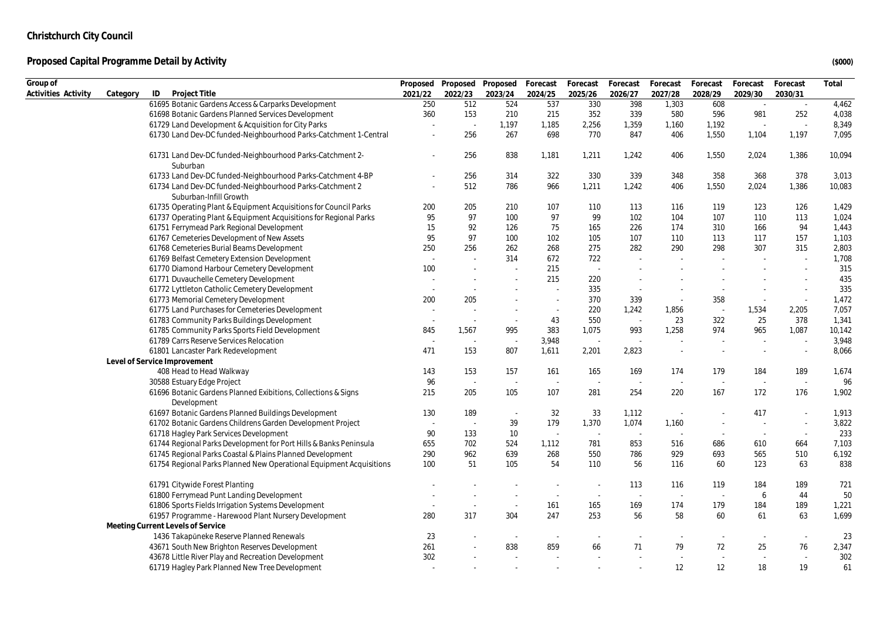| Group of            |          |                                                                                    |         |         | Proposed Proposed Proposed Forecast |                          | Forecast                 | Forecast                 | Forecast                 | Forecast | Forecast       | Forecast                    | Total  |
|---------------------|----------|------------------------------------------------------------------------------------|---------|---------|-------------------------------------|--------------------------|--------------------------|--------------------------|--------------------------|----------|----------------|-----------------------------|--------|
| Activities Activity | Category | ID<br>Project Title                                                                | 2021/22 | 2022/23 | 2023/24                             | 2024/25                  | 2025/26                  | 2026/27                  | 2027/28                  | 2028/29  | 2029/30        | 2030/31                     |        |
|                     |          | 61695 Botanic Gardens Access & Carparks Development                                | 250     | 512     | 524                                 | 537                      | 330                      | 398                      | 1,303                    | 608      | $\sim$         | $\mathcal{L}_{\mathcal{A}}$ | 4,462  |
|                     |          | 61698 Botanic Gardens Planned Services Development                                 | 360     | 153     | 210                                 | 215                      | 352                      | 339                      | 580                      | 596      | 981            | 252                         | 4,038  |
|                     |          | 61729 Land Development & Acquisition for City Parks                                |         | ÷.      | 1,197                               | 1,185                    | 2,256                    | 1,359                    | 1,160                    | 1,192    | $\sim$         | $\sim$                      | 8,349  |
|                     |          | 61730 Land Dev-DC funded-Neighbourhood Parks-Catchment 1-Central                   |         | 256     | 267                                 | 698                      | 770                      | 847                      | 406                      | 1,550    | 1,104          | 1,197                       | 7,095  |
|                     |          | 61731 Land Dev-DC funded-Neighbourhood Parks-Catchment 2-<br>Suburban              |         | 256     | 838                                 | 1,181                    | 1,211                    | 1,242                    | 406                      | 1,550    | 2,024          | 1,386                       | 10,094 |
|                     |          | 61733 Land Dev-DC funded-Neighbourhood Parks-Catchment 4-BP                        |         | 256     | 314                                 | 322                      | 330                      | 339                      | 348                      | 358      | 368            | 378                         | 3,013  |
|                     |          | 61734 Land Dev-DC funded-Neighbourhood Parks-Catchment 2<br>Suburban-Infill Growth |         | 512     | 786                                 | 966                      | 1,211                    | 1,242                    | 406                      | 1,550    | 2,024          | 1,386                       | 10,083 |
|                     |          | 61735 Operating Plant & Equipment Acquisitions for Council Parks                   | 200     | 205     | 210                                 | 107                      | 110                      | 113                      | 116                      | 119      | 123            | 126                         | 1,429  |
|                     |          | 61737 Operating Plant & Equipment Acquisitions for Regional Parks                  | 95      | 97      | 100                                 | 97                       | 99                       | 102                      | 104                      | 107      | 110            | 113                         | 1,024  |
|                     |          | 61751 Ferrymead Park Regional Development                                          | 15      | 92      | 126                                 | 75                       | 165                      | 226                      | 174                      | 310      | 166            | 94                          | 1,443  |
|                     |          | 61767 Cemeteries Development of New Assets                                         | 95      | 97      | 100                                 | 102                      | 105                      | 107                      | 110                      | 113      | 117            | 157                         | 1,103  |
|                     |          | 61768 Cemeteries Burial Beams Development                                          | 250     | 256     | 262                                 | 268                      | 275                      | 282                      | 290                      | 298      | 307            | 315                         | 2,803  |
|                     |          | 61769 Belfast Cemetery Extension Development                                       |         | $\sim$  | 314                                 | 672                      | 722                      | $\sim$                   |                          |          |                | $\sim$                      | 1,708  |
|                     |          | 61770 Diamond Harbour Cemetery Development                                         | 100     | ÷       |                                     | 215                      | $\sim$                   |                          |                          |          |                | $\sim$                      | 315    |
|                     |          | 61771 Duvauchelle Cemetery Development                                             |         |         |                                     | 215                      | 220                      |                          |                          |          |                |                             | 435    |
|                     |          | 61772 Lyttleton Catholic Cemetery Development                                      |         | ÷.      |                                     | ÷.                       | 335                      | $\overline{\phantom{a}}$ |                          |          |                | $\sim$                      | 335    |
|                     |          | 61773 Memorial Cemetery Development                                                | 200     | 205     |                                     | $\sim$                   | 370                      | 339                      | $\sim$                   | 358      | $\sim$         | $\sim$                      | 1,472  |
|                     |          | 61775 Land Purchases for Cemeteries Development                                    | $\sim$  | ÷.      | $\sim$                              | $\sim$                   | 220                      | 1,242                    | 1,856                    | $\sim$   | 1,534          | 2,205                       | 7,057  |
|                     |          | 61783 Community Parks Buildings Development                                        | $\sim$  | $\sim$  | $\sim$                              | 43                       | 550                      | $\sim$                   | 23                       | 322      | 25             | 378                         | 1,341  |
|                     |          | 61785 Community Parks Sports Field Development                                     | 845     | 1,567   | 995                                 | 383                      | 1,075                    | 993                      | 1,258                    | 974      | 965            | 1,087                       | 10,142 |
|                     |          | 61789 Carrs Reserve Services Relocation                                            |         | ÷,      | $\overline{\phantom{a}}$            | 3,948                    | $\sim$                   |                          |                          |          |                | $\sim$                      | 3,948  |
|                     |          | 61801 Lancaster Park Redevelopment                                                 | 471     | 153     | 807                                 | 1,611                    | 2,201                    | 2,823                    |                          |          | $\sim$         | $\sim$                      | 8,066  |
|                     |          | Level of Service Improvement                                                       |         |         |                                     |                          |                          |                          |                          |          |                |                             |        |
|                     |          | 408 Head to Head Walkway                                                           | 143     | 153     | 157                                 | 161                      | 165                      | 169                      | 174                      | 179      | 184            | 189                         | 1,674  |
|                     |          | 30588 Estuary Edge Project                                                         | 96      | $\sim$  | $\sim$                              | $\sim$                   | $\sim$                   | ÷.                       |                          |          | $\sim$         | $\sim$                      | 96     |
|                     |          | 61696 Botanic Gardens Planned Exibitions, Collections & Signs<br>Development       | 215     | 205     | 105                                 | 107                      | 281                      | 254                      | 220                      | 167      | 172            | 176                         | 1,902  |
|                     |          | 61697 Botanic Gardens Planned Buildings Development                                | 130     | 189     | $\blacksquare$                      | 32                       | 33                       | 1,112                    | $\sim$                   |          | 417            | $\sim$                      | 1,913  |
|                     |          | 61702 Botanic Gardens Childrens Garden Development Project                         | $\sim$  | $\sim$  | 39                                  | 179                      | 1,370                    | 1,074                    | 1,160                    |          | $\sim$         | $\sim$                      | 3,822  |
|                     |          | 61718 Hagley Park Services Development                                             | 90      | 133     | 10                                  | ÷.                       | $\sim$                   | $\sim$                   | $\sim$                   | $\sim$   | $\sim$         | $\sim$                      | 233    |
|                     |          | 61744 Regional Parks Development for Port Hills & Banks Peninsula                  | 655     | 702     | 524                                 | 1,112                    | 781                      | 853                      | 516                      | 686      | 610            | 664                         | 7,103  |
|                     |          | 61745 Regional Parks Coastal & Plains Planned Development                          | 290     | 962     | 639                                 | 268                      | 550                      | 786                      | 929                      | 693      | 565            | 510                         | 6,192  |
|                     |          | 61754 Regional Parks Planned New Operational Equipment Acquisitions                | 100     | 51      | 105                                 | 54                       | 110                      | 56                       | 116                      | 60       | 123            | 63                          | 838    |
|                     |          | 61791 Citywide Forest Planting                                                     |         |         |                                     |                          |                          | 113                      | 116                      | 119      | 184            | 189                         | 721    |
|                     |          | 61800 Ferrymead Punt Landing Development                                           |         |         |                                     |                          |                          | $\sim$                   |                          |          | 6              | 44                          | 50     |
|                     |          | 61806 Sports Fields Irrigation Systems Development                                 |         | $\sim$  | $\sim$                              | 161                      | 165                      | 169                      | 174                      | 179      | 184            | 189                         | 1,221  |
|                     |          | 61957 Programme - Harewood Plant Nursery Development                               | 280     | 317     | 304                                 | 247                      | 253                      | 56                       | 58                       | 60       | 61             | 63                          | 1,699  |
|                     |          | Meeting Current Levels of Service                                                  |         |         |                                     |                          |                          |                          |                          |          |                |                             |        |
|                     |          | 1436 Takapūneke Reserve Planned Renewals                                           | 23      |         | $\overline{\phantom{a}}$            | $\overline{\phantom{a}}$ |                          |                          |                          |          | $\blacksquare$ | $\overline{\phantom{a}}$    | 23     |
|                     |          | 43671 South New Brighton Reserves Development                                      | 261     |         | 838                                 | 859                      | 66                       | 71                       | 79                       | 72       | 25             | 76                          | 2,347  |
|                     |          | 43678 Little River Play and Recreation Development                                 | 302     |         | ×                                   | ÷.                       | $\overline{\phantom{a}}$ | $\sim$                   | $\overline{\phantom{a}}$ |          | $\sim$         | $\sim$                      | 302    |
|                     |          | 61719 Hagley Park Planned New Tree Development                                     |         |         | ×                                   | ×,                       |                          |                          | 12                       | 12       | 18             | 19                          | 61     |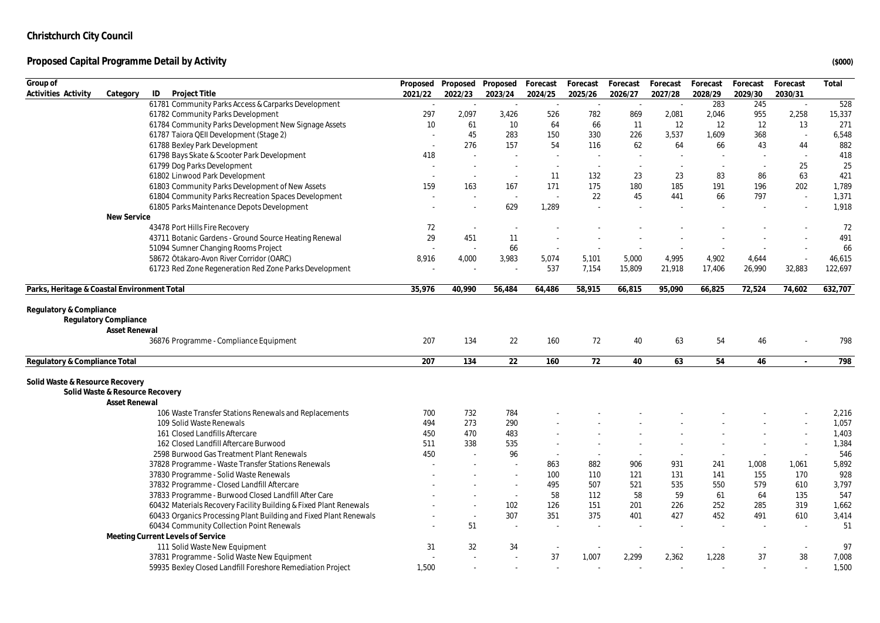| Group of                                                                                |         | Proposed Proposed        | Proposed                 | Forecast | Forecast | Forecast | Forecast | Forecast | Forecast | Forecast | Total   |
|-----------------------------------------------------------------------------------------|---------|--------------------------|--------------------------|----------|----------|----------|----------|----------|----------|----------|---------|
| Activities Activity<br>ID<br>Project Title<br>Category                                  | 2021/22 | 2022/23                  | 2023/24                  | 2024/25  | 2025/26  | 2026/27  | 2027/28  | 2028/29  | 2029/30  | 2030/31  |         |
| 61781 Community Parks Access & Carparks Development                                     | $\sim$  | ÷.                       | $\sim$                   | $\sim$   | $\sim$   | $\sim$   | $\sim$   | 283      | 245      | $\sim$   | 528     |
| 61782 Community Parks Development                                                       | 297     | 2,097                    | 3,426                    | 526      | 782      | 869      | 2,081    | 2,046    | 955      | 2,258    | 15,337  |
| 61784 Community Parks Development New Signage Assets                                    | 10      | 61                       | 10                       | 64       | 66       | 11       | 12       | 12       | 12       | 13       | 271     |
| 61787 Taiora QEII Development (Stage 2)                                                 |         | 45                       | 283                      | 150      | 330      | 226      | 3,537    | 1,609    | 368      |          | 6,548   |
| 61788 Bexley Park Development                                                           |         | 276                      | 157                      | 54       | 116      | 62       | 64       | 66       | 43       | 44       | 882     |
| 61798 Bays Skate & Scooter Park Development                                             | 418     | $\sim$                   |                          | ÷.       |          |          |          |          | $\sim$   | $\sim$   | 418     |
| 61799 Dog Parks Development                                                             |         | $\sim$                   | $\sim$                   | $\sim$   | $\sim$   |          |          |          | $\sim$   | 25       | 25      |
| 61802 Linwood Park Development                                                          |         | $\sim$                   | $\sim$                   | 11       | 132      | 23       | 23       | 83       | 86       | 63       | 421     |
| 61803 Community Parks Development of New Assets                                         | 159     | 163                      | 167                      | 171      | 175      | 180      | 185      | 191      | 196      | 202      | 1,789   |
| 61804 Community Parks Recreation Spaces Development                                     |         | ÷,                       | $\sim$                   | $\sim$   | 22       | 45       | 441      | 66       | 797      | $\sim$   | 1,371   |
| 61805 Parks Maintenance Depots Development                                              |         | $\overline{\phantom{a}}$ | 629                      | 1,289    |          |          |          |          |          |          | 1,918   |
| New Service                                                                             |         |                          |                          |          |          |          |          |          |          |          |         |
| 43478 Port Hills Fire Recovery                                                          | 72      | $\overline{\phantom{a}}$ | $\overline{\phantom{a}}$ |          |          |          |          |          |          |          | 72      |
| 43711 Botanic Gardens - Ground Source Heating Renewal                                   | 29      | 451                      | 11                       |          |          |          |          |          |          |          | 491     |
| 51094 Sumner Changing Rooms Project                                                     |         |                          | 66                       |          |          |          |          |          |          |          | 66      |
| 58672 Ōtākaro-Avon River Corridor (OARC)                                                | 8,916   | 4,000                    | 3,983                    | 5,074    | 5,101    | 5,000    | 4,995    | 4,902    | 4,644    | $\sim$   | 46,615  |
| 61723 Red Zone Regeneration Red Zone Parks Development                                  |         |                          |                          | 537      | 7,154    | 15,809   | 21,918   | 17,406   | 26,990   | 32,883   | 122,697 |
|                                                                                         |         |                          |                          |          |          |          |          |          |          |          |         |
| Parks, Heritage & Coastal Environment Total                                             | 35,976  | 40,990                   | 56,484                   | 64,486   | 58,915   | 66,815   | 95,090   | 66,825   | 72,524   | 74,602   | 632,707 |
| Regulatory Compliance<br><b>Asset Renewal</b><br>36876 Programme - Compliance Equipment | 207     | 134                      | 22                       | 160      | 72       | 40       | 63       | 54       | 46       |          | 798     |
| Regulatory & Compliance Total                                                           | 207     | 134                      | 22                       | 160      | 72       | 40       | 63       | 54       | 46       | $\sim$   | 798     |
|                                                                                         |         |                          |                          |          |          |          |          |          |          |          |         |
| Solid Waste & Resource Recovery<br>Solid Waste & Resource Recovery                      |         |                          |                          |          |          |          |          |          |          |          |         |
| Asset Renewal                                                                           |         |                          |                          |          |          |          |          |          |          |          |         |
| 106 Waste Transfer Stations Renewals and Replacements                                   | 700     | 732                      | 784                      |          |          |          |          |          |          |          | 2,216   |
| 109 Solid Waste Renewals                                                                | 494     | 273                      | 290                      |          |          |          |          |          |          |          | 1,057   |
| 161 Closed Landfills Aftercare                                                          | 450     | 470                      | 483                      |          |          |          |          |          |          |          | 1,403   |
| 162 Closed Landfill Aftercare Burwood                                                   | 511     | 338                      | 535                      |          |          |          |          |          |          | $\sim$   | 1,384   |
| 2598 Burwood Gas Treatment Plant Renewals                                               | 450     | $\overline{a}$           | 96                       | $\sim$   |          |          |          |          | $\sim$   | $\sim$   | 546     |
| 37828 Programme - Waste Transfer Stations Renewals                                      |         |                          |                          | 863      | 882      | 906      | 931      | 241      | 1,008    | 1,061    | 5,892   |
| 37830 Programme - Solid Waste Renewals                                                  |         |                          |                          | 100      | 110      | 121      | 131      | 141      | 155      | 170      | 928     |
| 37832 Programme - Closed Landfill Aftercare                                             |         |                          | ×.                       | 495      | 507      | 521      | 535      | 550      | 579      | 610      | 3,797   |
| 37833 Programme - Burwood Closed Landfill After Care                                    |         |                          | $\sim$                   | 58       | 112      | 58       | 59       | 61       | 64       | 135      | 547     |
| 60432 Materials Recovery Facility Building & Fixed Plant Renewals                       |         | ÷                        | 102                      | 126      | 151      | 201      | 226      | 252      | 285      | 319      | 1,662   |
| 60433 Organics Processing Plant Building and Fixed Plant Renewals                       |         | ×.                       | 307                      | 351      | 375      | 401      | 427      | 452      | 491      | 610      | 3,414   |
| 60434 Community Collection Point Renewals                                               |         | 51                       |                          |          |          |          |          |          |          |          | 51      |
| Meeting Current Levels of Service                                                       |         |                          |                          |          |          |          |          |          |          |          |         |
| 111 Solid Waste New Equipment                                                           | 31      | 32                       | 34                       |          |          |          |          |          |          | $\sim$   | 97      |
| 37831 Programme - Solid Waste New Equipment                                             |         |                          |                          | 37       | 1,007    | 2,299    | 2,362    | 1,228    | 37       | 38       | 7,008   |
| 59935 Bexley Closed Landfill Foreshore Remediation Project                              | 1,500   |                          |                          |          |          |          |          |          |          | $\sim$   | 1,500   |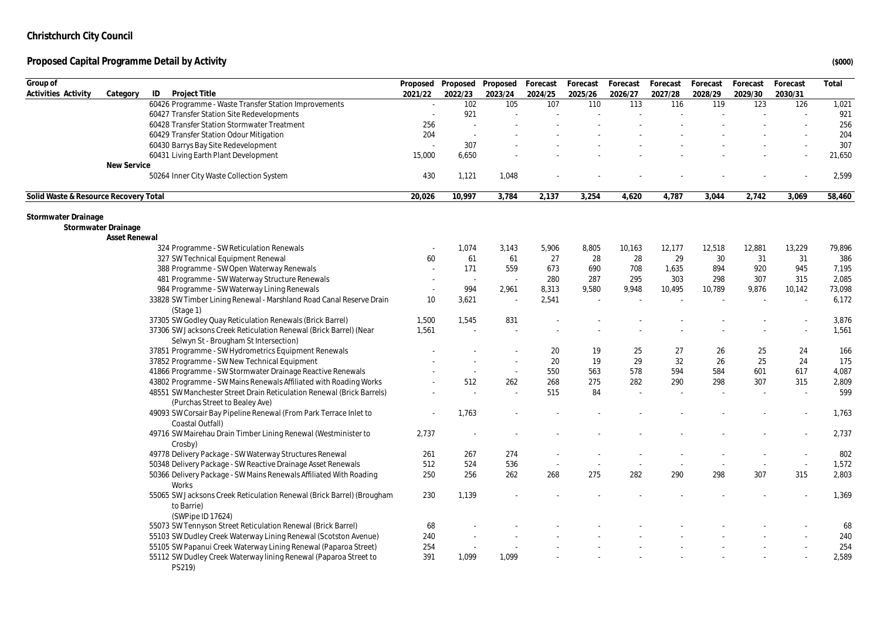| Group of                              |                                                                                                         |         | Proposed Proposed Proposed |                          | Forecast | Forecast | Forecast | Forecast | Forecast | Forecast | Forecast | Total  |
|---------------------------------------|---------------------------------------------------------------------------------------------------------|---------|----------------------------|--------------------------|----------|----------|----------|----------|----------|----------|----------|--------|
| Activities Activity                   | Category<br>ID<br>Project Title                                                                         | 2021/22 | 2022/23                    | 2023/24                  | 2024/25  | 2025/26  | 2026/27  | 2027/28  | 2028/29  | 2029/30  | 2030/31  |        |
|                                       | 60426 Programme - Waste Transfer Station Improvements                                                   | $\sim$  | 102                        | 105                      | 107      | 110      | 113      | 116      | 119      | 123      | 126      | 1,021  |
|                                       | 60427 Transfer Station Site Redevelopments                                                              |         | 921                        |                          |          |          |          |          |          |          |          | 921    |
|                                       | 60428 Transfer Station Stormwater Treatment                                                             | 256     | $\overline{\phantom{a}}$   |                          |          |          |          |          |          |          |          | 256    |
|                                       | 60429 Transfer Station Odour Mitigation                                                                 | 204     | $\sim$                     |                          |          |          |          |          |          |          |          | 204    |
|                                       | 60430 Barrys Bay Site Redevelopment                                                                     |         | 307                        |                          |          |          |          |          |          |          |          | 307    |
|                                       | 60431 Living Earth Plant Development                                                                    | 15,000  | 6,650                      |                          |          |          |          |          |          |          |          | 21,650 |
|                                       | New Service                                                                                             |         |                            |                          |          |          |          |          |          |          |          |        |
|                                       | 50264 Inner City Waste Collection System                                                                | 430     | 1,121                      | 1,048                    |          |          |          |          |          |          |          | 2,599  |
| Solid Waste & Resource Recovery Total |                                                                                                         | 20,026  | 10,997                     | 3,784                    | 2,137    | 3,254    | 4,620    | 4,787    | 3,044    | 2,742    | 3,069    | 58,460 |
| Stormwater Drainage                   |                                                                                                         |         |                            |                          |          |          |          |          |          |          |          |        |
|                                       | Stormwater Drainage                                                                                     |         |                            |                          |          |          |          |          |          |          |          |        |
|                                       | <b>Asset Renewal</b>                                                                                    |         |                            |                          |          |          |          |          |          |          |          |        |
|                                       | 324 Programme - SW Reticulation Renewals                                                                |         | 1,074                      | 3,143                    | 5,906    | 8,805    | 10,163   | 12,177   | 12,518   | 12,881   | 13,229   | 79,896 |
|                                       | 327 SW Technical Equipment Renewal                                                                      | 60      | 61                         | 61                       | 27       | 28       | 28       | 29       | $30\,$   | 31       | 31       | 386    |
|                                       | 388 Programme - SW Open Waterway Renewals                                                               |         | 171                        | 559                      | 673      | 690      | 708      | 1,635    | 894      | 920      | 945      | 7,195  |
|                                       | 481 Programme - SW Waterway Structure Renewals                                                          |         | $\sim$                     | ×.                       | 280      | 287      | 295      | 303      | 298      | 307      | 315      | 2,085  |
|                                       | 984 Programme - SW Waterway Lining Renewals                                                             | $\sim$  | 994                        | 2,961                    | 8,313    | 9,580    | 9,948    | 10,495   | 10,789   | 9,876    | 10,142   | 73,098 |
|                                       | 33828 SW Timber Lining Renewal - Marshland Road Canal Reserve Drain<br>(Stage 1)                        | 10      | 3,621                      | $\overline{a}$           | 2,541    |          |          |          |          |          |          | 6,172  |
|                                       | 37305 SW Godley Quay Reticulation Renewals (Brick Barrel)                                               | 1,500   | 1,545                      | 831                      |          |          |          |          |          |          |          | 3,876  |
|                                       | 37306 SW Jacksons Creek Reticulation Renewal (Brick Barrel) (Near                                       | 1,561   |                            |                          |          |          |          |          |          |          |          | 1,561  |
|                                       | Selwyn St - Brougham St Intersection)                                                                   |         |                            |                          |          |          |          |          |          |          |          |        |
|                                       | 37851 Programme - SW Hydrometrics Equipment Renewals                                                    |         |                            |                          | 20       | 19       | 25       | 27       | 26       | 25       | 24       | 166    |
|                                       | 37852 Programme - SW New Technical Equipment                                                            |         |                            |                          | 20       | 19       | 29       | 32       | 26       | 25       | 24       | 175    |
|                                       | 41866 Programme - SW Stormwater Drainage Reactive Renewals                                              |         | $\sim$                     | $\overline{\phantom{a}}$ | 550      | 563      | 578      | 594      | 584      | 601      | 617      | 4,087  |
|                                       | 43802 Programme - SW Mains Renewals Affiliated with Roading Works                                       |         | 512                        | 262                      | 268      | 275      | 282      | 290      | 298      | 307      | 315      | 2,809  |
|                                       | 48551 SW Manchester Street Drain Reticulation Renewal (Brick Barrels)<br>(Purchas Street to Bealey Ave) |         |                            |                          | 515      | 84       |          |          |          |          |          | 599    |
|                                       | 49093 SW Corsair Bay Pipeline Renewal (From Park Terrace Inlet to<br>Coastal Outfall)                   |         | 1,763                      |                          |          |          |          |          |          |          |          | 1,763  |
|                                       | 49716 SW Mairehau Drain Timber Lining Renewal (Westminister to<br>Crosby)                               | 2,737   |                            |                          |          |          |          |          |          |          |          | 2,737  |
|                                       | 49778 Delivery Package - SW Waterway Structures Renewal                                                 | 261     | 267                        | 274                      |          |          |          |          |          |          |          | 802    |
|                                       | 50348 Delivery Package - SW Reactive Drainage Asset Renewals                                            | 512     | 524                        | 536                      |          |          |          |          |          |          | $\sim$   | 1,572  |
|                                       | 50366 Delivery Package - SW Mains Renewals Affiliated With Roading                                      | 250     | 256                        | 262                      | 268      | 275      | 282      | 290      | 298      | 307      | 315      | 2,803  |
|                                       | Works                                                                                                   |         |                            |                          |          |          |          |          |          |          |          |        |
|                                       | 55065 SW Jacksons Creek Reticulation Renewal (Brick Barrel) (Brougham<br>to Barrie)                     | 230     | 1,139                      |                          |          |          |          |          |          |          |          | 1,369  |
|                                       | (SWPipe ID 17624)                                                                                       |         |                            |                          |          |          |          |          |          |          |          |        |
|                                       | 55073 SW Tennyson Street Reticulation Renewal (Brick Barrel)                                            | 68      |                            |                          |          |          |          |          |          |          |          | 68     |
|                                       | 55103 SW Dudley Creek Waterway Lining Renewal (Scotston Avenue)                                         | 240     |                            |                          |          |          |          |          |          |          |          | 240    |
|                                       | 55105 SW Papanui Creek Waterway Lining Renewal (Paparoa Street)                                         | 254     |                            |                          |          |          |          |          |          |          |          | 254    |
|                                       | 55112 SW Dudley Creek Waterway lining Renewal (Paparoa Street to<br>PS219)                              | 391     | 1,099                      | 1,099                    |          |          |          |          |          |          |          | 2,589  |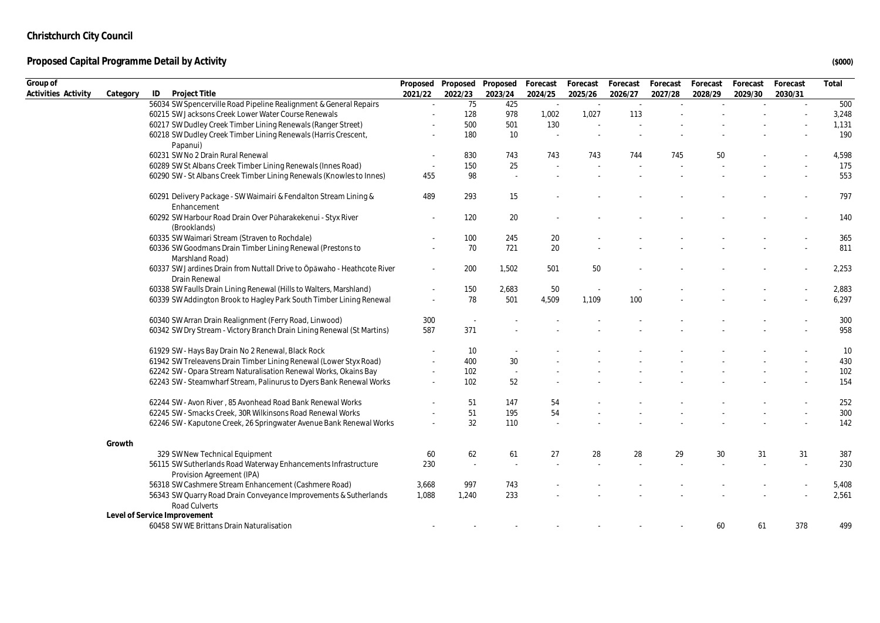| Group of            |          |                                                                                             |                          | Proposed Proposed Proposed |                          | Forecast | Forecast | Forecast | Forecast | Forecast | Forecast | Forecast | Total |
|---------------------|----------|---------------------------------------------------------------------------------------------|--------------------------|----------------------------|--------------------------|----------|----------|----------|----------|----------|----------|----------|-------|
| Activities Activity | Category | ID<br>Project Title                                                                         | 2021/22                  | 2022/23                    | 2023/24                  | 2024/25  | 2025/26  | 2026/27  | 2027/28  | 2028/29  | 2029/30  | 2030/31  |       |
|                     |          | 56034 SW Spencerville Road Pipeline Realignment & General Repairs                           |                          | 75                         | 425                      |          |          |          |          |          |          |          | 500   |
|                     |          | 60215 SW Jacksons Creek Lower Water Course Renewals                                         |                          | 128                        | 978                      | 1,002    | 1,027    | 113      |          |          |          |          | 3,248 |
|                     |          | 60217 SW Dudley Creek Timber Lining Renewals (Ranger Street)                                |                          | 500                        | 501                      | 130      |          |          |          |          |          |          | 1,131 |
|                     |          | 60218 SW Dudley Creek Timber Lining Renewals (Harris Crescent,<br>Papanui)                  |                          | 180                        | 10                       |          |          |          |          |          |          |          | 190   |
|                     |          | 60231 SW No 2 Drain Rural Renewal                                                           |                          | 830                        | 743                      | 743      | 743      | 744      | 745      | 50       |          |          | 4,598 |
|                     |          | 60289 SW St Albans Creek Timber Lining Renewals (Innes Road)                                |                          | 150                        | 25                       |          |          |          |          |          |          |          | 175   |
|                     |          | 60290 SW - St Albans Creek Timber Lining Renewals (Knowles to Innes)                        | 455                      | 98                         |                          |          |          |          |          |          |          |          | 553   |
|                     |          | 60291 Delivery Package - SW Waimairi & Fendalton Stream Lining &<br>Enhancement             | 489                      | 293                        | 15                       |          |          |          |          |          |          |          | 797   |
|                     |          | 60292 SW Harbour Road Drain Over Pūharakekenui - Styx River<br>(Brooklands)                 |                          | 120                        | 20                       |          |          |          |          |          |          |          | 140   |
|                     |          | 60335 SW Waimari Stream (Straven to Rochdale)                                               |                          | 100                        | 245                      | 20       |          |          |          |          |          |          | 365   |
|                     |          | 60336 SW Goodmans Drain Timber Lining Renewal (Prestons to<br>Marshland Road)               |                          | 70                         | 721                      | 20       |          |          |          |          |          |          | 811   |
|                     |          | 60337 SW Jardines Drain from Nuttall Drive to Opawaho - Heathcote River<br>Drain Renewal    |                          | 200                        | 1,502                    | 501      | 50       |          |          |          |          |          | 2,253 |
|                     |          | 60338 SW Faulls Drain Lining Renewal (Hills to Walters, Marshland)                          |                          | 150                        | 2,683                    | 50       |          |          |          |          |          |          | 2,883 |
|                     |          | 60339 SW Addington Brook to Hagley Park South Timber Lining Renewal                         | $\overline{\phantom{a}}$ | 78                         | 501                      | 4,509    | 1.109    | 100      |          |          |          |          | 6,297 |
|                     |          | 60340 SW Arran Drain Realignment (Ferry Road, Linwood)                                      | 300                      |                            |                          |          |          |          |          |          |          |          | 300   |
|                     |          | 60342 SW Dry Stream - Victory Branch Drain Lining Renewal (St Martins)                      | 587                      | 371                        |                          |          |          |          |          |          |          |          | 958   |
|                     |          | 61929 SW - Hays Bay Drain No 2 Renewal, Black Rock                                          |                          | 10                         |                          |          |          |          |          |          |          |          | 10    |
|                     |          | 61942 SW Treleavens Drain Timber Lining Renewal (Lower Styx Road)                           |                          | 400                        | 30                       |          |          |          |          |          |          |          | 430   |
|                     |          | 62242 SW - Opara Stream Naturalisation Renewal Works, Okains Bay                            | ٠                        | 102                        | $\overline{\phantom{a}}$ |          |          |          |          |          |          |          | 102   |
|                     |          | 62243 SW - Steamwharf Stream, Palinurus to Dyers Bank Renewal Works                         |                          | 102                        | 52                       |          |          |          |          |          |          |          | 154   |
|                     |          | 62244 SW - Avon River, 85 Avonhead Road Bank Renewal Works                                  |                          | 51                         | 147                      | 54       |          |          |          |          |          |          | 252   |
|                     |          | 62245 SW - Smacks Creek, 30R Wilkinsons Road Renewal Works                                  |                          | 51                         | 195                      | 54       |          |          |          |          |          |          | 300   |
|                     |          | 62246 SW - Kaputone Creek, 26 Springwater Avenue Bank Renewal Works                         |                          | 32                         | 110                      |          |          |          |          |          |          |          | 142   |
|                     | Growth   |                                                                                             |                          |                            |                          |          |          |          |          |          |          |          |       |
|                     |          | 329 SW New Technical Equipment                                                              | 60                       | 62                         | 61                       | 27       | 28       | 28       | 29       | 30       | 31       | 31       | 387   |
|                     |          | 56115 SW Sutherlands Road Waterway Enhancements Infrastructure<br>Provision Agreement (IPA) | 230                      |                            |                          |          |          |          |          |          |          |          | 230   |
|                     |          | 56318 SW Cashmere Stream Enhancement (Cashmere Road)                                        | 3,668                    | 997                        | 743                      |          |          |          |          |          |          |          | 5,408 |
|                     |          | 56343 SW Quarry Road Drain Conveyance Improvements & Sutherlands<br>Road Culverts           | 1,088                    | 1,240                      | 233                      |          |          |          |          |          |          |          | 2,561 |
|                     |          | Level of Service Improvement                                                                |                          |                            |                          |          |          |          |          |          |          |          |       |
|                     |          | 60458 SW WE Brittans Drain Naturalisation                                                   |                          |                            |                          |          |          |          |          | 60       | 61       | 378      | 499   |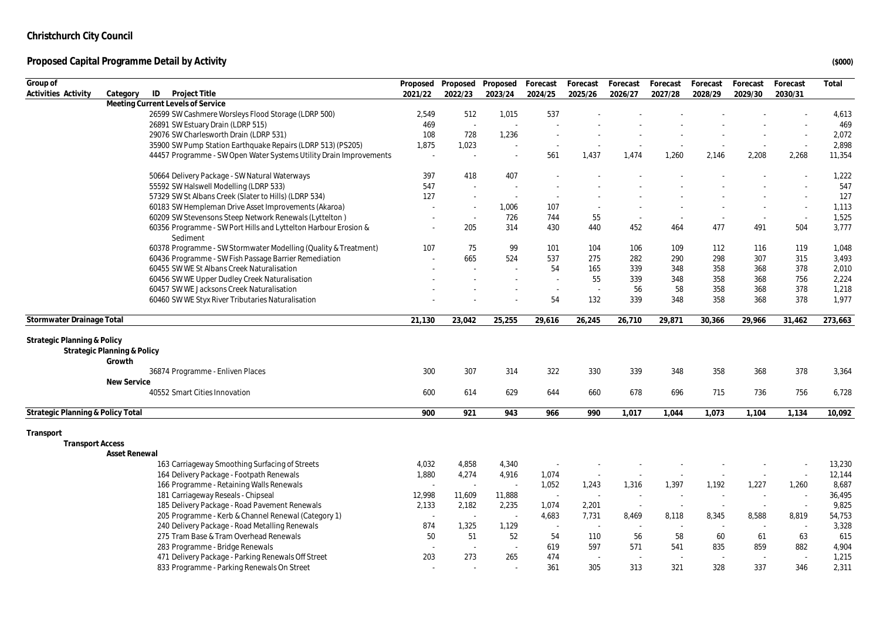| Group of                               |                                                                             |                          | Proposed Proposed | Proposed Forecast        |         | Forecast | Forecast | Forecast | Forecast | Forecast | Forecast                 | Total   |
|----------------------------------------|-----------------------------------------------------------------------------|--------------------------|-------------------|--------------------------|---------|----------|----------|----------|----------|----------|--------------------------|---------|
| Activities Activity                    | ID<br>Project Title<br>Category                                             | 2021/22                  | 2022/23           | 2023/24                  | 2024/25 | 2025/26  | 2026/27  | 2027/28  | 2028/29  | 2029/30  | 2030/31                  |         |
|                                        | Meeting Current Levels of Service                                           |                          |                   |                          |         |          |          |          |          |          |                          |         |
|                                        | 26599 SW Cashmere Worsleys Flood Storage (LDRP 500)                         | 2,549                    | 512               | 1,015                    | 537     |          |          |          |          |          |                          | 4,613   |
|                                        | 26891 SW Estuary Drain (LDRP 515)                                           | 469                      | $\sim$            | ÷,                       |         |          |          |          |          |          |                          | 469     |
|                                        | 29076 SW Charlesworth Drain (LDRP 531)                                      | 108                      | 728               | 1,236                    |         |          |          |          |          |          |                          | 2,072   |
|                                        | 35900 SW Pump Station Earthquake Repairs (LDRP 513) (PS205)                 | 1,875                    | 1,023             |                          |         |          |          |          |          | $\sim$   | $\sim$                   | 2,898   |
|                                        | 44457 Programme - SW Open Water Systems Utility Drain Improvements          | $\sim$                   | $\sim$            |                          | 561     | 1,437    | 1,474    | 1,260    | 2,146    | 2,208    | 2,268                    | 11,354  |
|                                        | 50664 Delivery Package - SW Natural Waterways                               | 397                      | 418               | 407                      |         |          |          |          |          |          |                          | 1,222   |
|                                        | 55592 SW Halswell Modelling (LDRP 533)                                      | 547                      | $\sim$            | $\overline{\phantom{a}}$ |         |          |          |          |          |          |                          | 547     |
|                                        | 57329 SW St Albans Creek (Slater to Hills) (LDRP 534)                       | 127                      | $\sim$            | $\sim$                   |         |          |          |          |          |          | $\sim$                   | 127     |
|                                        | 60183 SW Hempleman Drive Asset Improvements (Akaroa)                        |                          | $\sim$            | 1,006                    | 107     |          |          |          |          |          | $\sim$                   | 1,113   |
|                                        | 60209 SW Stevensons Steep Network Renewals (Lyttelton)                      | $\sim$                   | $\sim$            | 726                      | 744     | 55       |          |          |          | $\sim$   | $\sim$                   | 1,525   |
|                                        | 60356 Programme - SW Port Hills and Lyttelton Harbour Erosion &<br>Sediment |                          | 205               | 314                      | 430     | 440      | 452      | 464      | 477      | 491      | 504                      | 3,777   |
|                                        | 60378 Programme - SW Stormwater Modelling (Quality & Treatment)             | 107                      | 75                | 99                       | 101     | 104      | 106      | 109      | 112      | 116      | 119                      | 1,048   |
|                                        | 60436 Programme - SW Fish Passage Barrier Remediation                       |                          | 665               | 524                      | 537     | 275      | 282      | 290      | 298      | 307      | 315                      | 3,493   |
|                                        | 60455 SW WE St Albans Creek Naturalisation                                  |                          |                   |                          | 54      | 165      | 339      | 348      | 358      | 368      | 378                      | 2,010   |
|                                        | 60456 SW WE Upper Dudley Creek Naturalisation                               |                          |                   |                          | ×.      | 55       | 339      | 348      | 358      | 368      | 756                      | 2,224   |
|                                        | 60457 SW WE Jacksons Creek Naturalisation                                   |                          |                   |                          | $\sim$  | $\sim$   | 56       | 58       | 358      | 368      | 378                      | 1,218   |
|                                        | 60460 SW WE Styx River Tributaries Naturalisation                           |                          |                   |                          | 54      | 132      | 339      | 348      | 358      | 368      | 378                      | 1,977   |
| Stormwater Drainage Total              |                                                                             | 21.130                   | 23,042            | 25,255                   | 29,616  | 26,245   | 26,710   | 29,871   | 30,366   | 29,966   | 31,462                   | 273,663 |
|                                        |                                                                             |                          |                   |                          |         |          |          |          |          |          |                          |         |
| <b>Strategic Planning &amp; Policy</b> |                                                                             |                          |                   |                          |         |          |          |          |          |          |                          |         |
|                                        | Strategic Planning & Policy<br>Growth                                       |                          |                   |                          |         |          |          |          |          |          |                          |         |
|                                        | 36874 Programme - Enliven Places                                            | 300                      | 307               | 314                      | 322     | 330      | 339      | 348      | 358      | 368      | 378                      | 3,364   |
|                                        | New Service                                                                 |                          |                   |                          |         |          |          |          |          |          |                          |         |
|                                        | 40552 Smart Cities Innovation                                               | 600                      | 614               | 629                      | 644     | 660      | 678      | 696      | 715      | 736      | 756                      | 6,728   |
|                                        |                                                                             |                          |                   |                          |         |          |          |          |          |          |                          |         |
| Strategic Planning & Policy Total      |                                                                             | 900                      | 921               | 943                      | 966     | 990      | 1.017    | 1,044    | 1,073    | 1,104    | 1,134                    | 10,092  |
| Transport                              |                                                                             |                          |                   |                          |         |          |          |          |          |          |                          |         |
| <b>Transport Access</b>                |                                                                             |                          |                   |                          |         |          |          |          |          |          |                          |         |
|                                        | Asset Renewal                                                               |                          |                   |                          |         |          |          |          |          |          |                          |         |
|                                        | 163 Carriageway Smoothing Surfacing of Streets                              | 4,032                    | 4,858             | 4,340                    |         |          |          |          |          |          |                          | 13,230  |
|                                        | 164 Delivery Package - Footpath Renewals                                    | 1,880                    | 4,274             | 4,916                    | 1,074   |          |          |          |          | $\sim$   | $\sim$                   | 12,144  |
|                                        | 166 Programme - Retaining Walls Renewals                                    |                          | ÷.                | ÷.                       | 1,052   | 1,243    | 1,316    | 1,397    | 1,192    | 1,227    | 1,260                    | 8,687   |
|                                        | 181 Carriageway Reseals - Chipseal                                          | 12,998                   | 11,609            | 11,888                   | $\sim$  | ÷.       |          |          |          |          |                          | 36,495  |
|                                        | 185 Delivery Package - Road Pavement Renewals                               | 2,133                    | 2,182             | 2,235                    | 1,074   | 2,201    | $\sim$   | $\sim$   | $\sim$   | $\sim$   |                          | 9,825   |
|                                        | 205 Programme - Kerb & Channel Renewal (Category 1)                         | $\overline{\phantom{a}}$ | $\sim$            | $\sim$                   | 4,683   | 7,731    | 8,469    | 8,118    | 8,345    | 8,588    | 8,819                    | 54,753  |
|                                        | 240 Delivery Package - Road Metalling Renewals                              | 874                      | 1,325             | 1,129                    | $\sim$  |          |          |          | $\sim$   | $\sim$   | ÷.                       | 3,328   |
|                                        | 275 Tram Base & Tram Overhead Renewals                                      | 50                       | 51                | 52                       | 54      | 110      | 56       | 58       | 60       | 61       | 63                       | 615     |
|                                        | 283 Programme - Bridge Renewals                                             |                          | $\sim$            | $\sim$                   | 619     | 597      | 571      | 541      | 835      | 859      | 882                      | 4,904   |
|                                        | 471 Delivery Package - Parking Renewals Off Street                          | 203                      | 273               | 265                      | 474     | $\sim$   |          |          | $\sim$   | $\sim$   | $\overline{\phantom{a}}$ | 1,215   |
|                                        | 833 Programme - Parking Renewals On Street                                  |                          |                   |                          | 361     | 305      | 313      | 321      | 328      | 337      | 346                      | 2,311   |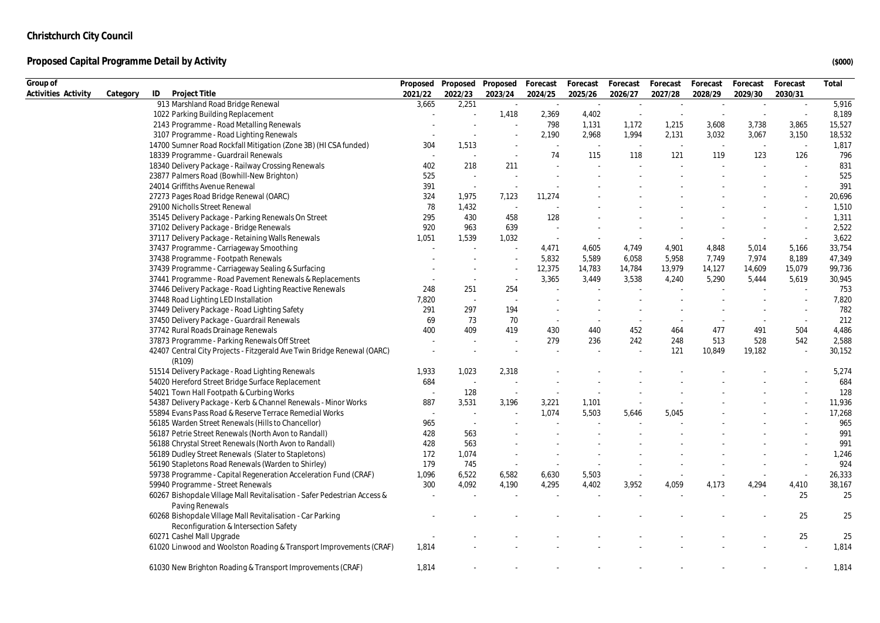| Group of            |          |                                                                                                     |         |                          | Proposed Proposed Proposed Forecast |                          | Forecast | Forecast | Forecast | Forecast | Forecast | Forecast                 | Total  |
|---------------------|----------|-----------------------------------------------------------------------------------------------------|---------|--------------------------|-------------------------------------|--------------------------|----------|----------|----------|----------|----------|--------------------------|--------|
| Activities Activity | Category | ID<br>Project Title                                                                                 | 2021/22 | 2022/23                  | 2023/24                             | 2024/25                  | 2025/26  | 2026/27  | 2027/28  | 2028/29  | 2029/30  | 2030/31                  |        |
|                     |          | 913 Marshland Road Bridge Renewal                                                                   | 3,665   | 2,251                    | $\sim$                              | $\sim$                   | $\sim$   | $\sim$   | $\sim$   | $\sim$   | $\sim$   | $\sim$                   | 5,916  |
|                     |          | 1022 Parking Building Replacement                                                                   |         |                          | 1,418                               | 2,369                    | 4,402    |          |          |          | $\sim$   | $\overline{\phantom{a}}$ | 8,189  |
|                     |          | 2143 Programme - Road Metalling Renewals                                                            |         |                          | ÷.                                  | 798                      | 1,131    | 1,172    | 1,215    | 3,608    | 3,738    | 3,865                    | 15,527 |
|                     |          | 3107 Programme - Road Lighting Renewals                                                             |         |                          |                                     | 2,190                    | 2,968    | 1,994    | 2,131    | 3,032    | 3,067    | 3,150                    | 18,532 |
|                     |          | 14700 Sumner Road Rockfall Mitigation (Zone 3B) (HI CSA funded)                                     | 304     | 1,513                    |                                     | $\overline{\phantom{a}}$ |          | $\sim$   | $\sim$   | $\sim$   | $\sim$   |                          | 1,817  |
|                     |          | 18339 Programme - Guardrail Renewals                                                                |         |                          |                                     | 74                       | 115      | 118      | 121      | 119      | 123      | 126                      | 796    |
|                     |          | 18340 Delivery Package - Railway Crossing Renewals                                                  | 402     | 218                      | 211                                 |                          |          |          |          |          |          |                          | 831    |
|                     |          | 23877 Palmers Road (Bowhill-New Brighton)                                                           | 525     | $\sim$                   |                                     |                          |          |          |          |          |          |                          | 525    |
|                     |          | 24014 Griffiths Avenue Renewal                                                                      | 391     | $\sim$                   |                                     |                          |          |          |          |          |          |                          | 391    |
|                     |          | 27273 Pages Road Bridge Renewal (OARC)                                                              | 324     | 1,975                    | 7,123                               | 11,274                   |          |          |          |          |          |                          | 20,696 |
|                     |          | 29100 Nicholls Street Renewal                                                                       | 78      | 1,432                    | $\sim$                              |                          |          |          |          |          |          |                          | 1,510  |
|                     |          | 35145 Delivery Package - Parking Renewals On Street                                                 | 295     | 430                      | 458                                 | 128                      |          |          |          |          |          |                          | 1,311  |
|                     |          | 37102 Delivery Package - Bridge Renewals                                                            | 920     | 963                      | 639                                 |                          |          |          |          |          |          |                          | 2,522  |
|                     |          | 37117 Delivery Package - Retaining Walls Renewals                                                   | 1,051   | 1,539                    | 1,032                               | $\sim$                   | $\sim$   |          |          |          |          | $\sim$                   | 3,622  |
|                     |          | 37437 Programme - Carriageway Smoothing                                                             |         |                          |                                     | 4,471                    | 4,605    | 4,749    | 4,901    | 4,848    | 5,014    | 5,166                    | 33,754 |
|                     |          | 37438 Programme - Footpath Renewals                                                                 |         |                          |                                     | 5,832                    | 5,589    | 6,058    | 5,958    | 7,749    | 7,974    | 8,189                    | 47,349 |
|                     |          | 37439 Programme - Carriageway Sealing & Surfacing                                                   |         |                          |                                     | 12,375                   | 14,783   | 14,784   | 13,979   | 14,127   | 14,609   | 15,079                   | 99,736 |
|                     |          | 37441 Programme - Road Pavement Renewals & Replacements                                             |         | $\overline{\phantom{a}}$ | $\overline{\phantom{a}}$            | 3,365                    | 3,449    | 3,538    | 4,240    | 5,290    | 5,444    | 5,619                    | 30,945 |
|                     |          | 37446 Delivery Package - Road Lighting Reactive Renewals                                            | 248     | 251                      | 254                                 |                          |          |          |          |          |          |                          | 753    |
|                     |          | 37448 Road Lighting LED Installation                                                                | 7,820   | $\sim$                   |                                     |                          |          |          |          |          |          |                          | 7,820  |
|                     |          | 37449 Delivery Package - Road Lighting Safety                                                       | 291     | 297                      | 194                                 |                          |          |          |          |          |          | $\sim$                   | 782    |
|                     |          | 37450 Delivery Package - Guardrail Renewals                                                         | 69      | 73                       | 70                                  | $\sim$                   |          |          |          |          |          | $\sim$                   | 212    |
|                     |          | 37742 Rural Roads Drainage Renewals                                                                 | 400     | 409                      | 419                                 | 430                      | 440      | 452      | 464      | 477      | 491      | 504                      | 4,486  |
|                     |          | 37873 Programme - Parking Renewals Off Street                                                       |         | ×.                       |                                     | 279                      | 236      | 242      | 248      | 513      | 528      | 542                      | 2,588  |
|                     |          | 42407 Central City Projects - Fitzgerald Ave Twin Bridge Renewal (OARC)                             |         |                          |                                     |                          |          |          | 121      | 10,849   | 19,182   |                          | 30,152 |
|                     |          | (R109)                                                                                              |         |                          |                                     |                          |          |          |          |          |          |                          |        |
|                     |          | 51514 Delivery Package - Road Lighting Renewals                                                     | 1,933   | 1,023                    | 2,318                               |                          |          |          |          |          |          |                          | 5,274  |
|                     |          | 54020 Hereford Street Bridge Surface Replacement                                                    | 684     | $\sim$                   |                                     |                          |          |          |          |          |          |                          | 684    |
|                     |          | 54021 Town Hall Footpath & Curbing Works                                                            |         | 128                      |                                     |                          |          |          |          |          |          |                          | 128    |
|                     |          | 54387 Delivery Package - Kerb & Channel Renewals - Minor Works                                      | 887     | 3,531                    | 3,196                               | 3,221                    | 1,101    |          |          |          |          |                          | 11,936 |
|                     |          | 55894 Evans Pass Road & Reserve Terrace Remedial Works                                              | $\sim$  | $\sim$                   |                                     | 1,074                    | 5,503    | 5,646    | 5,045    |          |          |                          | 17,268 |
|                     |          | 56185 Warden Street Renewals (Hills to Chancellor)                                                  | 965     | $\sim$                   |                                     |                          |          |          |          |          |          |                          | 965    |
|                     |          | 56187 Petrie Street Renewals (North Avon to Randall)                                                | 428     | 563                      |                                     |                          |          |          |          |          |          |                          | 991    |
|                     |          | 56188 Chrystal Street Renewals (North Avon to Randall)                                              | 428     | 563                      |                                     |                          |          |          |          |          |          |                          | 991    |
|                     |          | 56189 Dudley Street Renewals (Slater to Stapletons)                                                 | 172     | 1,074                    |                                     |                          |          |          |          |          |          |                          | 1,246  |
|                     |          | 56190 Stapletons Road Renewals (Warden to Shirley)                                                  | 179     | 745                      | ۰.                                  |                          |          |          |          |          |          |                          | 924    |
|                     |          | 59738 Programme - Capital Regeneration Acceleration Fund (CRAF)                                     | 1,096   | 6,522                    | 6,582                               | 6,630                    | 5,503    |          |          |          |          | $\sim$                   | 26,333 |
|                     |          | 59940 Programme - Street Renewals                                                                   | 300     | 4,092                    | 4,190                               | 4,295                    | 4,402    | 3,952    | 4,059    | 4,173    | 4,294    | 4,410                    | 38,167 |
|                     |          | 60267 Bishopdale Village Mall Revitalisation - Safer Pedestrian Access &<br>Paving Renewals         |         |                          |                                     |                          |          |          |          |          |          | 25                       | 25     |
|                     |          | 60268 Bishopdale Village Mall Revitalisation - Car Parking<br>Reconfiguration & Intersection Safety |         |                          |                                     |                          |          |          |          |          |          | 25                       | 25     |
|                     |          | 60271 Cashel Mall Upgrade                                                                           |         |                          |                                     |                          |          |          |          |          |          | 25                       | 25     |
|                     |          | 61020 Linwood and Woolston Roading & Transport Improvements (CRAF)                                  | 1,814   |                          |                                     |                          |          |          |          |          |          |                          | 1,814  |
|                     |          | 61030 New Brighton Roading & Transport Improvements (CRAF)                                          | 1,814   |                          |                                     |                          |          |          |          |          |          |                          | 1,814  |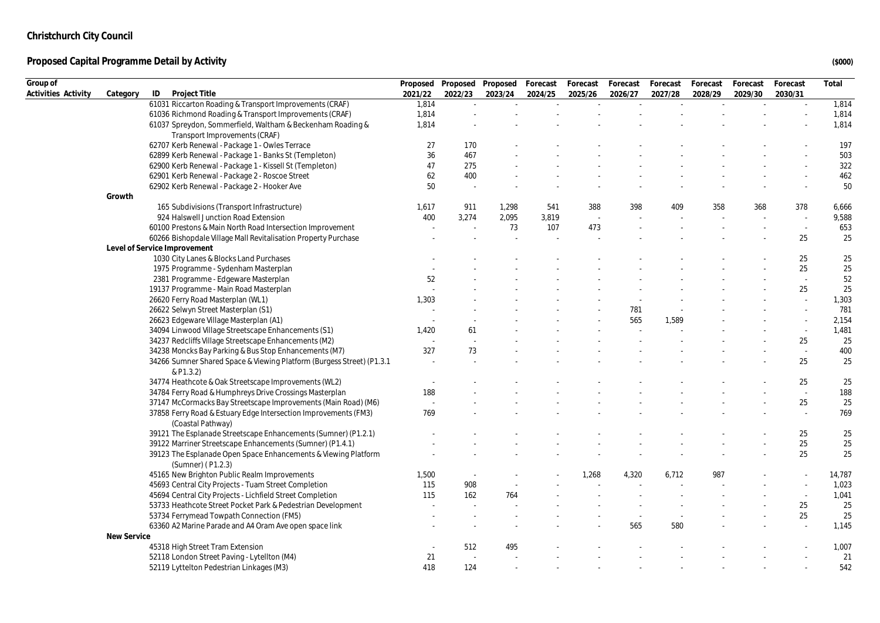| Group of            |             |                                                                       | Proposed |         | Proposed Proposed | Forecast | Forecast | Forecast | Forecast | Forecast | Forecast | Forecast                 | Total  |
|---------------------|-------------|-----------------------------------------------------------------------|----------|---------|-------------------|----------|----------|----------|----------|----------|----------|--------------------------|--------|
| Activities Activity | Category    | ID<br>Project Title                                                   | 2021/22  | 2022/23 | 2023/24           | 2024/25  | 2025/26  | 2026/27  | 2027/28  | 2028/29  | 2029/30  | 2030/31                  |        |
|                     |             | 61031 Riccarton Roading & Transport Improvements (CRAF)               | 1,814    | $\sim$  |                   |          |          |          |          |          |          | $\sim$                   | 1,814  |
|                     |             | 61036 Richmond Roading & Transport Improvements (CRAF)                | 1,814    |         |                   |          |          |          |          |          |          |                          | 1,814  |
|                     |             | 61037 Spreydon, Sommerfield, Waltham & Beckenham Roading &            | 1,814    |         |                   |          |          |          |          |          |          |                          | 1,814  |
|                     |             | Transport Improvements (CRAF)                                         |          |         |                   |          |          |          |          |          |          |                          |        |
|                     |             | 62707 Kerb Renewal - Package 1 - Owles Terrace                        | 27       | 170     |                   |          |          |          |          |          |          |                          | 197    |
|                     |             | 62899 Kerb Renewal - Package 1 - Banks St (Templeton)                 | 36       | 467     |                   |          |          |          |          |          |          |                          | 503    |
|                     |             | 62900 Kerb Renewal - Package 1 - Kissell St (Templeton)               | 47       | 275     |                   |          |          |          |          |          |          |                          | 322    |
|                     |             | 62901 Kerb Renewal - Package 2 - Roscoe Street                        | 62       | 400     |                   |          |          |          |          |          |          |                          | 462    |
|                     |             | 62902 Kerb Renewal - Package 2 - Hooker Ave                           | 50       | ۰.      |                   |          |          |          |          |          |          |                          | 50     |
|                     | Growth      |                                                                       |          |         |                   |          |          |          |          |          |          |                          |        |
|                     |             | 165 Subdivisions (Transport Infrastructure)                           | 1,617    | 911     | 1,298             | 541      | 388      | 398      | 409      | 358      | 368      | 378                      | 6,666  |
|                     |             | 924 Halswell Junction Road Extension                                  | 400      | 3,274   | 2,095             | 3,819    |          |          |          |          |          |                          | 9,588  |
|                     |             | 60100 Prestons & Main North Road Intersection Improvement             |          |         | 73                | 107      | 473      |          |          |          |          |                          | 653    |
|                     |             | 60266 Bishopdale Village Mall Revitalisation Property Purchase        |          |         |                   |          |          |          |          |          |          | 25                       | 25     |
|                     |             | Level of Service Improvement                                          |          |         |                   |          |          |          |          |          |          |                          |        |
|                     |             | 1030 City Lanes & Blocks Land Purchases                               |          |         |                   |          |          |          |          |          |          | 25                       | 25     |
|                     |             | 1975 Programme - Sydenham Masterplan                                  |          |         |                   |          |          |          |          |          |          | 25                       | 25     |
|                     |             | 2381 Programme - Edgeware Masterplan                                  | 52       |         |                   |          |          |          |          |          |          | $\sim$                   | 52     |
|                     |             | 19137 Programme - Main Road Masterplan                                |          |         |                   |          |          |          |          |          |          | 25                       | 25     |
|                     |             | 26620 Ferry Road Masterplan (WL1)                                     | 1,303    |         |                   |          |          |          |          |          |          | ÷                        | 1,303  |
|                     |             | 26622 Selwyn Street Masterplan (S1)                                   |          |         |                   |          |          | 781      |          |          |          | $\sim$                   | 781    |
|                     |             | 26623 Edgeware Village Masterplan (A1)                                |          |         |                   |          |          | 565      | 1,589    |          |          |                          | 2,154  |
|                     |             | 34094 Linwood Village Streetscape Enhancements (S1)                   | 1,420    | 61      |                   |          |          |          |          |          |          | $\overline{\phantom{a}}$ | 1,481  |
|                     |             | 34237 Redcliffs Village Streetscape Enhancements (M2)                 |          |         |                   |          |          |          |          |          |          | 25                       | 25     |
|                     |             | 34238 Moncks Bay Parking & Bus Stop Enhancements (M7)                 | 327      | 73      |                   |          |          |          |          |          |          |                          | 400    |
|                     |             | 34266 Sumner Shared Space & Viewing Platform (Burgess Street) (P1.3.1 |          |         |                   |          |          |          |          |          |          | 25                       | 25     |
|                     |             | & P1.3.2)                                                             |          |         |                   |          |          |          |          |          |          |                          |        |
|                     |             | 34774 Heathcote & Oak Streetscape Improvements (WL2)                  |          |         |                   |          |          |          |          |          |          | 25                       | 25     |
|                     |             | 34784 Ferry Road & Humphreys Drive Crossings Masterplan               | 188      |         |                   |          |          |          |          |          |          | $\sim$                   | 188    |
|                     |             | 37147 McCormacks Bay Streetscape Improvements (Main Road) (M6)        |          |         |                   |          |          |          |          |          |          | 25                       | 25     |
|                     |             | 37858 Ferry Road & Estuary Edge Intersection Improvements (FM3)       | 769      |         |                   |          |          |          |          |          |          |                          | 769    |
|                     |             | (Coastal Pathway)                                                     |          |         |                   |          |          |          |          |          |          |                          |        |
|                     |             | 39121 The Esplanade Streetscape Enhancements (Sumner) (P1.2.1)        |          |         |                   |          |          |          |          |          |          | 25                       | 25     |
|                     |             | 39122 Marriner Streetscape Enhancements (Sumner) (P1.4.1)             |          |         |                   |          |          |          |          |          |          | 25                       | 25     |
|                     |             | 39123 The Esplanade Open Space Enhancements & Viewing Platform        |          |         |                   |          |          |          |          |          |          | 25                       | 25     |
|                     |             | (Sumner) (P1.2.3)                                                     |          |         |                   |          |          |          |          |          |          |                          |        |
|                     |             | 45165 New Brighton Public Realm Improvements                          | 1,500    | $\sim$  |                   |          | 1,268    | 4,320    | 6,712    | 987      |          |                          | 14,787 |
|                     |             | 45693 Central City Projects - Tuam Street Completion                  | 115      | 908     |                   |          |          |          |          |          |          |                          | 1,023  |
|                     |             | 45694 Central City Projects - Lichfield Street Completion             | 115      | 162     | 764               |          |          |          |          |          |          | $\sim$                   | 1,041  |
|                     |             | 53733 Heathcote Street Pocket Park & Pedestrian Development           |          |         |                   |          |          |          |          |          |          | 25                       | 25     |
|                     |             | 53734 Ferrymead Towpath Connection (FM5)                              |          |         |                   |          |          |          |          |          |          | 25                       | 25     |
|                     |             | 63360 A2 Marine Parade and A4 Oram Ave open space link                |          |         |                   |          |          | 565      | 580      |          |          | ÷,                       | 1,145  |
|                     | New Service |                                                                       |          |         |                   |          |          |          |          |          |          |                          |        |
|                     |             | 45318 High Street Tram Extension                                      |          | 512     | 495               |          |          |          |          |          |          |                          | 1,007  |
|                     |             | 52118 London Street Paving - Lytellton (M4)                           | 21       |         |                   |          |          |          |          |          |          |                          | 21     |
|                     |             | 52119 Lyttelton Pedestrian Linkages (M3)                              | 418      | 124     |                   |          |          |          |          |          |          |                          | 542    |
|                     |             |                                                                       |          |         |                   |          |          |          |          |          |          |                          |        |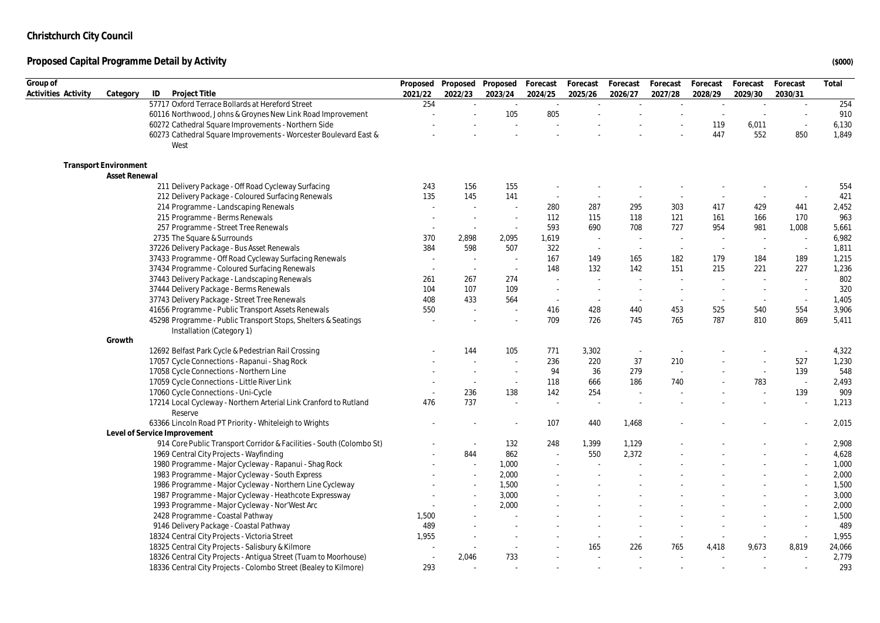| Group of            |                              |                                                                                            |         |         | Proposed Proposed Proposed Forecast |         | Forecast                 | Forecast | Forecast | Forecast | Forecast | Forecast                 | Total  |
|---------------------|------------------------------|--------------------------------------------------------------------------------------------|---------|---------|-------------------------------------|---------|--------------------------|----------|----------|----------|----------|--------------------------|--------|
| Activities Activity | Category                     | Project Title<br>ID                                                                        | 2021/22 | 2022/23 | 2023/24                             | 2024/25 | 2025/26                  | 2026/27  | 2027/28  | 2028/29  | 2029/30  | 2030/31                  |        |
|                     |                              | 57717 Oxford Terrace Bollards at Hereford Street                                           | 254     | $\sim$  | $\sim$                              | $\sim$  |                          | $\sim$   | $\sim$   | $\sim$   | $\sim$   | $\sim$                   | 254    |
|                     |                              | 60116 Northwood, Johns & Groynes New Link Road Improvement                                 |         |         | 105                                 | 805     |                          |          |          |          | $\sim$   | ÷,                       | 910    |
|                     |                              | 60272 Cathedral Square Improvements - Northern Side                                        |         |         |                                     |         |                          |          |          | 119      | 6,011    | $\sim$                   | 6,130  |
|                     |                              | 60273 Cathedral Square Improvements - Worcester Boulevard East &                           |         |         |                                     |         |                          |          |          | 447      | 552      | 850                      | 1,849  |
|                     |                              | West                                                                                       |         |         |                                     |         |                          |          |          |          |          |                          |        |
|                     | <b>Transport Environment</b> |                                                                                            |         |         |                                     |         |                          |          |          |          |          |                          |        |
|                     | Asset Renewal                |                                                                                            |         |         |                                     |         |                          |          |          |          |          |                          |        |
|                     |                              | 211 Delivery Package - Off Road Cycleway Surfacing                                         | 243     | 156     | 155                                 |         |                          |          |          |          |          |                          | 554    |
|                     |                              | 212 Delivery Package - Coloured Surfacing Renewals                                         | 135     | 145     | 141                                 | $\sim$  | $\sim$                   |          |          |          | $\sim$   | $\sim$                   | 421    |
|                     |                              | 214 Programme - Landscaping Renewals                                                       | $\sim$  | $\sim$  | ÷.                                  | 280     | 287                      | 295      | 303      | 417      | 429      | 441                      | 2,452  |
|                     |                              | 215 Programme - Berms Renewals                                                             |         | $\sim$  | ۰.                                  | 112     | 115                      | 118      | 121      | 161      | 166      | 170                      | 963    |
|                     |                              | 257 Programme - Street Tree Renewals                                                       |         | $\sim$  | $\sim$                              | 593     | 690                      | 708      | 727      | 954      | 981      | 1,008                    | 5,661  |
|                     |                              | 2735 The Square & Surrounds                                                                | 370     | 2,898   | 2,095                               | 1,619   | $\sim$                   |          |          | $\sim$   | $\sim$   |                          | 6,982  |
|                     |                              | 37226 Delivery Package - Bus Asset Renewals                                                | 384     | 598     | 507                                 | 322     | $\sim$                   |          | $\sim$   | $\sim$   | $\sim$   | $\sim$                   | 1,811  |
|                     |                              | 37433 Programme - Off Road Cycleway Surfacing Renewals                                     | $\sim$  | $\sim$  |                                     | 167     | 149                      | 165      | 182      | 179      | 184      | 189                      | 1,215  |
|                     |                              | 37434 Programme - Coloured Surfacing Renewals                                              | $\sim$  | $\sim$  | $\sim$                              | 148     | 132                      | 142      | 151      | 215      | 221      | 227                      | 1,236  |
|                     |                              | 37443 Delivery Package - Landscaping Renewals                                              | 261     | 267     | 274                                 | $\sim$  | $\sim$                   |          |          |          | $\sim$   | $\sim$                   | 802    |
|                     |                              | 37444 Delivery Package - Berms Renewals                                                    | 104     | 107     | 109                                 | $\sim$  |                          |          |          |          |          | $\sim$                   | 320    |
|                     |                              | 37743 Delivery Package - Street Tree Renewals                                              | 408     | 433     | 564                                 | $\sim$  | $\sim$                   |          |          | $\sim$   | $\sim$   | $\sim$                   | 1,405  |
|                     |                              | 41656 Programme - Public Transport Assets Renewals                                         | 550     | ÷.      | ÷.                                  | 416     | 428                      | 440      | 453      | 525      | 540      | 554                      | 3,906  |
|                     |                              | 45298 Programme - Public Transport Stops, Shelters & Seatings<br>Installation (Category 1) |         |         |                                     | 709     | 726                      | 745      | 765      | 787      | 810      | 869                      | 5,411  |
|                     | Growth                       |                                                                                            |         |         |                                     |         |                          |          |          |          |          |                          |        |
|                     |                              | 12692 Belfast Park Cycle & Pedestrian Rail Crossing                                        |         | 144     | 105                                 | 771     | 3,302                    |          |          |          |          |                          | 4,322  |
|                     |                              | 17057 Cycle Connections - Rapanui - Shag Rock                                              |         |         |                                     | 236     | 220                      | 37       | 210      |          |          | 527                      | 1,230  |
|                     |                              | 17058 Cycle Connections - Northern Line                                                    |         |         |                                     | 94      | 36                       | 279      |          |          | $\sim$   | 139                      | 548    |
|                     |                              | 17059 Cycle Connections - Little River Link                                                |         | $\sim$  | $\sim$                              | 118     | 666                      | 186      | 740      |          | 783      | $\sim$                   | 2,493  |
|                     |                              | 17060 Cycle Connections - Uni-Cycle                                                        |         | 236     | 138                                 | 142     | 254                      |          |          |          |          | 139                      | 909    |
|                     |                              | 17214 Local Cycleway - Northern Arterial Link Cranford to Rutland                          | 476     | 737     | $\overline{\phantom{a}}$            | $\sim$  | $\sim$                   |          |          |          |          | $\overline{\phantom{a}}$ | 1,213  |
|                     |                              | Reserve                                                                                    |         |         |                                     |         |                          |          |          |          |          |                          |        |
|                     |                              | 63366 Lincoln Road PT Priority - Whiteleigh to Wrights                                     |         |         |                                     | 107     | 440                      | 1,468    |          |          |          |                          | 2,015  |
|                     |                              | Level of Service Improvement                                                               |         |         |                                     |         |                          |          |          |          |          |                          |        |
|                     |                              | 914 Core Public Transport Corridor & Facilities - South (Colombo St)                       |         | $\sim$  | 132                                 | 248     | 1,399                    | 1,129    |          |          |          |                          | 2,908  |
|                     |                              | 1969 Central City Projects - Wayfinding                                                    |         | 844     | 862                                 |         | 550                      | 2,372    |          |          |          |                          | 4,628  |
|                     |                              | 1980 Programme - Major Cycleway - Rapanui - Shag Rock                                      |         | $\sim$  | 1,000                               |         |                          |          |          |          |          |                          | 1,000  |
|                     |                              | 1983 Programme - Major Cycleway - South Express                                            |         | $\sim$  | 2,000                               |         |                          |          |          |          |          |                          | 2,000  |
|                     |                              | 1986 Programme - Major Cycleway - Northern Line Cycleway                                   |         |         | 1,500                               |         |                          |          |          |          |          |                          | 1,500  |
|                     |                              | 1987 Programme - Major Cycleway - Heathcote Expressway                                     |         | $\sim$  | 3,000                               |         |                          |          |          |          |          |                          | 3,000  |
|                     |                              | 1993 Programme - Major Cycleway - Nor'West Arc                                             |         |         | 2,000                               |         |                          |          |          |          |          |                          | 2,000  |
|                     |                              | 2428 Programme - Coastal Pathway                                                           | 1,500   |         |                                     |         |                          |          |          |          |          | $\sim$                   | 1,500  |
|                     |                              | 9146 Delivery Package - Coastal Pathway                                                    | 489     |         |                                     |         |                          |          |          |          |          | $\sim$                   | 489    |
|                     |                              | 18324 Central City Projects - Victoria Street                                              | 1,955   |         |                                     |         | $\overline{\phantom{a}}$ |          |          |          |          | $\overline{\phantom{a}}$ | 1,955  |
|                     |                              | 18325 Central City Projects - Salisbury & Kilmore                                          |         |         |                                     |         | 165                      | 226      | 765      | 4,418    | 9,673    | 8,819                    | 24,066 |
|                     |                              | 18326 Central City Projects - Antigua Street (Tuam to Moorhouse)                           | $\sim$  | 2,046   | 733                                 |         |                          |          |          |          |          |                          | 2,779  |
|                     |                              | 18336 Central City Projects - Colombo Street (Bealey to Kilmore)                           | 293     |         |                                     |         |                          |          |          |          |          |                          | 293    |
|                     |                              |                                                                                            |         |         |                                     |         |                          |          |          |          |          |                          |        |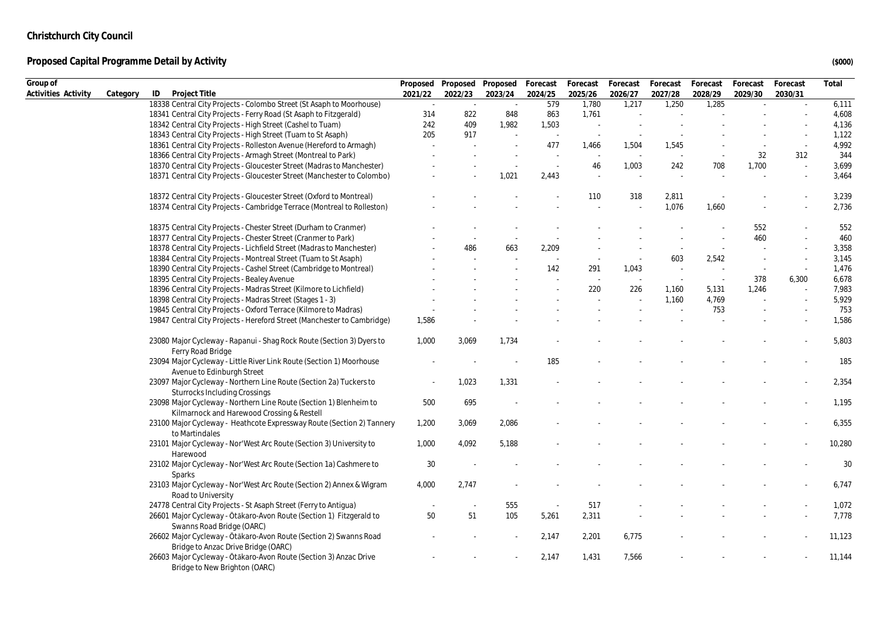| Group of            |          |                                                                                                                  |         |         | Proposed Proposed Proposed Forecast |         | Forecast | Forecast | Forecast | Forecast | Forecast | Forecast  | Total  |
|---------------------|----------|------------------------------------------------------------------------------------------------------------------|---------|---------|-------------------------------------|---------|----------|----------|----------|----------|----------|-----------|--------|
| Activities Activity | Category | ID<br>Project Title                                                                                              | 2021/22 | 2022/23 | 2023/24                             | 2024/25 | 2025/26  | 2026/27  | 2027/28  | 2028/29  | 2029/30  | 2030/31   |        |
|                     |          | 18338 Central City Projects - Colombo Street (St Asaph to Moorhouse)                                             | $\sim$  | $\sim$  | $\sim$                              | 579     | 1,780    | 1,217    | 1,250    | 1,285    |          | $\bar{a}$ | 6,111  |
|                     |          | 18341 Central City Projects - Ferry Road (St Asaph to Fitzgerald)                                                | 314     | 822     | 848                                 | 863     | 1,761    |          |          |          |          |           | 4,608  |
|                     |          | 18342 Central City Projects - High Street (Cashel to Tuam)                                                       | 242     | 409     | 1,982                               | 1,503   |          |          |          |          |          |           | 4,136  |
|                     |          | 18343 Central City Projects - High Street (Tuam to St Asaph)                                                     | 205     | 917     |                                     |         |          |          |          |          |          |           | 1,122  |
|                     |          | 18361 Central City Projects - Rolleston Avenue (Hereford to Armagh)                                              |         |         |                                     | 477     | 1,466    | 1,504    | 1,545    |          |          |           | 4,992  |
|                     |          | 18366 Central City Projects - Armagh Street (Montreal to Park)                                                   |         |         |                                     |         |          |          |          |          | 32       | 312       | 344    |
|                     |          | 18370 Central City Projects - Gloucester Street (Madras to Manchester)                                           |         |         |                                     | ÷.      | 46       | 1,003    | 242      | 708      | 1,700    | ÷,        | 3,699  |
|                     |          | 18371 Central City Projects - Gloucester Street (Manchester to Colombo)                                          |         |         | 1,021                               | 2,443   |          |          |          |          |          |           | 3,464  |
|                     |          | 18372 Central City Projects - Gloucester Street (Oxford to Montreal)                                             |         |         |                                     |         | 110      | 318      | 2,811    |          |          |           | 3,239  |
|                     |          | 18374 Central City Projects - Cambridge Terrace (Montreal to Rolleston)                                          |         |         |                                     |         |          |          | 1,076    | 1,660    |          |           | 2,736  |
|                     |          | 18375 Central City Projects - Chester Street (Durham to Cranmer)                                                 |         |         |                                     |         |          |          |          |          | 552      |           | 552    |
|                     |          | 18377 Central City Projects - Chester Street (Cranmer to Park)                                                   |         |         |                                     |         |          |          |          |          | 460      |           | 460    |
|                     |          | 18378 Central City Projects - Lichfield Street (Madras to Manchester)                                            |         | 486     | 663                                 | 2,209   |          |          |          |          |          |           | 3,358  |
|                     |          | 18384 Central City Projects - Montreal Street (Tuam to St Asaph)                                                 |         |         |                                     |         |          |          | 603      | 2,542    |          |           | 3,145  |
|                     |          | 18390 Central City Projects - Cashel Street (Cambridge to Montreal)                                              |         |         |                                     | 142     | 291      | 1,043    |          |          | $\sim$   |           | 1,476  |
|                     |          | 18395 Central City Projects - Bealey Avenue                                                                      |         |         |                                     |         |          |          |          |          | 378      | 6,300     | 6,678  |
|                     |          | 18396 Central City Projects - Madras Street (Kilmore to Lichfield)                                               |         |         |                                     |         | 220      | 226      | 1,160    | 5,131    | 1,246    |           | 7,983  |
|                     |          | 18398 Central City Projects - Madras Street (Stages 1 - 3)                                                       |         |         |                                     |         |          |          | 1,160    | 4,769    |          |           | 5,929  |
|                     |          | 19845 Central City Projects - Oxford Terrace (Kilmore to Madras)                                                 |         |         |                                     |         |          |          |          | 753      |          | $\sim$    | 753    |
|                     |          | 19847 Central City Projects - Hereford Street (Manchester to Cambridge)                                          | 1,586   |         |                                     |         |          |          |          |          |          |           | 1,586  |
|                     |          | 23080 Major Cycleway - Rapanui - Shag Rock Route (Section 3) Dyers to<br>Ferry Road Bridge                       | 1,000   | 3,069   | 1,734                               |         |          |          |          |          |          |           | 5,803  |
|                     |          | 23094 Major Cycleway - Little River Link Route (Section 1) Moorhouse<br>Avenue to Edinburgh Street               |         |         |                                     | 185     |          |          |          |          |          |           | 185    |
|                     |          | 23097 Major Cycleway - Northern Line Route (Section 2a) Tuckers to<br><b>Sturrocks Including Crossings</b>       |         | 1,023   | 1,331                               |         |          |          |          |          |          |           | 2,354  |
|                     |          | 23098 Major Cycleway - Northern Line Route (Section 1) Blenheim to<br>Kilmarnock and Harewood Crossing & Restell | 500     | 695     |                                     |         |          |          |          |          |          |           | 1,195  |
|                     |          | 23100 Major Cycleway - Heathcote Expressway Route (Section 2) Tannery<br>to Martindales                          | 1,200   | 3,069   | 2,086                               |         |          |          |          |          |          |           | 6,355  |
|                     |          | 23101 Major Cycleway - Nor'West Arc Route (Section 3) University to<br>Harewood                                  | 1,000   | 4,092   | 5,188                               |         |          |          |          |          |          |           | 10,280 |
|                     |          | 23102 Major Cycleway - Nor'West Arc Route (Section 1a) Cashmere to<br>Sparks                                     | 30      |         |                                     |         |          |          |          |          |          |           | 30     |
|                     |          | 23103 Major Cycleway - Nor'West Arc Route (Section 2) Annex & Wigram<br>Road to University                       | 4,000   | 2,747   |                                     |         |          |          |          |          |          |           | 6,747  |
|                     |          | 24778 Central City Projects - St Asaph Street (Ferry to Antigua)                                                 |         | $\sim$  | 555                                 | $\sim$  | 517      |          |          |          |          |           | 1,072  |
|                     |          | 26601 Major Cycleway - Ōtākaro-Avon Route (Section 1) Fitzgerald to<br>Swanns Road Bridge (OARC)                 | 50      | 51      | 105                                 | 5,261   | 2,311    |          |          |          |          |           | 7,778  |
|                     |          | 26602 Major Cycleway - Ōtākaro-Avon Route (Section 2) Swanns Road<br>Bridge to Anzac Drive Bridge (OARC)         |         |         |                                     | 2,147   | 2,201    | 6,775    |          |          |          |           | 11,123 |
|                     |          | 26603 Major Cycleway - Ōtākaro-Avon Route (Section 3) Anzac Drive<br>Bridge to New Brighton (OARC)               |         |         |                                     | 2,147   | 1,431    | 7,566    |          |          |          |           | 11,144 |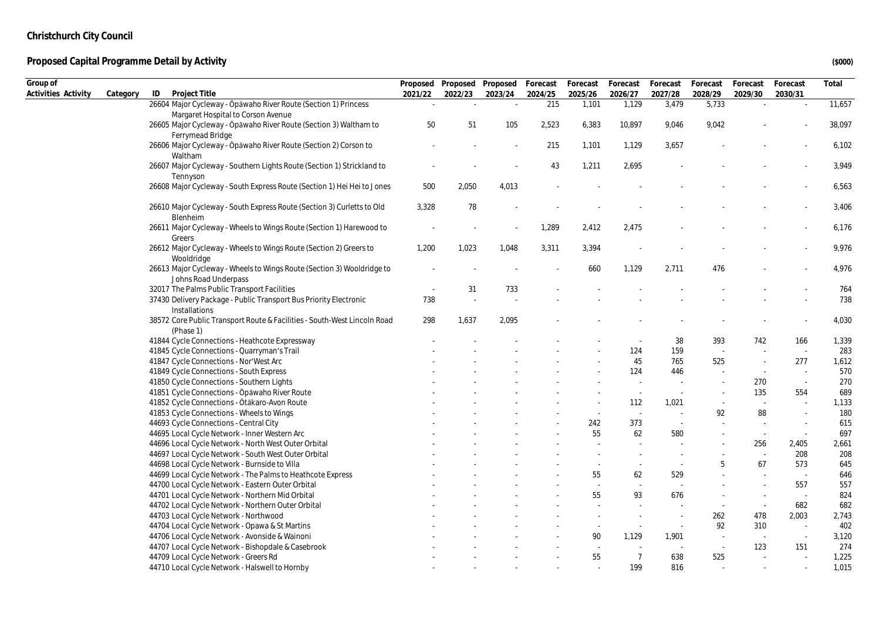| Group of            |          |                                                                                   |         | Proposed Proposed Proposed Forecast |         |         | Forecast | Forecast       | Forecast   | Forecast | Forecast | Forecast                 | Total          |
|---------------------|----------|-----------------------------------------------------------------------------------|---------|-------------------------------------|---------|---------|----------|----------------|------------|----------|----------|--------------------------|----------------|
| Activities Activity | Category | ID<br>Project Title                                                               | 2021/22 | 2022/23                             | 2023/24 | 2024/25 | 2025/26  | 2026/27        | 2027/28    | 2028/29  | 2029/30  | 2030/31                  |                |
|                     |          | 26604 Major Cycleway - Ōpāwaho River Route (Section 1) Princess                   |         |                                     | $\sim$  | 215     | 1,101    | 1,129          | 3,479      | 5,733    |          | $\omega$                 | 11,657         |
|                     |          | Margaret Hospital to Corson Avenue                                                |         |                                     |         |         |          |                |            |          |          |                          |                |
|                     |          | 26605 Major Cycleway - Ōpāwaho River Route (Section 3) Waltham to                 | 50      | 51                                  | 105     | 2,523   | 6,383    | 10,897         | 9,046      | 9,042    |          |                          | 38,097         |
|                     |          | Ferrymead Bridge                                                                  |         |                                     |         |         |          |                |            |          |          |                          |                |
|                     |          | 26606 Major Cycleway - Ōpāwaho River Route (Section 2) Corson to                  |         |                                     |         | 215     | 1,101    | 1,129          | 3,657      |          |          |                          | 6,102          |
|                     |          | Waltham<br>26607 Major Cycleway - Southern Lights Route (Section 1) Strickland to |         |                                     |         | 43      | 1,211    | 2,695          |            |          |          |                          | 3,949          |
|                     |          | Tennyson                                                                          |         |                                     |         |         |          |                |            |          |          |                          |                |
|                     |          | 26608 Major Cycleway - South Express Route (Section 1) Hei Hei to Jones           | 500     | 2,050                               | 4,013   |         |          |                |            |          |          |                          | 6,563          |
|                     |          |                                                                                   |         |                                     |         |         |          |                |            |          |          |                          |                |
|                     |          | 26610 Major Cycleway - South Express Route (Section 3) Curletts to Old            | 3,328   | $78\,$                              |         |         |          |                |            |          |          |                          | 3,406          |
|                     |          | Blenheim                                                                          |         |                                     |         |         |          |                |            |          |          |                          |                |
|                     |          | 26611 Major Cycleway - Wheels to Wings Route (Section 1) Harewood to              |         |                                     | $\sim$  | 1,289   | 2,412    | 2,475          |            |          |          |                          | 6,176          |
|                     |          | Greers                                                                            |         |                                     |         |         |          |                |            |          |          |                          |                |
|                     |          | 26612 Major Cycleway - Wheels to Wings Route (Section 2) Greers to                | 1,200   | 1,023                               | 1,048   | 3,311   | 3,394    |                |            |          |          |                          | 9,976          |
|                     |          | Wooldridge                                                                        |         |                                     |         |         |          |                |            |          |          |                          |                |
|                     |          | 26613 Major Cycleway - Wheels to Wings Route (Section 3) Wooldridge to            |         |                                     |         |         | 660      | 1,129          | 2,711      | 476      |          |                          | 4,976          |
|                     |          | Johns Road Underpass                                                              |         |                                     |         |         |          |                |            |          |          |                          |                |
|                     |          | 32017 The Palms Public Transport Facilities                                       |         | 31                                  | 733     |         |          |                |            |          |          |                          | 764            |
|                     |          | 37430 Delivery Package - Public Transport Bus Priority Electronic                 | 738     |                                     |         |         |          |                |            |          |          |                          | 738            |
|                     |          | Installations                                                                     |         |                                     |         |         |          |                |            |          |          |                          |                |
|                     |          | 38572 Core Public Transport Route & Facilities - South-West Lincoln Road          | 298     | 1,637                               | 2,095   |         |          |                |            |          |          |                          | 4,030          |
|                     |          | (Phase 1)<br>41844 Cycle Connections - Heathcote Expressway                       |         |                                     |         |         |          |                | 38         | 393      | 742      | 166                      | 1,339          |
|                     |          | 41845 Cycle Connections - Quarryman's Trail                                       |         |                                     |         |         |          | 124            | 159        |          |          | $\sim$                   | 283            |
|                     |          | 41847 Cycle Connections - Nor'West Arc                                            |         |                                     |         |         |          | 45             | 765        | 525      |          | 277                      | 1,612          |
|                     |          | 41849 Cycle Connections - South Express                                           |         |                                     |         |         |          | 124            | 446        |          | $\sim$   | $\sim$                   | 570            |
|                     |          | 41850 Cycle Connections - Southern Lights                                         |         |                                     |         |         |          |                |            |          | 270      | $\overline{\phantom{a}}$ | 270            |
|                     |          | 41851 Cycle Connections - Opawaho River Route                                     |         |                                     |         |         |          | ×,             | $\sim$     |          | 135      | 554                      | 689            |
|                     |          | 41852 Cycle Connections - Ōtākaro-Avon Route                                      |         |                                     |         |         |          | 112            | 1,021      | $\sim$   | $\sim$   | $\sim$                   | 1,133          |
|                     |          | 41853 Cycle Connections - Wheels to Wings                                         |         |                                     |         |         |          | $\sim$         |            | 92       | 88       | $\sim$                   | 180            |
|                     |          | 44693 Cycle Connections - Central City                                            |         |                                     |         |         | 242      | 373            | $\sim$     |          | ÷.       | $\sim$                   | 615            |
|                     |          | 44695 Local Cycle Network - Inner Western Arc                                     |         |                                     |         |         | 55       | 62             | 580        |          | $\sim$   | $\sim$                   | 697            |
|                     |          | 44696 Local Cycle Network - North West Outer Orbital                              |         |                                     |         |         |          |                |            |          | 256      | 2,405                    | 2,661          |
|                     |          | 44697 Local Cycle Network - South West Outer Orbital                              |         |                                     |         |         |          |                |            |          | ÷.       | 208                      | 208            |
|                     |          | 44698 Local Cycle Network - Burnside to Villa                                     |         |                                     |         |         |          |                |            | 5        | 67       | 573                      | 645            |
|                     |          | 44699 Local Cycle Network - The Palms to Heathcote Express                        |         |                                     |         |         | 55       | 62             | 529        |          |          | $\sim$                   | 646            |
|                     |          | 44700 Local Cycle Network - Eastern Outer Orbital                                 |         |                                     |         |         |          |                |            |          |          | 557                      | 557            |
|                     |          | 44701 Local Cycle Network - Northern Mid Orbital                                  |         |                                     |         |         | 55       | 93             | 676        |          |          | $\sim$                   | 824            |
|                     |          | 44702 Local Cycle Network - Northern Outer Orbital                                |         |                                     |         |         |          |                |            |          |          | 682                      | 682            |
|                     |          | 44703 Local Cycle Network - Northwood                                             |         |                                     |         |         |          |                |            | 262      | 478      | 2,003                    | 2,743          |
|                     |          | 44704 Local Cycle Network - Opawa & St Martins                                    |         |                                     |         |         |          |                | $\sim$     | 92       | 310      | $\sim$                   | 402            |
|                     |          | 44706 Local Cycle Network - Avonside & Wainoni                                    |         |                                     |         |         | 90       | 1,129          | 1,901      | $\sim$   | $\sim$   | $\sim$                   | 3,120          |
|                     |          | 44707 Local Cycle Network - Bishopdale & Casebrook                                |         |                                     |         |         |          | $\overline{7}$ |            | $\sim$   | 123      | 151                      | 274            |
|                     |          | 44709 Local Cycle Network - Greers Rd                                             |         |                                     |         |         | 55       | 199            | 638<br>816 | 525      |          | $\sim$                   | 1,225<br>1,015 |
|                     |          | 44710 Local Cycle Network - Halswell to Hornby                                    |         |                                     |         |         |          |                |            |          |          |                          |                |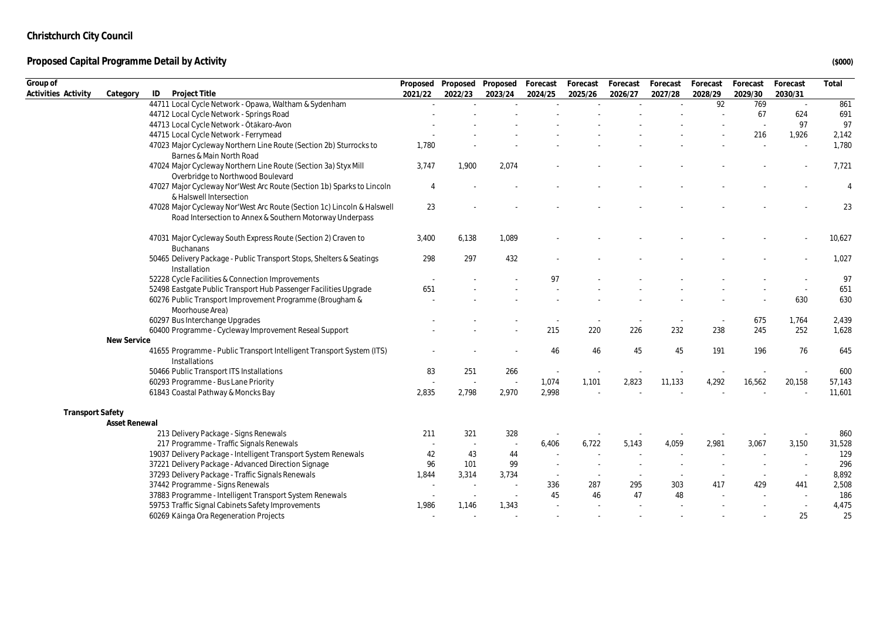| Group of                |               |                                                                                                                                     |                | Proposed Proposed | Proposed | Forecast | Forecast | Forecast | Forecast | Forecast  | Forecast | Forecast | Total          |
|-------------------------|---------------|-------------------------------------------------------------------------------------------------------------------------------------|----------------|-------------------|----------|----------|----------|----------|----------|-----------|----------|----------|----------------|
| Activities Activity     | Category      | Project Title<br>ID                                                                                                                 | 2021/22        | 2022/23           | 2023/24  | 2024/25  | 2025/26  | 2026/27  | 2027/28  | 2028/29   | 2029/30  | 2030/31  |                |
|                         |               | 44711 Local Cycle Network - Opawa, Waltham & Sydenham                                                                               |                |                   |          |          |          | $\sim$   |          | 92        | 769      | $\sim$   | 861            |
|                         |               | 44712 Local Cycle Network - Springs Road                                                                                            |                |                   |          |          |          |          |          | $\bar{a}$ | 67       | 624      | 691            |
|                         |               | 44713 Local Cycle Network - Ōtākaro-Avon                                                                                            |                |                   |          |          |          |          |          |           |          | 97       | 97             |
|                         |               | 44715 Local Cycle Network - Ferrymead                                                                                               |                |                   |          |          |          |          |          |           | 216      | 1,926    | 2,142          |
|                         |               | 47023 Major Cycleway Northern Line Route (Section 2b) Sturrocks to<br>Barnes & Main North Road                                      | 1,780          |                   |          |          |          |          |          |           |          |          | 1,780          |
|                         |               | 47024 Major Cycleway Northern Line Route (Section 3a) Styx Mill<br>Overbridge to Northwood Boulevard                                | 3,747          | 1,900             | 2,074    |          |          |          |          |           |          |          | 7,721          |
|                         |               | 47027 Major Cycleway Nor'West Arc Route (Section 1b) Sparks to Lincoln<br>& Halswell Intersection                                   | $\overline{4}$ |                   |          |          |          |          |          |           |          |          | $\overline{4}$ |
|                         |               | 47028 Major Cycleway Nor'West Arc Route (Section 1c) Lincoln & Halswell<br>Road Intersection to Annex & Southern Motorway Underpass | 23             |                   |          |          |          |          |          |           |          |          | 23             |
|                         |               | 47031 Major Cycleway South Express Route (Section 2) Craven to<br><b>Buchanans</b>                                                  | 3,400          | 6,138             | 1,089    |          |          |          |          |           |          |          | 10,627         |
|                         |               | 50465 Delivery Package - Public Transport Stops, Shelters & Seatings<br>Installation                                                | 298            | 297               | 432      |          |          |          |          |           |          |          | 1,027          |
|                         |               | 52228 Cycle Facilities & Connection Improvements                                                                                    |                |                   |          | 97       |          |          |          |           |          |          | 97             |
|                         |               | 52498 Eastgate Public Transport Hub Passenger Facilities Upgrade                                                                    | 651            |                   |          |          |          |          |          |           |          | $\sim$   | 651            |
|                         |               | 60276 Public Transport Improvement Programme (Brougham &<br>Moorhouse Area)                                                         |                |                   |          |          |          |          |          |           |          | 630      | 630            |
|                         |               | 60297 Bus Interchange Upgrades                                                                                                      |                |                   |          |          |          |          |          |           | 675      | 1,764    | 2,439          |
|                         |               | 60400 Programme - Cycleway Improvement Reseal Support                                                                               |                |                   |          | 215      | 220      | 226      | 232      | 238       | 245      | 252      | 1,628          |
|                         | New Service   |                                                                                                                                     |                |                   |          |          |          |          |          |           |          |          |                |
|                         |               | 41655 Programme - Public Transport Intelligent Transport System (ITS)<br>Installations                                              |                |                   |          | 46       | 46       | 45       | 45       | 191       | 196      | 76       | 645            |
|                         |               | 50466 Public Transport ITS Installations                                                                                            | 83             | 251               | 266      |          |          |          |          |           |          |          | 600            |
|                         |               | 60293 Programme - Bus Lane Priority                                                                                                 |                |                   | $\sim$   | 1,074    | 1,101    | 2,823    | 11,133   | 4,292     | 16,562   | 20,158   | 57,143         |
|                         |               | 61843 Coastal Pathway & Moncks Bay                                                                                                  | 2,835          | 2,798             | 2,970    | 2,998    |          |          |          |           |          |          | 11,601         |
| <b>Transport Safety</b> |               |                                                                                                                                     |                |                   |          |          |          |          |          |           |          |          |                |
|                         | Asset Renewal |                                                                                                                                     |                |                   |          |          |          |          |          |           |          |          |                |
|                         |               | 213 Delivery Package - Signs Renewals                                                                                               | 211            | 321               | 328      |          |          |          |          |           |          |          | 860            |
|                         |               | 217 Programme - Traffic Signals Renewals                                                                                            |                |                   |          | 6,406    | 6,722    | 5,143    | 4,059    | 2,981     | 3,067    | 3,150    | 31,528         |
|                         |               | 19037 Delivery Package - Intelligent Transport System Renewals                                                                      | 42             | 43                | 44       |          |          |          |          |           |          | ÷.       | 129            |
|                         |               | 37221 Delivery Package - Advanced Direction Signage                                                                                 | 96             | 101               | 99       |          |          |          |          |           |          |          | 296            |
|                         |               | 37293 Delivery Package - Traffic Signals Renewals                                                                                   | 1,844          | 3,314             | 3,734    | $\sim$   |          |          |          |           | $\sim$   | $\sim$   | 8,892          |
|                         |               | 37442 Programme - Signs Renewals                                                                                                    | $\sim$         |                   |          | 336      | 287      | 295      | 303      | 417       | 429      | 441      | 2,508          |
|                         |               | 37883 Programme - Intelligent Transport System Renewals                                                                             |                |                   |          | 45       | 46       | 47       | 48       |           |          |          | 186            |
|                         |               | 59753 Traffic Signal Cabinets Safety Improvements                                                                                   | 1,986          | 1,146             | 1,343    |          |          |          |          |           |          | $\sim$   | 4,475          |
|                         |               | 60269 Kāinga Ora Regeneration Projects                                                                                              |                |                   |          |          |          |          |          |           |          | 25       | 25             |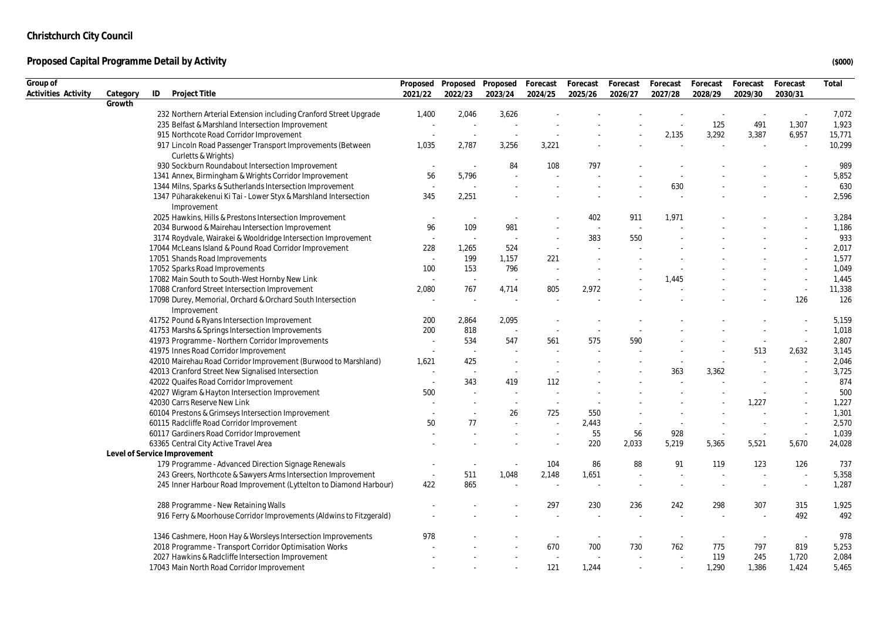| Group of            |          |                                                                                |                          |                          | Proposed Proposed Proposed | Forecast                 | Forecast | Forecast | Forecast | Forecast | Forecast | Forecast | Total  |
|---------------------|----------|--------------------------------------------------------------------------------|--------------------------|--------------------------|----------------------------|--------------------------|----------|----------|----------|----------|----------|----------|--------|
| Activities Activity | Category | ID<br>Project Title                                                            | 2021/22                  | 2022/23                  | 2023/24                    | 2024/25                  | 2025/26  | 2026/27  | 2027/28  | 2028/29  | 2029/30  | 2030/31  |        |
|                     | Growth   |                                                                                |                          |                          |                            |                          |          |          |          |          |          |          |        |
|                     |          | 232 Northern Arterial Extension including Cranford Street Upgrade              | 1,400                    | 2,046                    | 3,626                      |                          |          |          |          |          | $\sim$   |          | 7,072  |
|                     |          | 235 Belfast & Marshland Intersection Improvement                               | ÷.                       | ÷.                       | $\sim$                     |                          |          |          |          | 125      | 491      | 1,307    | 1,923  |
|                     |          | 915 Northcote Road Corridor Improvement                                        |                          |                          |                            |                          |          |          | 2,135    | 3,292    | 3,387    | 6,957    | 15,771 |
|                     |          | 917 Lincoln Road Passenger Transport Improvements (Between                     | 1,035                    | 2,787                    | 3,256                      | 3,221                    |          |          |          |          |          |          | 10,299 |
|                     |          | Curletts & Wrights)                                                            |                          |                          |                            |                          |          |          |          |          |          |          |        |
|                     |          | 930 Sockburn Roundabout Intersection Improvement                               | $\overline{\phantom{a}}$ | $\sim$                   | 84                         | 108                      | 797      |          |          |          |          |          | 989    |
|                     |          | 1341 Annex, Birmingham & Wrights Corridor Improvement                          | 56                       | 5,796                    |                            |                          |          |          |          |          |          |          | 5,852  |
|                     |          | 1344 Milns, Sparks & Sutherlands Intersection Improvement                      | $\sim$                   | ÷.                       |                            |                          |          |          | 630      |          |          |          | 630    |
|                     |          | 1347 Pūharakekenui Ki Tai - Lower Styx & Marshland Intersection<br>Improvement | 345                      | 2,251                    |                            |                          |          |          |          |          |          |          | 2,596  |
|                     |          | 2025 Hawkins, Hills & Prestons Intersection Improvement                        | ٠.                       | $\overline{\phantom{a}}$ |                            |                          | 402      | 911      | 1,971    |          |          |          | 3,284  |
|                     |          | 2034 Burwood & Mairehau Intersection Improvement                               | 96                       | 109                      | 981                        |                          | $\sim$   |          |          |          |          |          | 1,186  |
|                     |          | 3174 Roydvale, Wairakei & Wooldridge Intersection Improvement                  | ٠.                       | $\sim$                   |                            |                          | 383      | 550      |          |          |          |          | 933    |
|                     |          | 17044 McLeans Island & Pound Road Corridor Improvement                         | 228                      | 1,265                    | 524                        |                          |          |          |          |          |          |          | 2,017  |
|                     |          | 17051 Shands Road Improvements                                                 |                          | 199                      | 1,157                      | 221                      |          |          |          |          |          |          | 1,577  |
|                     |          | 17052 Sparks Road Improvements                                                 | 100                      | 153                      | 796                        |                          |          |          |          |          |          |          | 1,049  |
|                     |          | 17082 Main South to South-West Hornby New Link                                 |                          | $\sim$                   |                            |                          |          |          | 1,445    |          |          |          | 1,445  |
|                     |          | 17088 Cranford Street Intersection Improvement                                 | 2,080                    | 767                      | 4,714                      | 805                      | 2,972    |          |          |          |          | $\sim$   | 11,338 |
|                     |          | 17098 Durey, Memorial, Orchard & Orchard South Intersection<br>Improvement     |                          | $\sim$                   |                            |                          |          |          |          |          |          | 126      | 126    |
|                     |          | 41752 Pound & Ryans Intersection Improvement                                   | 200                      | 2,864                    | 2.095                      |                          |          |          |          |          |          |          | 5,159  |
|                     |          | 41753 Marshs & Springs Intersection Improvements                               | 200                      | 818                      |                            |                          |          |          |          |          |          |          | 1,018  |
|                     |          | 41973 Programme - Northern Corridor Improvements                               |                          | 534                      | 547                        | 561                      | 575      | 590      |          |          |          | $\sim$   | 2,807  |
|                     |          | 41975 Innes Road Corridor Improvement                                          | $\overline{\phantom{a}}$ | $\sim$                   | ÷.                         |                          |          |          |          |          | 513      | 2,632    | 3,145  |
|                     |          | 42010 Mairehau Road Corridor Improvement (Burwood to Marshland)                | 1,621                    | 425                      | $\sim$                     |                          |          |          |          |          |          |          | 2,046  |
|                     |          | 42013 Cranford Street New Signalised Intersection                              |                          | $\sim$                   | $\sim$                     |                          |          |          | 363      | 3,362    |          |          | 3,725  |
|                     |          | 42022 Quaifes Road Corridor Improvement                                        |                          | 343                      | 419                        | 112                      |          |          |          |          |          |          | 874    |
|                     |          | 42027 Wigram & Hayton Intersection Improvement                                 | 500                      |                          |                            |                          |          |          |          |          |          |          | 500    |
|                     |          | 42030 Carrs Reserve New Link                                                   |                          |                          |                            | $\sim$                   |          |          |          |          | 1,227    |          | 1,227  |
|                     |          | 60104 Prestons & Grimseys Intersection Improvement                             |                          |                          | 26                         | 725                      | 550      |          |          |          |          |          | 1,301  |
|                     |          | 60115 Radcliffe Road Corridor Improvement                                      | 50                       | 77                       |                            |                          | 2,443    |          |          |          |          | $\sim$   | 2,570  |
|                     |          | 60117 Gardiners Road Corridor Improvement                                      |                          |                          |                            |                          | 55       | 56       | 928      |          | $\sim$   | $\sim$   | 1,039  |
|                     |          | 63365 Central City Active Travel Area                                          |                          |                          |                            |                          | 220      | 2,033    | 5,219    | 5,365    | 5,521    | 5,670    | 24,028 |
|                     |          | Level of Service Improvement                                                   |                          |                          |                            |                          |          |          |          |          |          |          |        |
|                     |          | 179 Programme - Advanced Direction Signage Renewals                            |                          | $\overline{\phantom{a}}$ | $\overline{\phantom{a}}$   | 104                      | 86       | 88       | 91       | 119      | 123      | 126      | 737    |
|                     |          | 243 Greers, Northcote & Sawyers Arms Intersection Improvement                  | $\sim$                   | 511                      | 1,048                      | 2,148                    | 1,651    |          |          |          |          |          | 5,358  |
|                     |          | 245 Inner Harbour Road Improvement (Lyttelton to Diamond Harbour)              | 422                      | 865                      |                            |                          |          |          |          |          | ×.       | $\sim$   | 1,287  |
|                     |          | 288 Programme - New Retaining Walls                                            |                          |                          |                            | 297                      | 230      | 236      | 242      | 298      | 307      | 315      | 1,925  |
|                     |          | 916 Ferry & Moorhouse Corridor Improvements (Aldwins to Fitzgerald)            |                          |                          |                            |                          |          |          |          |          |          | 492      | 492    |
|                     |          | 1346 Cashmere, Hoon Hay & Worsleys Intersection Improvements                   | 978                      |                          |                            |                          |          |          |          |          | $\sim$   | $\sim$   | 978    |
|                     |          | 2018 Programme - Transport Corridor Optimisation Works                         |                          |                          |                            | 670                      | 700      | 730      | 762      | 775      | 797      | 819      | 5,253  |
|                     |          | 2027 Hawkins & Radcliffe Intersection Improvement                              |                          |                          |                            | $\overline{\phantom{a}}$ |          |          |          | 119      | 245      | 1,720    | 2,084  |
|                     |          | 17043 Main North Road Corridor Improvement                                     |                          |                          |                            | 121                      | 1,244    |          |          | 1,290    | 1,386    | 1,424    | 5,465  |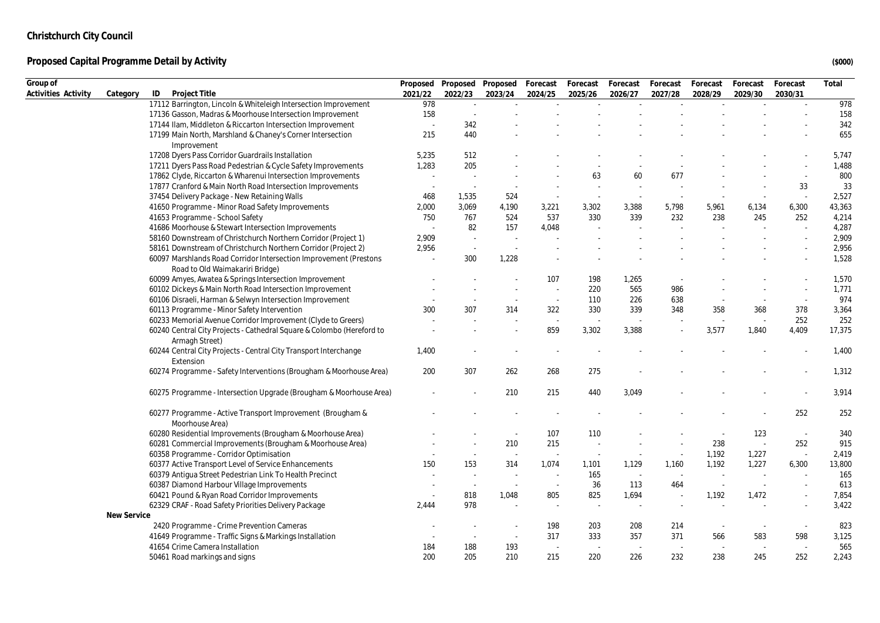| Group of<br>Activities Activity | Category    | ID<br>Project Title                                                                                  | Proposed<br>2021/22 | 2022/23 | Proposed Proposed<br>2023/24 | Forecast<br>2024/25 | Forecast<br>2025/26 | Forecast<br>2026/27 | Forecast<br>2027/28 | Forecast<br>2028/29      | Forecast<br>2029/30 | Forecast<br>2030/31      | Total  |
|---------------------------------|-------------|------------------------------------------------------------------------------------------------------|---------------------|---------|------------------------------|---------------------|---------------------|---------------------|---------------------|--------------------------|---------------------|--------------------------|--------|
|                                 |             | 17112 Barrington, Lincoln & Whiteleigh Intersection Improvement                                      | 978                 | $\sim$  | $\mathcal{L}$                |                     |                     |                     |                     |                          | $\sim$              | $\mathcal{L}$            | 978    |
|                                 |             | 17136 Gasson, Madras & Moorhouse Intersection Improvement                                            | 158                 |         |                              |                     |                     |                     |                     |                          |                     |                          | 158    |
|                                 |             | 17144 Ilam, Middleton & Riccarton Intersection Improvement                                           |                     | 342     |                              |                     |                     |                     |                     |                          |                     |                          | 342    |
|                                 |             | 17199 Main North, Marshland & Chaney's Corner Intersection                                           | 215                 | 440     |                              |                     |                     |                     |                     |                          |                     |                          | 655    |
|                                 |             | Improvement                                                                                          |                     |         |                              |                     |                     |                     |                     |                          |                     |                          |        |
|                                 |             | 17208 Dyers Pass Corridor Guardrails Installation                                                    | 5,235               | 512     |                              |                     |                     |                     |                     |                          |                     |                          | 5,747  |
|                                 |             | 17211 Dyers Pass Road Pedestrian & Cycle Safety Improvements                                         | 1,283               | 205     |                              |                     |                     |                     |                     |                          |                     |                          | 1,488  |
|                                 |             | 17862 Clyde, Riccarton & Wharenui Intersection Improvements                                          |                     |         |                              |                     | 63                  | 60                  | 677                 |                          |                     |                          | 800    |
|                                 |             | 17877 Cranford & Main North Road Intersection Improvements                                           |                     |         |                              |                     |                     |                     |                     |                          |                     | 33                       | 33     |
|                                 |             | 37454 Delivery Package - New Retaining Walls                                                         | 468                 | 1,535   | 524                          |                     |                     |                     |                     |                          |                     | $\overline{\phantom{a}}$ | 2,527  |
|                                 |             | 41650 Programme - Minor Road Safety Improvements                                                     | 2,000               | 3,069   | 4,190                        | 3,221               | 3,302               | 3,388               | 5,798               | 5,961                    | 6,134               | 6,300                    | 43,363 |
|                                 |             | 41653 Programme - School Safety                                                                      | 750                 | 767     | 524                          | 537                 | 330                 | 339                 | 232                 | 238                      | 245                 | 252                      | 4,214  |
|                                 |             | 41686 Moorhouse & Stewart Intersection Improvements                                                  |                     | 82      | 157                          | 4,048               |                     |                     |                     |                          |                     |                          | 4,287  |
|                                 |             | 58160 Downstream of Christchurch Northern Corridor (Project 1)                                       | 2,909               | $\sim$  |                              |                     |                     |                     |                     |                          |                     |                          | 2,909  |
|                                 |             | 58161 Downstream of Christchurch Northern Corridor (Project 2)                                       | 2,956               | $\sim$  |                              |                     |                     |                     |                     |                          |                     |                          | 2,956  |
|                                 |             |                                                                                                      |                     |         |                              |                     |                     |                     |                     |                          |                     |                          |        |
|                                 |             | 60097 Marshlands Road Corridor Intersection Improvement (Prestons<br>Road to Old Waimakariri Bridge) |                     | 300     | 1,228                        |                     |                     |                     |                     |                          |                     |                          | 1,528  |
|                                 |             | 60099 Amyes, Awatea & Springs Intersection Improvement                                               |                     |         |                              | 107                 | 198                 | 1,265               |                     |                          |                     |                          | 1,570  |
|                                 |             | 60102 Dickeys & Main North Road Intersection Improvement                                             |                     |         |                              |                     | 220                 | 565                 | 986                 |                          |                     |                          | 1,771  |
|                                 |             | 60106 Disraeli, Harman & Selwyn Intersection Improvement                                             |                     |         | $\sim$                       | $\sim$              | 110                 | 226                 | 638                 |                          | $\sim$              | $\overline{\phantom{a}}$ | 974    |
|                                 |             | 60113 Programme - Minor Safety Intervention                                                          | 300                 | 307     | 314                          | 322                 | 330                 | 339                 | 348                 | 358                      | 368                 | 378                      | 3,364  |
|                                 |             | 60233 Memorial Avenue Corridor Improvement (Clyde to Greers)                                         |                     |         |                              |                     |                     |                     |                     |                          |                     | 252                      | 252    |
|                                 |             | 60240 Central City Projects - Cathedral Square & Colombo (Hereford to<br>Armagh Street)              |                     |         |                              | 859                 | 3,302               | 3,388               |                     | 3,577                    | 1,840               | 4,409                    | 17,375 |
|                                 |             | 60244 Central City Projects - Central City Transport Interchange<br>Extension                        | 1,400               |         |                              |                     |                     |                     |                     |                          |                     |                          | 1,400  |
|                                 |             | 60274 Programme - Safety Interventions (Brougham & Moorhouse Area)                                   | 200                 | 307     | 262                          | 268                 | 275                 |                     |                     |                          |                     |                          | 1,312  |
|                                 |             | 60275 Programme - Intersection Upgrade (Brougham & Moorhouse Area)                                   |                     |         | 210                          | 215                 | 440                 | 3,049               |                     |                          |                     |                          | 3,914  |
|                                 |             | 60277 Programme - Active Transport Improvement (Brougham &<br>Moorhouse Area)                        |                     |         |                              |                     |                     |                     |                     |                          |                     | 252                      | 252    |
|                                 |             | 60280 Residential Improvements (Brougham & Moorhouse Area)                                           |                     |         | $\sim$                       | 107                 | 110                 |                     |                     |                          | 123                 | $\sim$                   | 340    |
|                                 |             | 60281 Commercial Improvements (Brougham & Moorhouse Area)                                            |                     |         | 210                          | 215                 |                     |                     |                     | 238                      | $\sim$              | 252                      | 915    |
|                                 |             | 60358 Programme - Corridor Optimisation                                                              |                     |         |                              |                     |                     |                     | $\sim$              | 1,192                    | 1,227               | $\sim$                   | 2,419  |
|                                 |             | 60377 Active Transport Level of Service Enhancements                                                 | 150                 | 153     | 314                          | 1,074               | 1,101               | 1,129               | 1,160               | 1,192                    | 1,227               | 6,300                    | 13,800 |
|                                 |             | 60379 Antiqua Street Pedestrian Link To Health Precinct                                              |                     | $\sim$  |                              |                     | 165                 | $\sim$              | $\sim$              | $\sim$                   |                     |                          | 165    |
|                                 |             | 60387 Diamond Harbour Village Improvements                                                           |                     | $\sim$  | $\sim$                       |                     | 36                  | 113                 | 464                 | $\overline{\phantom{a}}$ | $\sim$              |                          | 613    |
|                                 |             | 60421 Pound & Ryan Road Corridor Improvements                                                        | $\sim$              | 818     | 1,048                        | 805                 | 825                 | 1,694               | $\sim$              | 1,192                    | 1,472               | $\sim$                   | 7,854  |
|                                 |             |                                                                                                      |                     | 978     |                              |                     |                     |                     |                     |                          |                     |                          |        |
|                                 |             | 62329 CRAF - Road Safety Priorities Delivery Package                                                 | 2,444               |         |                              |                     |                     |                     |                     |                          |                     |                          | 3,422  |
|                                 | New Service |                                                                                                      |                     |         |                              |                     |                     |                     |                     |                          |                     |                          |        |
|                                 |             | 2420 Programme - Crime Prevention Cameras                                                            |                     |         |                              | 198                 | 203                 | 208                 | 214                 |                          |                     | $\sim$                   | 823    |
|                                 |             | 41649 Programme - Traffic Signs & Markings Installation                                              |                     |         | $\sim$                       | 317                 | 333                 | 357                 | 371                 | 566                      | 583                 | 598                      | 3,125  |
|                                 |             | 41654 Crime Camera Installation                                                                      | 184                 | 188     | 193                          |                     |                     |                     |                     |                          | $\sim$              |                          | 565    |
|                                 |             | 50461 Road markings and signs                                                                        | 200                 | 205     | 210                          | 215                 | 220                 | 226                 | 232                 | 238                      | 245                 | 252                      | 2,243  |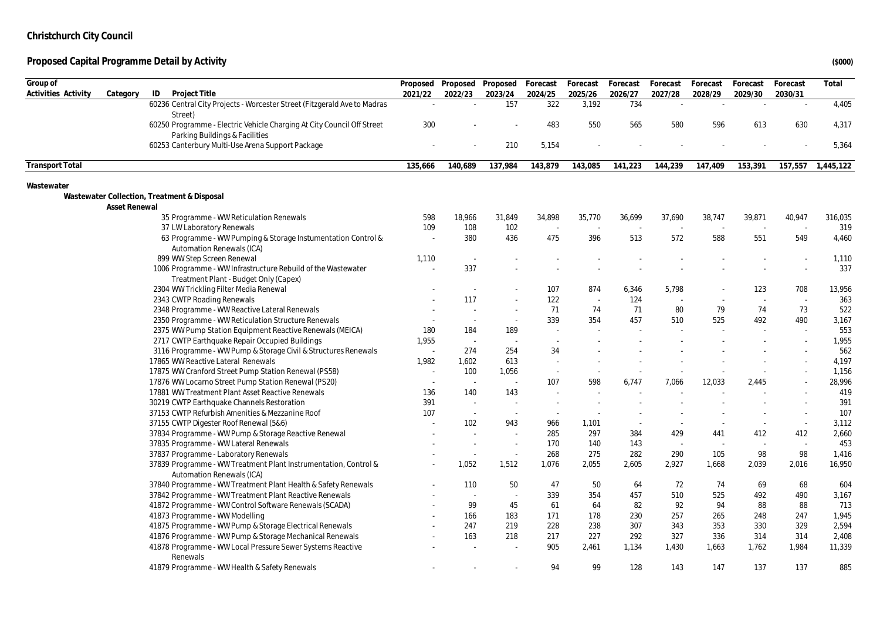| Group of               |                      |                                                                          |         | Proposed Proposed Proposed |         | Forecast | Forecast | Forecast | Forecast | Forecast | Forecast | Forecast | Total     |
|------------------------|----------------------|--------------------------------------------------------------------------|---------|----------------------------|---------|----------|----------|----------|----------|----------|----------|----------|-----------|
| Activities Activity    | Category             | ID<br>Project Title                                                      | 2021/22 | 2022/23                    | 2023/24 | 2024/25  | 2025/26  | 2026/27  | 2027/28  | 2028/29  | 2029/30  | 2030/31  |           |
|                        |                      | 60236 Central City Projects - Worcester Street (Fitzgerald Ave to Madras | $\sim$  | ÷.                         | 157     | 322      | 3,192    | 734      | $\sim$   |          |          | $\sim$   | 4,405     |
|                        |                      | Street)                                                                  |         |                            |         |          |          |          |          |          |          |          |           |
|                        |                      | 60250 Programme - Electric Vehicle Charging At City Council Off Street   | 300     |                            |         | 483      | 550      | 565      | 580      | 596      | 613      | 630      | 4,317     |
|                        |                      | Parking Buildings & Facilities                                           |         |                            |         |          |          |          |          |          |          |          |           |
|                        |                      | 60253 Canterbury Multi-Use Arena Support Package                         |         |                            | 210     | 5,154    |          |          |          |          |          |          | 5,364     |
| <b>Transport Total</b> |                      |                                                                          | 135,666 | 140,689                    | 137,984 | 143,879  | 143,085  | 141,223  | 144,239  | 147,409  | 153,391  | 157,557  | 1,445,122 |
| Wastewater             |                      |                                                                          |         |                            |         |          |          |          |          |          |          |          |           |
|                        |                      | Wastewater Collection, Treatment & Disposal                              |         |                            |         |          |          |          |          |          |          |          |           |
|                        | <b>Asset Renewal</b> |                                                                          |         |                            |         |          |          |          |          |          |          |          |           |
|                        |                      | 35 Programme - WW Reticulation Renewals                                  | 598     | 18,966                     | 31,849  | 34,898   | 35,770   | 36,699   | 37,690   | 38,747   | 39,871   | 40,947   | 316,035   |
|                        |                      | 37 LW Laboratory Renewals                                                | 109     | 108                        | 102     |          |          |          |          |          |          |          | 319       |
|                        |                      | 63 Programme - WW Pumping & Storage Instumentation Control &             |         | 380                        | 436     | 475      | 396      | 513      | 572      | 588      | 551      | 549      | 4,460     |
|                        |                      | <b>Automation Renewals (ICA)</b>                                         |         |                            |         |          |          |          |          |          |          |          |           |
|                        |                      | 899 WW Step Screen Renewal                                               | 1,110   | $\sim$                     |         |          |          |          |          |          |          |          | 1,110     |
|                        |                      | 1006 Programme - WW Infrastructure Rebuild of the Wastewater             |         | 337                        |         |          |          |          |          |          |          | ×,       | 337       |
|                        |                      | Treatment Plant - Budget Only (Capex)                                    |         |                            |         |          |          |          |          |          |          |          |           |
|                        |                      | 2304 WW Trickling Filter Media Renewal                                   |         | $\sim$                     |         | 107      | 874      | 6,346    | 5,798    |          | 123      | 708      | 13,956    |
|                        |                      | 2343 CWTP Roading Renewals                                               |         | 117                        | $\sim$  | 122      |          | 124      |          |          | ÷.       | $\sim$   | 363       |
|                        |                      | 2348 Programme - WW Reactive Lateral Renewals                            |         | $\sim$                     | $\sim$  | 71       | 74       | 71       | 80       | 79       | 74       | 73       | 522       |
|                        |                      | 2350 Programme - WW Reticulation Structure Renewals                      |         | $\sim$                     | ×.      | 339      | 354      | 457      | 510      | 525      | 492      | 490      | 3,167     |
|                        |                      | 2375 WW Pump Station Equipment Reactive Renewals (MEICA)                 | 180     | 184                        | 189     | ÷.       |          |          |          |          | ÷.       | ×,       | 553       |
|                        |                      | 2717 CWTP Earthquake Repair Occupied Buildings                           | 1,955   | $\sim$                     |         |          |          |          |          |          |          |          | 1,955     |
|                        |                      | 3116 Programme - WW Pump & Storage Civil & Structures Renewals           |         | 274                        | 254     | 34       |          |          |          |          |          |          | 562       |
|                        |                      | 17865 WW Reactive Lateral Renewals                                       | 1,982   | 1,602                      | 613     |          |          |          |          |          |          |          | 4,197     |
|                        |                      | 17875 WW Cranford Street Pump Station Renewal (PS58)                     | $\sim$  | 100                        | 1,056   | $\sim$   |          |          |          |          |          |          | 1,156     |
|                        |                      | 17876 WW Locarno Street Pump Station Renewal (PS20)                      |         | $\sim$                     | $\sim$  | 107      | 598      | 6,747    | 7.066    | 12,033   | 2.445    | ÷        | 28,996    |
|                        |                      | 17881 WW Treatment Plant Asset Reactive Renewals                         | 136     | 140                        | 143     |          |          |          |          |          |          |          | 419       |
|                        |                      | 30219 CWTP Earthquake Channels Restoration                               | 391     | $\sim$                     |         |          |          |          |          |          |          | $\sim$   | 391       |
|                        |                      | 37153 CWTP Refurbish Amenities & Mezzanine Roof                          | 107     | $\sim$                     | $\sim$  |          |          |          |          |          |          | $\sim$   | 107       |
|                        |                      | 37155 CWTP Digester Roof Renewal (5&6)                                   |         | 102                        | 943     | 966      | 1,101    |          | $\sim$   |          | $\sim$   | $\sim$   | 3,112     |
|                        |                      | 37834 Programme - WW Pump & Storage Reactive Renewal                     |         |                            |         | 285      | 297      | 384      | 429      | 441      | 412      | 412      | 2,660     |
|                        |                      | 37835 Programme - WW Lateral Renewals                                    |         | $\sim$                     | $\sim$  | 170      | 140      | 143      | ÷.       | ÷.       | $\sim$   | $\sim$   | 453       |
|                        |                      | 37837 Programme - Laboratory Renewals                                    |         |                            | $\sim$  | 268      | 275      | 282      | 290      | 105      | 98       | 98       | 1,416     |
|                        |                      | 37839 Programme - WW Treatment Plant Instrumentation, Control &          |         | 1,052                      | 1,512   | 1,076    | 2,055    | 2,605    | 2,927    | 1,668    | 2,039    | 2,016    | 16,950    |
|                        |                      | <b>Automation Renewals (ICA)</b>                                         |         |                            |         |          |          |          |          |          |          |          |           |
|                        |                      | 37840 Programme - WW Treatment Plant Health & Safety Renewals            |         | 110                        | 50      | 47       | 50       | 64       | 72       | 74       | 69       | 68       | 604       |
|                        |                      | 37842 Programme - WW Treatment Plant Reactive Renewals                   |         | $\sim$                     | $\sim$  | 339      | 354      | 457      | 510      | 525      | 492      | 490      | 3,167     |
|                        |                      | 41872 Programme - WW Control Software Renewals (SCADA)                   |         | 99                         | 45      | 61       | 64       | 82       | 92       | 94       | 88       | 88       | 713       |
|                        |                      | 41873 Programme - WW Modelling                                           |         | 166                        | 183     | 171      | 178      | 230      | 257      | 265      | 248      | 247      | 1,945     |
|                        |                      | 41875 Programme - WW Pump & Storage Electrical Renewals                  |         | 247                        | 219     | 228      | 238      | 307      | 343      | 353      | 330      | 329      | 2,594     |
|                        |                      | 41876 Programme - WW Pump & Storage Mechanical Renewals                  |         | 163                        | 218     | 217      | 227      | 292      | 327      | 336      | 314      | 314      | 2,408     |
|                        |                      | 41878 Programme - WW Local Pressure Sewer Systems Reactive               |         |                            |         | 905      | 2,461    | 1,134    | 1,430    | 1,663    | 1,762    | 1,984    | 11,339    |
|                        |                      |                                                                          |         |                            |         |          |          |          |          |          |          |          |           |
|                        |                      | Renewals<br>41879 Programme - WW Health & Safety Renewals                |         |                            |         | 94       | 99       | 128      | 143      | 147      | 137      | 137      | 885       |
|                        |                      |                                                                          |         |                            |         |          |          |          |          |          |          |          |           |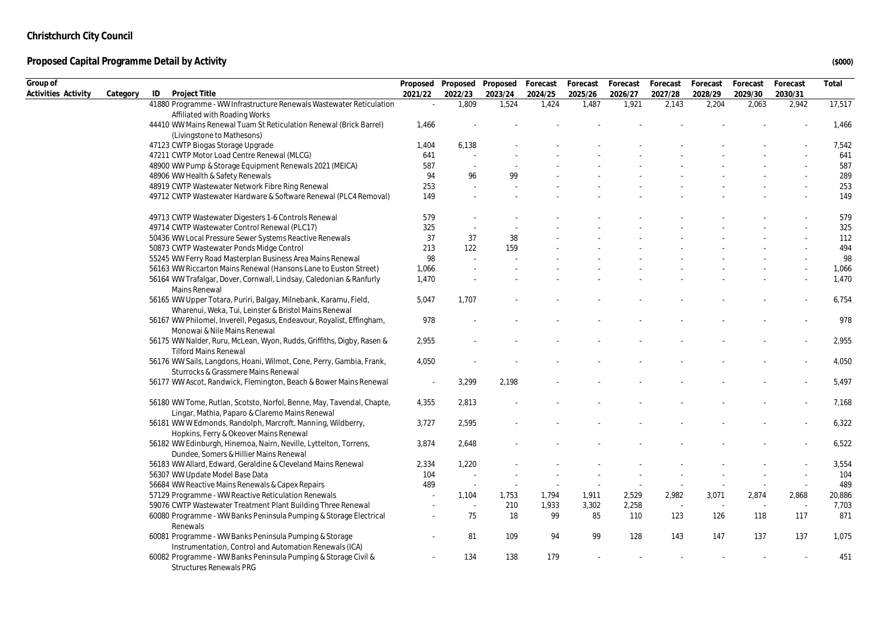| Group of            |          |                                                                                                                           |         | Proposed Proposed Proposed |         | Forecast | Forecast                 | Forecast | Forecast | Forecast | Forecast | Forecast                 | Total  |
|---------------------|----------|---------------------------------------------------------------------------------------------------------------------------|---------|----------------------------|---------|----------|--------------------------|----------|----------|----------|----------|--------------------------|--------|
| Activities Activity | Category | ID<br>Project Title                                                                                                       | 2021/22 | 2022/23                    | 2023/24 | 2024/25  | 2025/26                  | 2026/27  | 2027/28  | 2028/29  | 2029/30  | 2030/31                  |        |
|                     |          | 41880 Programme - WW Infrastructure Renewals Wastewater Reticulation                                                      |         | 1,809                      | 1,524   | 1,424    | 1,487                    | 1,921    | 2,143    | 2,204    | 2,063    | 2,942                    | 17,517 |
|                     |          | Affiliated with Roading Works                                                                                             |         |                            |         |          |                          |          |          |          |          |                          |        |
|                     |          | 44410 WW Mains Renewal Tuam St Reticulation Renewal (Brick Barrel)                                                        | 1,466   |                            |         |          |                          |          |          |          |          |                          | 1,466  |
|                     |          | (Livingstone to Mathesons)                                                                                                | 1,404   | 6,138                      |         |          |                          |          |          |          |          |                          | 7,542  |
|                     |          | 47123 CWTP Biogas Storage Upgrade<br>47211 CWTP Motor Load Centre Renewal (MLCG)                                          | 641     |                            |         |          |                          |          |          |          |          |                          | 641    |
|                     |          | 48900 WW Pump & Storage Equipment Renewals 2021 (MEICA)                                                                   | 587     | $\sim$                     |         |          |                          |          |          |          |          |                          | 587    |
|                     |          | 48906 WW Health & Safety Renewals                                                                                         | 94      | 96                         | 99      |          |                          |          |          |          |          |                          | 289    |
|                     |          | 48919 CWTP Wastewater Network Fibre Ring Renewal                                                                          | 253     | $\sim$                     |         |          |                          |          |          |          |          |                          | 253    |
|                     |          | 49712 CWTP Wastewater Hardware & Software Renewal (PLC4 Removal)                                                          | 149     |                            |         |          |                          |          |          |          |          |                          | 149    |
|                     |          |                                                                                                                           |         |                            |         |          |                          |          |          |          |          |                          |        |
|                     |          | 49713 CWTP Wastewater Digesters 1-6 Controls Renewal                                                                      | 579     |                            |         |          |                          |          |          |          |          |                          | 579    |
|                     |          | 49714 CWTP Wastewater Control Renewal (PLC17)                                                                             | 325     |                            |         |          |                          |          |          |          |          |                          | 325    |
|                     |          | 50436 WW Local Pressure Sewer Systems Reactive Renewals                                                                   | 37      | 37                         | 38      |          |                          |          |          |          |          |                          | 112    |
|                     |          | 50873 CWTP Wastewater Ponds Midge Control                                                                                 | 213     | 122                        | 159     |          |                          |          |          |          |          |                          | 494    |
|                     |          | 55245 WW Ferry Road Masterplan Business Area Mains Renewal                                                                | 98      |                            |         |          |                          |          |          |          |          |                          | 98     |
|                     |          | 56163 WW Riccarton Mains Renewal (Hansons Lane to Euston Street)                                                          | 1,066   |                            |         |          |                          |          |          |          |          |                          | 1,066  |
|                     |          | 56164 WW Trafalgar, Dover, Cornwall, Lindsay, Caledonian & Ranfurly<br>Mains Renewal                                      | 1,470   |                            |         |          |                          |          |          |          |          |                          | 1,470  |
|                     |          | 56165 WW Upper Totara, Puriri, Balgay, Milnebank, Karamu, Field,<br>Wharenui, Weka, Tui, Leinster & Bristol Mains Renewal | 5,047   | 1,707                      |         |          |                          |          |          |          |          |                          | 6,754  |
|                     |          | 56167 WW Philomel, Inverell, Pegasus, Endeavour, Royalist, Effingham,<br>Monowai & Nile Mains Renewal                     | 978     |                            |         |          |                          |          |          |          |          |                          | 978    |
|                     |          | 56175 WW Nalder, Ruru, McLean, Wyon, Rudds, Griffiths, Digby, Rasen &<br><b>Tilford Mains Renewal</b>                     | 2,955   |                            |         |          |                          |          |          |          |          |                          | 2,955  |
|                     |          | 56176 WW Sails, Langdons, Hoani, Wilmot, Cone, Perry, Gambia, Frank,<br>Sturrocks & Grassmere Mains Renewal               | 4,050   |                            |         |          |                          |          |          |          |          |                          | 4,050  |
|                     |          | 56177 WW Ascot, Randwick, Flemington, Beach & Bower Mains Renewal                                                         | $\sim$  | 3,299                      | 2,198   |          |                          |          |          |          |          |                          | 5,497  |
|                     |          | 56180 WW Tome, Rutlan, Scotsto, Norfol, Benne, May, Tavendal, Chapte,<br>Lingar, Mathia, Paparo & Claremo Mains Renewal   | 4,355   | 2,813                      |         |          |                          |          |          |          |          |                          | 7,168  |
|                     |          | 56181 WW W Edmonds, Randolph, Marcroft, Manning, Wildberry,<br>Hopkins, Ferry & Okeover Mains Renewal                     | 3,727   | 2,595                      |         |          |                          |          |          |          |          |                          | 6,322  |
|                     |          | 56182 WW Edinburgh, Hinemoa, Nairn, Neville, Lyttelton, Torrens,<br>Dundee, Somers & Hillier Mains Renewal                | 3,874   | 2,648                      |         |          |                          |          |          |          |          |                          | 6,522  |
|                     |          | 56183 WW Allard, Edward, Geraldine & Cleveland Mains Renewal                                                              | 2,334   | 1,220                      |         |          |                          |          |          |          |          |                          | 3,554  |
|                     |          | 56307 WW Update Model Base Data                                                                                           | 104     | $\sim$                     |         |          |                          |          |          |          |          |                          | 104    |
|                     |          | 56684 WW Reactive Mains Renewals & Capex Repairs                                                                          | 489     | $\sim$                     | $\sim$  |          | $\overline{\phantom{a}}$ |          |          |          |          | $\overline{\phantom{a}}$ | 489    |
|                     |          | 57129 Programme - WW Reactive Reticulation Renewals                                                                       |         | 1,104                      | 1,753   | 1,794    | 1,911                    | 2,529    | 2,982    | 3,071    | 2,874    | 2,868                    | 20,886 |
|                     |          | 59076 CWTP Wastewater Treatment Plant Building Three Renewal                                                              |         | $\sim$                     | 210     | 1,933    | 3,302                    | 2,258    | $\sim$   |          |          | $\sim$                   | 7,703  |
|                     |          | 60080 Programme - WW Banks Peninsula Pumping & Storage Electrical<br>Renewals                                             |         | 75                         | 18      | 99       | 85                       | 110      | 123      | 126      | 118      | 117                      | 871    |
|                     |          | 60081 Programme - WW Banks Peninsula Pumping & Storage<br>Instrumentation, Control and Automation Renewals (ICA)          |         | 81                         | 109     | 94       | 99                       | 128      | 143      | 147      | 137      | 137                      | 1,075  |
|                     |          | 60082 Programme - WW Banks Peninsula Pumping & Storage Civil &<br>Structures Renewals PRG                                 |         | 134                        | 138     | 179      |                          |          |          |          |          |                          | 451    |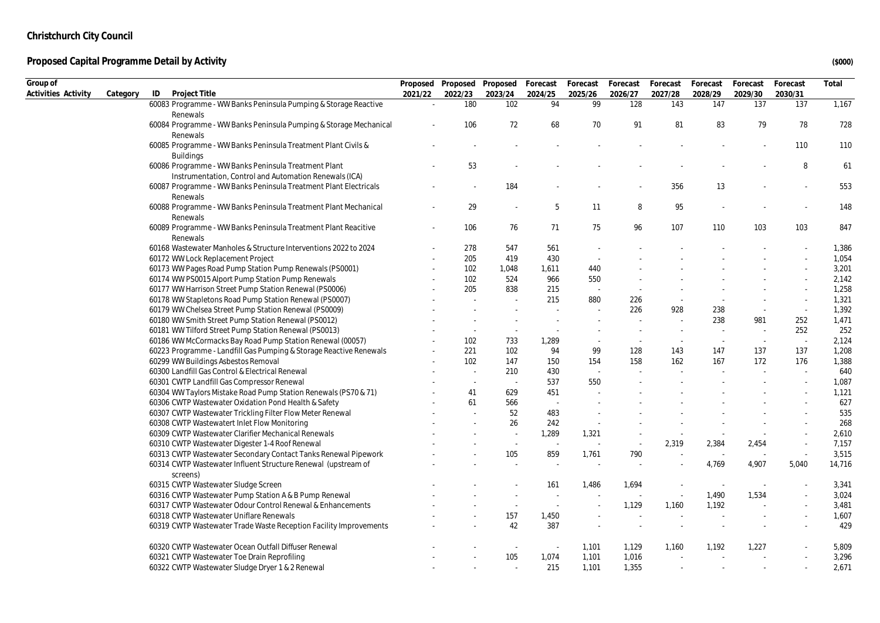| Activities Activity<br>Project Title<br>2021/22<br>2022/23<br>2023/24<br>2025/26<br>2026/27<br>2027/28<br>2028/29<br>2029/30<br>2030/31<br>Category<br>ID<br>2024/25<br>60083 Programme - WW Banks Peninsula Pumping & Storage Reactive<br>180<br>102<br>94<br>99<br>128<br>147<br>137<br>137<br>1,167<br>143<br>Renewals<br>83<br>78<br>728<br>106<br>72<br>68<br>70<br>91<br>81<br>79<br>60084 Programme - WW Banks Peninsula Pumping & Storage Mechanical<br>Renewals<br>60085 Programme - WW Banks Peninsula Treatment Plant Civils &<br>110<br>110<br><b>Buildings</b><br>60086 Programme - WW Banks Peninsula Treatment Plant<br>53<br>8<br>61<br>Instrumentation, Control and Automation Renewals (ICA)<br>553<br>184<br>356<br>13<br>60087 Programme - WW Banks Peninsula Treatment Plant Electricals<br>$\overline{\phantom{a}}$<br>Renewals<br>29<br>60088 Programme - WW Banks Peninsula Treatment Plant Mechanical<br>5<br>11<br>8<br>95<br>148<br>$\sim$<br>Renewals<br>106<br>103<br>847<br>60089 Programme - WW Banks Peninsula Treatment Plant Reacitive<br>76<br>71<br>75<br>96<br>107<br>110<br>103<br>Renewals<br>60168 Wastewater Manholes & Structure Interventions 2022 to 2024<br>278<br>547<br>561<br>1,386<br>60172 WW Lock Replacement Project<br>205<br>419<br>430<br>1,054<br>$\sim$<br>60173 WW Pages Road Pump Station Pump Renewals (PS0001)<br>102<br>3,201<br>1,048<br>1,611<br>440<br>60174 WW PS0015 Alport Pump Station Pump Renewals<br>102<br>524<br>966<br>550<br>2,142<br>205<br>60177 WW Harrison Street Pump Station Renewal (PS0006)<br>838<br>215<br>1,258<br>215<br>60178 WW Stapletons Road Pump Station Renewal (PS0007)<br>880<br>1,321<br>226<br>$\overline{\phantom{a}}$<br>60179 WW Chelsea Street Pump Station Renewal (PS0009)<br>1,392<br>226<br>928<br>238<br>$\sim$<br>$\sim$<br>$\sim$<br>60180 WW Smith Street Pump Station Renewal (PS0012)<br>238<br>981<br>252<br>1,471<br>$\sim$<br>$\sim$<br>$\sim$<br>$\sim$<br>252<br>60181 WW Tilford Street Pump Station Renewal (PS0013)<br>252<br>$\sim$<br>$\sim$<br>$\sim$<br>60186 WW McCormacks Bay Road Pump Station Renewal (00057)<br>102<br>733<br>1,289<br>2,124<br>$\sim$<br>$\sim$<br>$\sim$<br>$\sim$<br>137<br>1,208<br>60223 Programme - Landfill Gas Pumping & Storage Reactive Renewals<br>221<br>102<br>94<br>99<br>128<br>147<br>137<br>143<br>60299 WW Buildings Asbestos Removal<br>147<br>176<br>1,388<br>102<br>150<br>154<br>158<br>162<br>167<br>172<br>640<br>60300 Landfill Gas Control & Electrical Renewal<br>210<br>430<br>$\sim$<br>$\sim$<br>$\sim$<br>1,087<br>60301 CWTP Landfill Gas Compressor Renewal<br>537<br>550<br>$\sim$<br>629<br>60304 WW Taylors Mistake Road Pump Station Renewals (PS70 & 71)<br>41<br>451<br>1,121<br>61<br>566<br>627<br>60306 CWTP Wastewater Oxidation Pond Health & Safety<br>52<br>535<br>60307 CWTP Wastewater Trickling Filter Flow Meter Renewal<br>483<br>26<br>242<br>268<br>60308 CWTP Wastewatert Inlet Flow Monitoring<br>60309 CWTP Wastewater Clarifier Mechanical Renewals<br>1,289<br>1,321<br>2,610<br>$\sim$<br>$\sim$<br>60310 CWTP Wastewater Digester 1-4 Roof Renewal<br>2,319<br>2,454<br>7,157<br>2,384<br>$\sim$<br>$\sim$<br>$\sim$<br>$\sim$<br>$\sim$<br>105<br>790<br>3,515<br>60313 CWTP Wastewater Secondary Contact Tanks Renewal Pipework<br>859<br>1,761<br>$\sim$<br>$\sim$<br>60314 CWTP Wastewater Influent Structure Renewal (upstream of<br>4,769<br>4,907<br>5,040<br>14,716<br>screens)<br>60315 CWTP Wastewater Sludge Screen<br>161<br>1,486<br>1,694<br>3,341<br>$\sim$<br>1,490<br>1,534<br>3,024<br>60316 CWTP Wastewater Pump Station A & B Pump Renewal<br>$\sim$<br>1,192<br>60317 CWTP Wastewater Odour Control Renewal & Enhancements<br>1,129<br>1,160<br>3,481<br>$\sim$<br>60318 CWTP Wastewater Uniflare Renewals<br>157<br>1,450<br>1,607<br>42<br>387<br>429<br>60319 CWTP Wastewater Trade Waste Reception Facility Improvements<br>60320 CWTP Wastewater Ocean Outfall Diffuser Renewal<br>1,129<br>1,192<br>1,227<br>5,809<br>1,101<br>1,160<br>$\overline{\phantom{a}}$<br>$\sim$<br>105<br>1,101<br>1,016<br>3,296<br>60321 CWTP Wastewater Toe Drain Reprofiling<br>1,074<br>$\sim$<br>2,671<br>60322 CWTP Wastewater Sludge Dryer 1 & 2 Renewal<br>215<br>1,101<br>1,355<br>$\sim$ | Group of |  | Proposed Proposed Proposed | Forecast | Forecast | Forecast | Forecast | Forecast | Forecast | Forecast | Total |
|-------------------------------------------------------------------------------------------------------------------------------------------------------------------------------------------------------------------------------------------------------------------------------------------------------------------------------------------------------------------------------------------------------------------------------------------------------------------------------------------------------------------------------------------------------------------------------------------------------------------------------------------------------------------------------------------------------------------------------------------------------------------------------------------------------------------------------------------------------------------------------------------------------------------------------------------------------------------------------------------------------------------------------------------------------------------------------------------------------------------------------------------------------------------------------------------------------------------------------------------------------------------------------------------------------------------------------------------------------------------------------------------------------------------------------------------------------------------------------------------------------------------------------------------------------------------------------------------------------------------------------------------------------------------------------------------------------------------------------------------------------------------------------------------------------------------------------------------------------------------------------------------------------------------------------------------------------------------------------------------------------------------------------------------------------------------------------------------------------------------------------------------------------------------------------------------------------------------------------------------------------------------------------------------------------------------------------------------------------------------------------------------------------------------------------------------------------------------------------------------------------------------------------------------------------------------------------------------------------------------------------------------------------------------------------------------------------------------------------------------------------------------------------------------------------------------------------------------------------------------------------------------------------------------------------------------------------------------------------------------------------------------------------------------------------------------------------------------------------------------------------------------------------------------------------------------------------------------------------------------------------------------------------------------------------------------------------------------------------------------------------------------------------------------------------------------------------------------------------------------------------------------------------------------------------------------------------------------------------------------------------------------------------------------------------------------------------------------------------------------------------------------------------------------------------------------------------------------------------------------------------------------------------------------------------------------------------------------------------------------------------------------------------------------------------------------------------------------------------------------------------------------------------------------------------------------------------------------------------------------------------------------------------------------------------------------------|----------|--|----------------------------|----------|----------|----------|----------|----------|----------|----------|-------|
|                                                                                                                                                                                                                                                                                                                                                                                                                                                                                                                                                                                                                                                                                                                                                                                                                                                                                                                                                                                                                                                                                                                                                                                                                                                                                                                                                                                                                                                                                                                                                                                                                                                                                                                                                                                                                                                                                                                                                                                                                                                                                                                                                                                                                                                                                                                                                                                                                                                                                                                                                                                                                                                                                                                                                                                                                                                                                                                                                                                                                                                                                                                                                                                                                                                                                                                                                                                                                                                                                                                                                                                                                                                                                                                                                                                                                                                                                                                                                                                                                                                                                                                                                                                                                                                                                                                         |          |  |                            |          |          |          |          |          |          |          |       |
|                                                                                                                                                                                                                                                                                                                                                                                                                                                                                                                                                                                                                                                                                                                                                                                                                                                                                                                                                                                                                                                                                                                                                                                                                                                                                                                                                                                                                                                                                                                                                                                                                                                                                                                                                                                                                                                                                                                                                                                                                                                                                                                                                                                                                                                                                                                                                                                                                                                                                                                                                                                                                                                                                                                                                                                                                                                                                                                                                                                                                                                                                                                                                                                                                                                                                                                                                                                                                                                                                                                                                                                                                                                                                                                                                                                                                                                                                                                                                                                                                                                                                                                                                                                                                                                                                                                         |          |  |                            |          |          |          |          |          |          |          |       |
|                                                                                                                                                                                                                                                                                                                                                                                                                                                                                                                                                                                                                                                                                                                                                                                                                                                                                                                                                                                                                                                                                                                                                                                                                                                                                                                                                                                                                                                                                                                                                                                                                                                                                                                                                                                                                                                                                                                                                                                                                                                                                                                                                                                                                                                                                                                                                                                                                                                                                                                                                                                                                                                                                                                                                                                                                                                                                                                                                                                                                                                                                                                                                                                                                                                                                                                                                                                                                                                                                                                                                                                                                                                                                                                                                                                                                                                                                                                                                                                                                                                                                                                                                                                                                                                                                                                         |          |  |                            |          |          |          |          |          |          |          |       |
|                                                                                                                                                                                                                                                                                                                                                                                                                                                                                                                                                                                                                                                                                                                                                                                                                                                                                                                                                                                                                                                                                                                                                                                                                                                                                                                                                                                                                                                                                                                                                                                                                                                                                                                                                                                                                                                                                                                                                                                                                                                                                                                                                                                                                                                                                                                                                                                                                                                                                                                                                                                                                                                                                                                                                                                                                                                                                                                                                                                                                                                                                                                                                                                                                                                                                                                                                                                                                                                                                                                                                                                                                                                                                                                                                                                                                                                                                                                                                                                                                                                                                                                                                                                                                                                                                                                         |          |  |                            |          |          |          |          |          |          |          |       |
|                                                                                                                                                                                                                                                                                                                                                                                                                                                                                                                                                                                                                                                                                                                                                                                                                                                                                                                                                                                                                                                                                                                                                                                                                                                                                                                                                                                                                                                                                                                                                                                                                                                                                                                                                                                                                                                                                                                                                                                                                                                                                                                                                                                                                                                                                                                                                                                                                                                                                                                                                                                                                                                                                                                                                                                                                                                                                                                                                                                                                                                                                                                                                                                                                                                                                                                                                                                                                                                                                                                                                                                                                                                                                                                                                                                                                                                                                                                                                                                                                                                                                                                                                                                                                                                                                                                         |          |  |                            |          |          |          |          |          |          |          |       |
|                                                                                                                                                                                                                                                                                                                                                                                                                                                                                                                                                                                                                                                                                                                                                                                                                                                                                                                                                                                                                                                                                                                                                                                                                                                                                                                                                                                                                                                                                                                                                                                                                                                                                                                                                                                                                                                                                                                                                                                                                                                                                                                                                                                                                                                                                                                                                                                                                                                                                                                                                                                                                                                                                                                                                                                                                                                                                                                                                                                                                                                                                                                                                                                                                                                                                                                                                                                                                                                                                                                                                                                                                                                                                                                                                                                                                                                                                                                                                                                                                                                                                                                                                                                                                                                                                                                         |          |  |                            |          |          |          |          |          |          |          |       |
|                                                                                                                                                                                                                                                                                                                                                                                                                                                                                                                                                                                                                                                                                                                                                                                                                                                                                                                                                                                                                                                                                                                                                                                                                                                                                                                                                                                                                                                                                                                                                                                                                                                                                                                                                                                                                                                                                                                                                                                                                                                                                                                                                                                                                                                                                                                                                                                                                                                                                                                                                                                                                                                                                                                                                                                                                                                                                                                                                                                                                                                                                                                                                                                                                                                                                                                                                                                                                                                                                                                                                                                                                                                                                                                                                                                                                                                                                                                                                                                                                                                                                                                                                                                                                                                                                                                         |          |  |                            |          |          |          |          |          |          |          |       |
|                                                                                                                                                                                                                                                                                                                                                                                                                                                                                                                                                                                                                                                                                                                                                                                                                                                                                                                                                                                                                                                                                                                                                                                                                                                                                                                                                                                                                                                                                                                                                                                                                                                                                                                                                                                                                                                                                                                                                                                                                                                                                                                                                                                                                                                                                                                                                                                                                                                                                                                                                                                                                                                                                                                                                                                                                                                                                                                                                                                                                                                                                                                                                                                                                                                                                                                                                                                                                                                                                                                                                                                                                                                                                                                                                                                                                                                                                                                                                                                                                                                                                                                                                                                                                                                                                                                         |          |  |                            |          |          |          |          |          |          |          |       |
|                                                                                                                                                                                                                                                                                                                                                                                                                                                                                                                                                                                                                                                                                                                                                                                                                                                                                                                                                                                                                                                                                                                                                                                                                                                                                                                                                                                                                                                                                                                                                                                                                                                                                                                                                                                                                                                                                                                                                                                                                                                                                                                                                                                                                                                                                                                                                                                                                                                                                                                                                                                                                                                                                                                                                                                                                                                                                                                                                                                                                                                                                                                                                                                                                                                                                                                                                                                                                                                                                                                                                                                                                                                                                                                                                                                                                                                                                                                                                                                                                                                                                                                                                                                                                                                                                                                         |          |  |                            |          |          |          |          |          |          |          |       |
|                                                                                                                                                                                                                                                                                                                                                                                                                                                                                                                                                                                                                                                                                                                                                                                                                                                                                                                                                                                                                                                                                                                                                                                                                                                                                                                                                                                                                                                                                                                                                                                                                                                                                                                                                                                                                                                                                                                                                                                                                                                                                                                                                                                                                                                                                                                                                                                                                                                                                                                                                                                                                                                                                                                                                                                                                                                                                                                                                                                                                                                                                                                                                                                                                                                                                                                                                                                                                                                                                                                                                                                                                                                                                                                                                                                                                                                                                                                                                                                                                                                                                                                                                                                                                                                                                                                         |          |  |                            |          |          |          |          |          |          |          |       |
|                                                                                                                                                                                                                                                                                                                                                                                                                                                                                                                                                                                                                                                                                                                                                                                                                                                                                                                                                                                                                                                                                                                                                                                                                                                                                                                                                                                                                                                                                                                                                                                                                                                                                                                                                                                                                                                                                                                                                                                                                                                                                                                                                                                                                                                                                                                                                                                                                                                                                                                                                                                                                                                                                                                                                                                                                                                                                                                                                                                                                                                                                                                                                                                                                                                                                                                                                                                                                                                                                                                                                                                                                                                                                                                                                                                                                                                                                                                                                                                                                                                                                                                                                                                                                                                                                                                         |          |  |                            |          |          |          |          |          |          |          |       |
|                                                                                                                                                                                                                                                                                                                                                                                                                                                                                                                                                                                                                                                                                                                                                                                                                                                                                                                                                                                                                                                                                                                                                                                                                                                                                                                                                                                                                                                                                                                                                                                                                                                                                                                                                                                                                                                                                                                                                                                                                                                                                                                                                                                                                                                                                                                                                                                                                                                                                                                                                                                                                                                                                                                                                                                                                                                                                                                                                                                                                                                                                                                                                                                                                                                                                                                                                                                                                                                                                                                                                                                                                                                                                                                                                                                                                                                                                                                                                                                                                                                                                                                                                                                                                                                                                                                         |          |  |                            |          |          |          |          |          |          |          |       |
|                                                                                                                                                                                                                                                                                                                                                                                                                                                                                                                                                                                                                                                                                                                                                                                                                                                                                                                                                                                                                                                                                                                                                                                                                                                                                                                                                                                                                                                                                                                                                                                                                                                                                                                                                                                                                                                                                                                                                                                                                                                                                                                                                                                                                                                                                                                                                                                                                                                                                                                                                                                                                                                                                                                                                                                                                                                                                                                                                                                                                                                                                                                                                                                                                                                                                                                                                                                                                                                                                                                                                                                                                                                                                                                                                                                                                                                                                                                                                                                                                                                                                                                                                                                                                                                                                                                         |          |  |                            |          |          |          |          |          |          |          |       |
|                                                                                                                                                                                                                                                                                                                                                                                                                                                                                                                                                                                                                                                                                                                                                                                                                                                                                                                                                                                                                                                                                                                                                                                                                                                                                                                                                                                                                                                                                                                                                                                                                                                                                                                                                                                                                                                                                                                                                                                                                                                                                                                                                                                                                                                                                                                                                                                                                                                                                                                                                                                                                                                                                                                                                                                                                                                                                                                                                                                                                                                                                                                                                                                                                                                                                                                                                                                                                                                                                                                                                                                                                                                                                                                                                                                                                                                                                                                                                                                                                                                                                                                                                                                                                                                                                                                         |          |  |                            |          |          |          |          |          |          |          |       |
|                                                                                                                                                                                                                                                                                                                                                                                                                                                                                                                                                                                                                                                                                                                                                                                                                                                                                                                                                                                                                                                                                                                                                                                                                                                                                                                                                                                                                                                                                                                                                                                                                                                                                                                                                                                                                                                                                                                                                                                                                                                                                                                                                                                                                                                                                                                                                                                                                                                                                                                                                                                                                                                                                                                                                                                                                                                                                                                                                                                                                                                                                                                                                                                                                                                                                                                                                                                                                                                                                                                                                                                                                                                                                                                                                                                                                                                                                                                                                                                                                                                                                                                                                                                                                                                                                                                         |          |  |                            |          |          |          |          |          |          |          |       |
|                                                                                                                                                                                                                                                                                                                                                                                                                                                                                                                                                                                                                                                                                                                                                                                                                                                                                                                                                                                                                                                                                                                                                                                                                                                                                                                                                                                                                                                                                                                                                                                                                                                                                                                                                                                                                                                                                                                                                                                                                                                                                                                                                                                                                                                                                                                                                                                                                                                                                                                                                                                                                                                                                                                                                                                                                                                                                                                                                                                                                                                                                                                                                                                                                                                                                                                                                                                                                                                                                                                                                                                                                                                                                                                                                                                                                                                                                                                                                                                                                                                                                                                                                                                                                                                                                                                         |          |  |                            |          |          |          |          |          |          |          |       |
|                                                                                                                                                                                                                                                                                                                                                                                                                                                                                                                                                                                                                                                                                                                                                                                                                                                                                                                                                                                                                                                                                                                                                                                                                                                                                                                                                                                                                                                                                                                                                                                                                                                                                                                                                                                                                                                                                                                                                                                                                                                                                                                                                                                                                                                                                                                                                                                                                                                                                                                                                                                                                                                                                                                                                                                                                                                                                                                                                                                                                                                                                                                                                                                                                                                                                                                                                                                                                                                                                                                                                                                                                                                                                                                                                                                                                                                                                                                                                                                                                                                                                                                                                                                                                                                                                                                         |          |  |                            |          |          |          |          |          |          |          |       |
|                                                                                                                                                                                                                                                                                                                                                                                                                                                                                                                                                                                                                                                                                                                                                                                                                                                                                                                                                                                                                                                                                                                                                                                                                                                                                                                                                                                                                                                                                                                                                                                                                                                                                                                                                                                                                                                                                                                                                                                                                                                                                                                                                                                                                                                                                                                                                                                                                                                                                                                                                                                                                                                                                                                                                                                                                                                                                                                                                                                                                                                                                                                                                                                                                                                                                                                                                                                                                                                                                                                                                                                                                                                                                                                                                                                                                                                                                                                                                                                                                                                                                                                                                                                                                                                                                                                         |          |  |                            |          |          |          |          |          |          |          |       |
|                                                                                                                                                                                                                                                                                                                                                                                                                                                                                                                                                                                                                                                                                                                                                                                                                                                                                                                                                                                                                                                                                                                                                                                                                                                                                                                                                                                                                                                                                                                                                                                                                                                                                                                                                                                                                                                                                                                                                                                                                                                                                                                                                                                                                                                                                                                                                                                                                                                                                                                                                                                                                                                                                                                                                                                                                                                                                                                                                                                                                                                                                                                                                                                                                                                                                                                                                                                                                                                                                                                                                                                                                                                                                                                                                                                                                                                                                                                                                                                                                                                                                                                                                                                                                                                                                                                         |          |  |                            |          |          |          |          |          |          |          |       |
|                                                                                                                                                                                                                                                                                                                                                                                                                                                                                                                                                                                                                                                                                                                                                                                                                                                                                                                                                                                                                                                                                                                                                                                                                                                                                                                                                                                                                                                                                                                                                                                                                                                                                                                                                                                                                                                                                                                                                                                                                                                                                                                                                                                                                                                                                                                                                                                                                                                                                                                                                                                                                                                                                                                                                                                                                                                                                                                                                                                                                                                                                                                                                                                                                                                                                                                                                                                                                                                                                                                                                                                                                                                                                                                                                                                                                                                                                                                                                                                                                                                                                                                                                                                                                                                                                                                         |          |  |                            |          |          |          |          |          |          |          |       |
|                                                                                                                                                                                                                                                                                                                                                                                                                                                                                                                                                                                                                                                                                                                                                                                                                                                                                                                                                                                                                                                                                                                                                                                                                                                                                                                                                                                                                                                                                                                                                                                                                                                                                                                                                                                                                                                                                                                                                                                                                                                                                                                                                                                                                                                                                                                                                                                                                                                                                                                                                                                                                                                                                                                                                                                                                                                                                                                                                                                                                                                                                                                                                                                                                                                                                                                                                                                                                                                                                                                                                                                                                                                                                                                                                                                                                                                                                                                                                                                                                                                                                                                                                                                                                                                                                                                         |          |  |                            |          |          |          |          |          |          |          |       |
|                                                                                                                                                                                                                                                                                                                                                                                                                                                                                                                                                                                                                                                                                                                                                                                                                                                                                                                                                                                                                                                                                                                                                                                                                                                                                                                                                                                                                                                                                                                                                                                                                                                                                                                                                                                                                                                                                                                                                                                                                                                                                                                                                                                                                                                                                                                                                                                                                                                                                                                                                                                                                                                                                                                                                                                                                                                                                                                                                                                                                                                                                                                                                                                                                                                                                                                                                                                                                                                                                                                                                                                                                                                                                                                                                                                                                                                                                                                                                                                                                                                                                                                                                                                                                                                                                                                         |          |  |                            |          |          |          |          |          |          |          |       |
|                                                                                                                                                                                                                                                                                                                                                                                                                                                                                                                                                                                                                                                                                                                                                                                                                                                                                                                                                                                                                                                                                                                                                                                                                                                                                                                                                                                                                                                                                                                                                                                                                                                                                                                                                                                                                                                                                                                                                                                                                                                                                                                                                                                                                                                                                                                                                                                                                                                                                                                                                                                                                                                                                                                                                                                                                                                                                                                                                                                                                                                                                                                                                                                                                                                                                                                                                                                                                                                                                                                                                                                                                                                                                                                                                                                                                                                                                                                                                                                                                                                                                                                                                                                                                                                                                                                         |          |  |                            |          |          |          |          |          |          |          |       |
|                                                                                                                                                                                                                                                                                                                                                                                                                                                                                                                                                                                                                                                                                                                                                                                                                                                                                                                                                                                                                                                                                                                                                                                                                                                                                                                                                                                                                                                                                                                                                                                                                                                                                                                                                                                                                                                                                                                                                                                                                                                                                                                                                                                                                                                                                                                                                                                                                                                                                                                                                                                                                                                                                                                                                                                                                                                                                                                                                                                                                                                                                                                                                                                                                                                                                                                                                                                                                                                                                                                                                                                                                                                                                                                                                                                                                                                                                                                                                                                                                                                                                                                                                                                                                                                                                                                         |          |  |                            |          |          |          |          |          |          |          |       |
|                                                                                                                                                                                                                                                                                                                                                                                                                                                                                                                                                                                                                                                                                                                                                                                                                                                                                                                                                                                                                                                                                                                                                                                                                                                                                                                                                                                                                                                                                                                                                                                                                                                                                                                                                                                                                                                                                                                                                                                                                                                                                                                                                                                                                                                                                                                                                                                                                                                                                                                                                                                                                                                                                                                                                                                                                                                                                                                                                                                                                                                                                                                                                                                                                                                                                                                                                                                                                                                                                                                                                                                                                                                                                                                                                                                                                                                                                                                                                                                                                                                                                                                                                                                                                                                                                                                         |          |  |                            |          |          |          |          |          |          |          |       |
|                                                                                                                                                                                                                                                                                                                                                                                                                                                                                                                                                                                                                                                                                                                                                                                                                                                                                                                                                                                                                                                                                                                                                                                                                                                                                                                                                                                                                                                                                                                                                                                                                                                                                                                                                                                                                                                                                                                                                                                                                                                                                                                                                                                                                                                                                                                                                                                                                                                                                                                                                                                                                                                                                                                                                                                                                                                                                                                                                                                                                                                                                                                                                                                                                                                                                                                                                                                                                                                                                                                                                                                                                                                                                                                                                                                                                                                                                                                                                                                                                                                                                                                                                                                                                                                                                                                         |          |  |                            |          |          |          |          |          |          |          |       |
|                                                                                                                                                                                                                                                                                                                                                                                                                                                                                                                                                                                                                                                                                                                                                                                                                                                                                                                                                                                                                                                                                                                                                                                                                                                                                                                                                                                                                                                                                                                                                                                                                                                                                                                                                                                                                                                                                                                                                                                                                                                                                                                                                                                                                                                                                                                                                                                                                                                                                                                                                                                                                                                                                                                                                                                                                                                                                                                                                                                                                                                                                                                                                                                                                                                                                                                                                                                                                                                                                                                                                                                                                                                                                                                                                                                                                                                                                                                                                                                                                                                                                                                                                                                                                                                                                                                         |          |  |                            |          |          |          |          |          |          |          |       |
|                                                                                                                                                                                                                                                                                                                                                                                                                                                                                                                                                                                                                                                                                                                                                                                                                                                                                                                                                                                                                                                                                                                                                                                                                                                                                                                                                                                                                                                                                                                                                                                                                                                                                                                                                                                                                                                                                                                                                                                                                                                                                                                                                                                                                                                                                                                                                                                                                                                                                                                                                                                                                                                                                                                                                                                                                                                                                                                                                                                                                                                                                                                                                                                                                                                                                                                                                                                                                                                                                                                                                                                                                                                                                                                                                                                                                                                                                                                                                                                                                                                                                                                                                                                                                                                                                                                         |          |  |                            |          |          |          |          |          |          |          |       |
|                                                                                                                                                                                                                                                                                                                                                                                                                                                                                                                                                                                                                                                                                                                                                                                                                                                                                                                                                                                                                                                                                                                                                                                                                                                                                                                                                                                                                                                                                                                                                                                                                                                                                                                                                                                                                                                                                                                                                                                                                                                                                                                                                                                                                                                                                                                                                                                                                                                                                                                                                                                                                                                                                                                                                                                                                                                                                                                                                                                                                                                                                                                                                                                                                                                                                                                                                                                                                                                                                                                                                                                                                                                                                                                                                                                                                                                                                                                                                                                                                                                                                                                                                                                                                                                                                                                         |          |  |                            |          |          |          |          |          |          |          |       |
|                                                                                                                                                                                                                                                                                                                                                                                                                                                                                                                                                                                                                                                                                                                                                                                                                                                                                                                                                                                                                                                                                                                                                                                                                                                                                                                                                                                                                                                                                                                                                                                                                                                                                                                                                                                                                                                                                                                                                                                                                                                                                                                                                                                                                                                                                                                                                                                                                                                                                                                                                                                                                                                                                                                                                                                                                                                                                                                                                                                                                                                                                                                                                                                                                                                                                                                                                                                                                                                                                                                                                                                                                                                                                                                                                                                                                                                                                                                                                                                                                                                                                                                                                                                                                                                                                                                         |          |  |                            |          |          |          |          |          |          |          |       |
|                                                                                                                                                                                                                                                                                                                                                                                                                                                                                                                                                                                                                                                                                                                                                                                                                                                                                                                                                                                                                                                                                                                                                                                                                                                                                                                                                                                                                                                                                                                                                                                                                                                                                                                                                                                                                                                                                                                                                                                                                                                                                                                                                                                                                                                                                                                                                                                                                                                                                                                                                                                                                                                                                                                                                                                                                                                                                                                                                                                                                                                                                                                                                                                                                                                                                                                                                                                                                                                                                                                                                                                                                                                                                                                                                                                                                                                                                                                                                                                                                                                                                                                                                                                                                                                                                                                         |          |  |                            |          |          |          |          |          |          |          |       |
|                                                                                                                                                                                                                                                                                                                                                                                                                                                                                                                                                                                                                                                                                                                                                                                                                                                                                                                                                                                                                                                                                                                                                                                                                                                                                                                                                                                                                                                                                                                                                                                                                                                                                                                                                                                                                                                                                                                                                                                                                                                                                                                                                                                                                                                                                                                                                                                                                                                                                                                                                                                                                                                                                                                                                                                                                                                                                                                                                                                                                                                                                                                                                                                                                                                                                                                                                                                                                                                                                                                                                                                                                                                                                                                                                                                                                                                                                                                                                                                                                                                                                                                                                                                                                                                                                                                         |          |  |                            |          |          |          |          |          |          |          |       |
|                                                                                                                                                                                                                                                                                                                                                                                                                                                                                                                                                                                                                                                                                                                                                                                                                                                                                                                                                                                                                                                                                                                                                                                                                                                                                                                                                                                                                                                                                                                                                                                                                                                                                                                                                                                                                                                                                                                                                                                                                                                                                                                                                                                                                                                                                                                                                                                                                                                                                                                                                                                                                                                                                                                                                                                                                                                                                                                                                                                                                                                                                                                                                                                                                                                                                                                                                                                                                                                                                                                                                                                                                                                                                                                                                                                                                                                                                                                                                                                                                                                                                                                                                                                                                                                                                                                         |          |  |                            |          |          |          |          |          |          |          |       |
|                                                                                                                                                                                                                                                                                                                                                                                                                                                                                                                                                                                                                                                                                                                                                                                                                                                                                                                                                                                                                                                                                                                                                                                                                                                                                                                                                                                                                                                                                                                                                                                                                                                                                                                                                                                                                                                                                                                                                                                                                                                                                                                                                                                                                                                                                                                                                                                                                                                                                                                                                                                                                                                                                                                                                                                                                                                                                                                                                                                                                                                                                                                                                                                                                                                                                                                                                                                                                                                                                                                                                                                                                                                                                                                                                                                                                                                                                                                                                                                                                                                                                                                                                                                                                                                                                                                         |          |  |                            |          |          |          |          |          |          |          |       |
|                                                                                                                                                                                                                                                                                                                                                                                                                                                                                                                                                                                                                                                                                                                                                                                                                                                                                                                                                                                                                                                                                                                                                                                                                                                                                                                                                                                                                                                                                                                                                                                                                                                                                                                                                                                                                                                                                                                                                                                                                                                                                                                                                                                                                                                                                                                                                                                                                                                                                                                                                                                                                                                                                                                                                                                                                                                                                                                                                                                                                                                                                                                                                                                                                                                                                                                                                                                                                                                                                                                                                                                                                                                                                                                                                                                                                                                                                                                                                                                                                                                                                                                                                                                                                                                                                                                         |          |  |                            |          |          |          |          |          |          |          |       |
|                                                                                                                                                                                                                                                                                                                                                                                                                                                                                                                                                                                                                                                                                                                                                                                                                                                                                                                                                                                                                                                                                                                                                                                                                                                                                                                                                                                                                                                                                                                                                                                                                                                                                                                                                                                                                                                                                                                                                                                                                                                                                                                                                                                                                                                                                                                                                                                                                                                                                                                                                                                                                                                                                                                                                                                                                                                                                                                                                                                                                                                                                                                                                                                                                                                                                                                                                                                                                                                                                                                                                                                                                                                                                                                                                                                                                                                                                                                                                                                                                                                                                                                                                                                                                                                                                                                         |          |  |                            |          |          |          |          |          |          |          |       |
|                                                                                                                                                                                                                                                                                                                                                                                                                                                                                                                                                                                                                                                                                                                                                                                                                                                                                                                                                                                                                                                                                                                                                                                                                                                                                                                                                                                                                                                                                                                                                                                                                                                                                                                                                                                                                                                                                                                                                                                                                                                                                                                                                                                                                                                                                                                                                                                                                                                                                                                                                                                                                                                                                                                                                                                                                                                                                                                                                                                                                                                                                                                                                                                                                                                                                                                                                                                                                                                                                                                                                                                                                                                                                                                                                                                                                                                                                                                                                                                                                                                                                                                                                                                                                                                                                                                         |          |  |                            |          |          |          |          |          |          |          |       |
|                                                                                                                                                                                                                                                                                                                                                                                                                                                                                                                                                                                                                                                                                                                                                                                                                                                                                                                                                                                                                                                                                                                                                                                                                                                                                                                                                                                                                                                                                                                                                                                                                                                                                                                                                                                                                                                                                                                                                                                                                                                                                                                                                                                                                                                                                                                                                                                                                                                                                                                                                                                                                                                                                                                                                                                                                                                                                                                                                                                                                                                                                                                                                                                                                                                                                                                                                                                                                                                                                                                                                                                                                                                                                                                                                                                                                                                                                                                                                                                                                                                                                                                                                                                                                                                                                                                         |          |  |                            |          |          |          |          |          |          |          |       |
|                                                                                                                                                                                                                                                                                                                                                                                                                                                                                                                                                                                                                                                                                                                                                                                                                                                                                                                                                                                                                                                                                                                                                                                                                                                                                                                                                                                                                                                                                                                                                                                                                                                                                                                                                                                                                                                                                                                                                                                                                                                                                                                                                                                                                                                                                                                                                                                                                                                                                                                                                                                                                                                                                                                                                                                                                                                                                                                                                                                                                                                                                                                                                                                                                                                                                                                                                                                                                                                                                                                                                                                                                                                                                                                                                                                                                                                                                                                                                                                                                                                                                                                                                                                                                                                                                                                         |          |  |                            |          |          |          |          |          |          |          |       |
|                                                                                                                                                                                                                                                                                                                                                                                                                                                                                                                                                                                                                                                                                                                                                                                                                                                                                                                                                                                                                                                                                                                                                                                                                                                                                                                                                                                                                                                                                                                                                                                                                                                                                                                                                                                                                                                                                                                                                                                                                                                                                                                                                                                                                                                                                                                                                                                                                                                                                                                                                                                                                                                                                                                                                                                                                                                                                                                                                                                                                                                                                                                                                                                                                                                                                                                                                                                                                                                                                                                                                                                                                                                                                                                                                                                                                                                                                                                                                                                                                                                                                                                                                                                                                                                                                                                         |          |  |                            |          |          |          |          |          |          |          |       |
|                                                                                                                                                                                                                                                                                                                                                                                                                                                                                                                                                                                                                                                                                                                                                                                                                                                                                                                                                                                                                                                                                                                                                                                                                                                                                                                                                                                                                                                                                                                                                                                                                                                                                                                                                                                                                                                                                                                                                                                                                                                                                                                                                                                                                                                                                                                                                                                                                                                                                                                                                                                                                                                                                                                                                                                                                                                                                                                                                                                                                                                                                                                                                                                                                                                                                                                                                                                                                                                                                                                                                                                                                                                                                                                                                                                                                                                                                                                                                                                                                                                                                                                                                                                                                                                                                                                         |          |  |                            |          |          |          |          |          |          |          |       |
|                                                                                                                                                                                                                                                                                                                                                                                                                                                                                                                                                                                                                                                                                                                                                                                                                                                                                                                                                                                                                                                                                                                                                                                                                                                                                                                                                                                                                                                                                                                                                                                                                                                                                                                                                                                                                                                                                                                                                                                                                                                                                                                                                                                                                                                                                                                                                                                                                                                                                                                                                                                                                                                                                                                                                                                                                                                                                                                                                                                                                                                                                                                                                                                                                                                                                                                                                                                                                                                                                                                                                                                                                                                                                                                                                                                                                                                                                                                                                                                                                                                                                                                                                                                                                                                                                                                         |          |  |                            |          |          |          |          |          |          |          |       |
|                                                                                                                                                                                                                                                                                                                                                                                                                                                                                                                                                                                                                                                                                                                                                                                                                                                                                                                                                                                                                                                                                                                                                                                                                                                                                                                                                                                                                                                                                                                                                                                                                                                                                                                                                                                                                                                                                                                                                                                                                                                                                                                                                                                                                                                                                                                                                                                                                                                                                                                                                                                                                                                                                                                                                                                                                                                                                                                                                                                                                                                                                                                                                                                                                                                                                                                                                                                                                                                                                                                                                                                                                                                                                                                                                                                                                                                                                                                                                                                                                                                                                                                                                                                                                                                                                                                         |          |  |                            |          |          |          |          |          |          |          |       |
|                                                                                                                                                                                                                                                                                                                                                                                                                                                                                                                                                                                                                                                                                                                                                                                                                                                                                                                                                                                                                                                                                                                                                                                                                                                                                                                                                                                                                                                                                                                                                                                                                                                                                                                                                                                                                                                                                                                                                                                                                                                                                                                                                                                                                                                                                                                                                                                                                                                                                                                                                                                                                                                                                                                                                                                                                                                                                                                                                                                                                                                                                                                                                                                                                                                                                                                                                                                                                                                                                                                                                                                                                                                                                                                                                                                                                                                                                                                                                                                                                                                                                                                                                                                                                                                                                                                         |          |  |                            |          |          |          |          |          |          |          |       |
|                                                                                                                                                                                                                                                                                                                                                                                                                                                                                                                                                                                                                                                                                                                                                                                                                                                                                                                                                                                                                                                                                                                                                                                                                                                                                                                                                                                                                                                                                                                                                                                                                                                                                                                                                                                                                                                                                                                                                                                                                                                                                                                                                                                                                                                                                                                                                                                                                                                                                                                                                                                                                                                                                                                                                                                                                                                                                                                                                                                                                                                                                                                                                                                                                                                                                                                                                                                                                                                                                                                                                                                                                                                                                                                                                                                                                                                                                                                                                                                                                                                                                                                                                                                                                                                                                                                         |          |  |                            |          |          |          |          |          |          |          |       |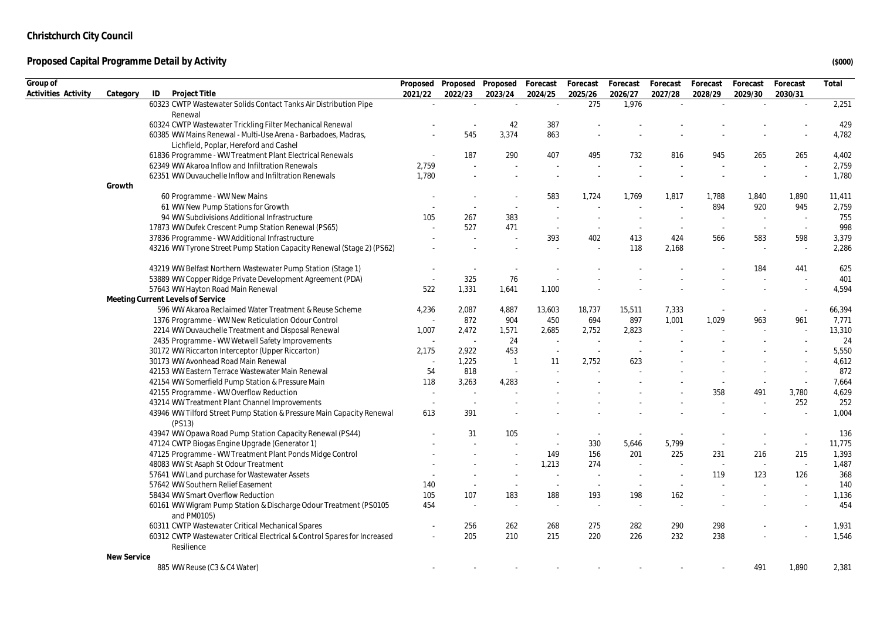| Group of            |             |                                                                                 | Proposed |                          | Proposed Proposed        | Forecast                 | Forecast                 | Forecast | Forecast | Forecast | Forecast | Forecast                 | Total  |
|---------------------|-------------|---------------------------------------------------------------------------------|----------|--------------------------|--------------------------|--------------------------|--------------------------|----------|----------|----------|----------|--------------------------|--------|
| Activities Activity | Category    | Project Title<br>ID                                                             | 2021/22  | 2022/23                  | 2023/24                  | 2024/25                  | 2025/26                  | 2026/27  | 2027/28  | 2028/29  | 2029/30  | 2030/31                  |        |
|                     |             | 60323 CWTP Wastewater Solids Contact Tanks Air Distribution Pipe                |          |                          | $\sim$                   | $\mathcal{L}$            | 275                      | 1,976    |          |          |          |                          | 2,251  |
|                     |             | Renewal                                                                         |          |                          |                          |                          |                          |          |          |          |          |                          |        |
|                     |             | 60324 CWTP Wastewater Trickling Filter Mechanical Renewal                       |          |                          | 42                       | 387                      |                          |          |          |          |          |                          | 429    |
|                     |             | 60385 WW Mains Renewal - Multi-Use Arena - Barbadoes, Madras,                   |          | 545                      | 3,374                    | 863                      |                          |          |          |          |          |                          | 4,782  |
|                     |             | Lichfield, Poplar, Hereford and Cashel                                          |          |                          |                          |                          |                          |          |          |          |          |                          |        |
|                     |             | 61836 Programme - WW Treatment Plant Electrical Renewals                        |          | 187                      | 290                      | 407                      | 495                      | 732      | 816      | 945      | 265      | 265                      | 4,402  |
|                     |             | 62349 WW Akaroa Inflow and Infiltration Renewals                                | 2,759    | ÷.                       |                          |                          |                          |          |          |          |          | $\sim$                   | 2,759  |
|                     |             | 62351 WW Duvauchelle Inflow and Infiltration Renewals                           | 1,780    |                          |                          |                          |                          |          |          |          |          |                          | 1,780  |
|                     | Growth      |                                                                                 |          |                          |                          |                          |                          |          |          |          |          |                          |        |
|                     |             | 60 Programme - WW New Mains                                                     |          |                          |                          | 583                      | 1,724                    | 1,769    | 1,817    | 1,788    | 1,840    | 1,890                    | 11,411 |
|                     |             | 61 WW New Pump Stations for Growth                                              |          |                          |                          |                          |                          |          |          | 894      | 920      | 945                      | 2,759  |
|                     |             | 94 WW Subdivisions Additional Infrastructure                                    | 105      | 267                      | 383                      |                          |                          |          |          |          |          | $\sim$                   | 755    |
|                     |             | 17873 WW Dufek Crescent Pump Station Renewal (PS65)                             |          | 527                      | 471                      | $\overline{\phantom{a}}$ |                          |          |          |          | $\sim$   | $\sim$                   | 998    |
|                     |             | 37836 Programme - WW Additional Infrastructure                                  |          | $\sim$                   |                          | 393                      | 402                      | 413      | 424      | 566      | 583      | 598                      | 3,379  |
|                     |             | 43216 WW Tyrone Street Pump Station Capacity Renewal (Stage 2) (PS62)           |          |                          |                          |                          |                          | 118      | 2,168    |          |          | $\sim$                   | 2,286  |
|                     |             | 43219 WW Belfast Northern Wastewater Pump Station (Stage 1)                     |          | $\overline{\phantom{a}}$ | $\overline{\phantom{a}}$ |                          |                          |          |          |          | 184      | 441                      | 625    |
|                     |             | 53889 WW Copper Ridge Private Development Agreement (PDA)                       |          | 325                      | 76                       |                          |                          |          |          |          |          |                          | 401    |
|                     |             | 57643 WW Hayton Road Main Renewal                                               | 522      | 1,331                    | 1,641                    | 1,100                    |                          |          |          |          |          |                          | 4,594  |
|                     |             | Meeting Current Levels of Service                                               |          |                          |                          |                          |                          |          |          |          |          |                          |        |
|                     |             | 596 WW Akaroa Reclaimed Water Treatment & Reuse Scheme                          | 4,236    | 2,087                    | 4,887                    | 13,603                   | 18,737                   | 15,511   | 7,333    |          |          |                          | 66,394 |
|                     |             | 1376 Programme - WW New Reticulation Odour Control                              |          | 872                      | 904                      | 450                      | 694                      | 897      | 1,001    | 1,029    | 963      | 961                      | 7,771  |
|                     |             | 2214 WW Duvauchelle Treatment and Disposal Renewal                              | 1,007    | 2,472                    | 1,571                    | 2,685                    | 2,752                    | 2,823    |          |          |          |                          | 13,310 |
|                     |             | 2435 Programme - WW Wetwell Safety Improvements                                 |          | $\sim$                   | 24                       |                          |                          |          |          |          |          |                          | 24     |
|                     |             | 30172 WW Riccarton Interceptor (Upper Riccarton)                                | 2,175    | 2,922                    | 453                      | $\sim$                   |                          |          |          |          |          |                          | 5,550  |
|                     |             | 30173 WW Avonhead Road Main Renewal                                             |          | 1,225                    | $\overline{1}$           | 11                       | 2,752                    | 623      |          |          |          |                          | 4,612  |
|                     |             | 42153 WW Eastern Terrace Wastewater Main Renewal                                | 54       | 818                      | $\sim$                   |                          |                          |          |          |          |          |                          | 872    |
|                     |             | 42154 WW Somerfield Pump Station & Pressure Main                                | 118      | 3,263                    | 4,283                    |                          |                          |          |          |          |          | $\overline{\phantom{a}}$ | 7,664  |
|                     |             | 42155 Programme - WW Overflow Reduction                                         | $\sim$   | $\sim$                   |                          |                          |                          |          |          | 358      | 491      | 3,780                    | 4,629  |
|                     |             | 43214 WW Treatment Plant Channel Improvements                                   | $\sim$   | $\sim$                   |                          |                          |                          |          |          |          |          | 252                      | 252    |
|                     |             | 43946 WW Tilford Street Pump Station & Pressure Main Capacity Renewal           | 613      | 391                      |                          |                          |                          |          |          |          |          |                          | 1,004  |
|                     |             | (PS13)                                                                          |          |                          |                          |                          |                          |          |          |          |          |                          |        |
|                     |             | 43947 WW Opawa Road Pump Station Capacity Renewal (PS44)                        |          | 31                       | 105                      |                          | ٠.                       |          |          |          |          | $\sim$                   | 136    |
|                     |             | 47124 CWTP Biogas Engine Upgrade (Generator 1)                                  |          |                          |                          | $\sim$                   | 330                      | 5,646    | 5,799    |          |          | $\sim$                   | 11,775 |
|                     |             | 47125 Programme - WW Treatment Plant Ponds Midge Control                        |          |                          |                          | 149                      | 156                      | 201      | 225      | 231      | 216      | 215                      | 1,393  |
|                     |             | 48083 WW St Asaph St Odour Treatment                                            |          |                          |                          | 1,213                    | 274                      |          |          |          | $\sim$   | $\sim$                   | 1,487  |
|                     |             | 57641 WW Land purchase for Wastewater Assets                                    |          |                          | $\sim$                   | $\sim$                   |                          |          |          | 119      | 123      | 126                      | 368    |
|                     |             | 57642 WW Southern Relief Easement                                               | 140      | $\sim$                   | $\sim$                   | $\sim$                   | $\overline{\phantom{a}}$ |          |          |          |          |                          | 140    |
|                     |             | 58434 WW Smart Overflow Reduction                                               | 105      | 107                      | 183                      | 188                      | 193                      | 198      | 162      |          |          | $\sim$                   | 1,136  |
|                     |             | 60161 WW Wigram Pump Station & Discharge Odour Treatment (PS0105<br>and PM0105) | 454      | $\overline{\phantom{a}}$ | $\sim$                   | $\sim$                   | $\sim$                   | $\sim$   |          |          |          |                          | 454    |
|                     |             | 60311 CWTP Wastewater Critical Mechanical Spares                                |          | 256                      | 262                      | 268                      | 275                      | 282      | 290      | 298      |          |                          | 1,931  |
|                     |             | 60312 CWTP Wastewater Critical Electrical & Control Spares for Increased        |          | 205                      | 210                      | 215                      | 220                      | 226      | 232      | 238      |          |                          | 1,546  |
|                     |             | Resilience                                                                      |          |                          |                          |                          |                          |          |          |          |          |                          |        |
|                     | New Service |                                                                                 |          |                          |                          |                          |                          |          |          |          |          |                          |        |
|                     |             | 885 WW Reuse (C3 & C4 Water)                                                    |          |                          |                          |                          |                          |          |          |          | 491      | 1.890                    | 2,381  |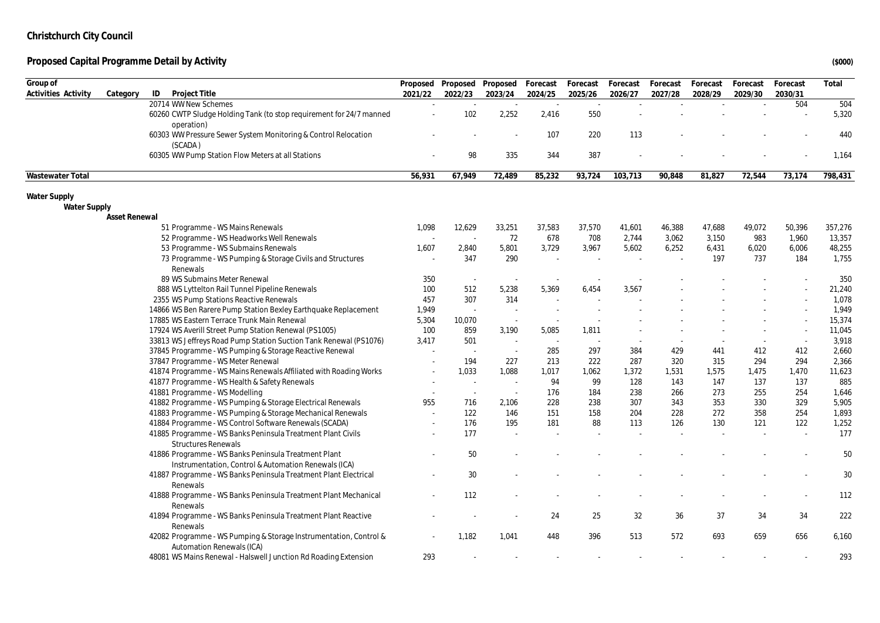| Group of                                   |                                                                                             |         | Proposed Proposed Proposed Forecast |                          |                 | Forecast      | Forecast | Forecast | Forecast | Forecast | Forecast | Total        |
|--------------------------------------------|---------------------------------------------------------------------------------------------|---------|-------------------------------------|--------------------------|-----------------|---------------|----------|----------|----------|----------|----------|--------------|
| Activities Activity                        | ID<br>Project Title<br>Category                                                             | 2021/22 | 2022/23                             | 2023/24                  | 2024/25         | 2025/26       | 2026/27  | 2027/28  | 2028/29  | 2029/30  | 2030/31  |              |
|                                            | 20714 WW New Schemes<br>60260 CWTP Sludge Holding Tank (to stop requirement for 24/7 manned |         | $\sim$<br>102                       | $\sim$<br>2,252          | $\sim$<br>2,416 | $\sim$<br>550 |          |          |          |          | 504      | 504<br>5,320 |
|                                            | operation)<br>60303 WW Pressure Sewer System Monitoring & Control Relocation                |         |                                     |                          | 107             | 220           | 113      |          |          |          |          | 440          |
|                                            | (SCADA)<br>60305 WW Pump Station Flow Meters at all Stations                                |         | 98                                  | 335                      | 344             | 387           |          |          |          |          |          | 1,164        |
|                                            |                                                                                             |         |                                     |                          |                 |               |          |          |          |          |          |              |
| Wastewater Total                           |                                                                                             | 56,931  | 67.949                              | 72,489                   | 85,232          | 93,724        | 103,713  | 90,848   | 81,827   | 72,544   | 73,174   | 798,431      |
| <b>Water Supply</b><br><b>Water Supply</b> |                                                                                             |         |                                     |                          |                 |               |          |          |          |          |          |              |
|                                            | Asset Renewal                                                                               |         |                                     |                          |                 |               |          |          |          |          |          |              |
|                                            | 51 Programme - WS Mains Renewals                                                            | 1,098   | 12,629                              | 33,251                   | 37,583          | 37,570        | 41,601   | 46,388   | 47,688   | 49,072   | 50,396   | 357,276      |
|                                            | 52 Programme - WS Headworks Well Renewals                                                   |         |                                     | 72                       | 678             | 708           | 2,744    | 3,062    | 3,150    | 983      | 1,960    | 13,357       |
|                                            | 53 Programme - WS Submains Renewals                                                         | 1,607   | 2,840                               | 5,801                    | 3,729           | 3,967         | 5,602    | 6,252    | 6,431    | 6,020    | 6,006    | 48,255       |
|                                            | 73 Programme - WS Pumping & Storage Civils and Structures                                   |         | 347                                 | 290                      |                 |               |          |          | 197      | 737      | 184      | 1,755        |
|                                            | Renewals                                                                                    |         |                                     |                          |                 |               |          |          |          |          |          |              |
|                                            | 89 WS Submains Meter Renewal                                                                | 350     | $\sim$                              | $\overline{\phantom{a}}$ |                 |               |          |          |          |          |          | 350          |
|                                            | 888 WS Lyttelton Rail Tunnel Pipeline Renewals                                              | 100     | 512                                 | 5,238                    | 5,369           | 6,454         | 3,567    |          |          |          |          | 21,240       |
|                                            | 2355 WS Pump Stations Reactive Renewals                                                     | 457     | 307                                 | 314                      |                 |               |          |          |          |          |          | 1,078        |
|                                            | 14866 WS Ben Rarere Pump Station Bexley Earthquake Replacement                              | 1,949   | $\sim$                              |                          |                 |               |          |          |          |          |          | 1,949        |
|                                            | 17885 WS Eastern Terrace Trunk Main Renewal                                                 | 5,304   | 10,070                              | $\sim$                   |                 |               |          |          |          |          |          | 15,374       |
|                                            | 17924 WS Averill Street Pump Station Renewal (PS1005)                                       | 100     | 859                                 | 3,190                    | 5,085           | 1,811         |          |          |          |          |          | 11,045       |
|                                            | 33813 WS Jeffreys Road Pump Station Suction Tank Renewal (PS1076)                           | 3,417   | 501                                 | $\sim$                   | $\sim$          |               |          |          |          |          | $\sim$   | 3,918        |
|                                            | 37845 Programme - WS Pumping & Storage Reactive Renewal                                     |         | $\sim$                              | $\sim$                   | 285             | 297           | 384      | 429      | 441      | 412      | 412      | 2,660        |
|                                            | 37847 Programme - WS Meter Renewal                                                          |         | 194                                 | 227                      | 213             | 222           | 287      | 320      | 315      | 294      | 294      | 2,366        |
|                                            | 41874 Programme - WS Mains Renewals Affiliated with Roading Works                           |         | 1,033                               | 1,088                    | 1,017           | 1,062         | 1,372    | 1,531    | 1,575    | 1,475    | 1,470    | 11,623       |
|                                            | 41877 Programme - WS Health & Safety Renewals                                               |         |                                     | $\sim$                   | 94              | 99            | 128      | 143      | 147      | 137      | 137      | 885          |
|                                            | 41881 Programme - WS Modelling                                                              |         | $\sim$                              | $\sim$                   | 176             | 184           | 238      | 266      | 273      | 255      | 254      | 1,646        |
|                                            | 41882 Programme - WS Pumping & Storage Electrical Renewals                                  | 955     | 716                                 | 2,106                    | 228             | 238           | 307      | 343      | 353      | 330      | 329      | 5,905        |
|                                            | 41883 Programme - WS Pumping & Storage Mechanical Renewals                                  |         | 122                                 | 146                      | 151             | 158           | 204      | 228      | 272      | 358      | 254      | 1,893        |
|                                            | 41884 Programme - WS Control Software Renewals (SCADA)                                      |         | 176                                 | 195                      | 181             | 88            | 113      | 126      | 130      | 121      | 122      | 1,252        |
|                                            | 41885 Programme - WS Banks Peninsula Treatment Plant Civils                                 |         | 177                                 |                          |                 |               |          |          |          |          |          | 177          |
|                                            | <b>Structures Renewals</b>                                                                  |         |                                     |                          |                 |               |          |          |          |          |          |              |
|                                            | 41886 Programme - WS Banks Peninsula Treatment Plant                                        |         | 50                                  |                          |                 |               |          |          |          |          |          | 50           |
|                                            | Instrumentation, Control & Automation Renewals (ICA)                                        |         |                                     |                          |                 |               |          |          |          |          |          |              |
|                                            | 41887 Programme - WS Banks Peninsula Treatment Plant Electrical                             |         | 30                                  |                          |                 |               |          |          |          |          |          | 30           |
|                                            | Renewals                                                                                    |         |                                     |                          |                 |               |          |          |          |          |          |              |
|                                            | 41888 Programme - WS Banks Peninsula Treatment Plant Mechanical                             |         | 112                                 |                          |                 |               |          |          |          |          |          | 112          |
|                                            | Renewals                                                                                    |         |                                     |                          |                 |               |          |          |          |          |          |              |
|                                            | 41894 Programme - WS Banks Peninsula Treatment Plant Reactive                               |         |                                     |                          | 24              | 25            | 32       | 36       | 37       | 34       | 34       | 222          |
|                                            | Renewals<br>42082 Programme - WS Pumping & Storage Instrumentation, Control &               |         | 1,182                               | 1,041                    | 448             | 396           | 513      | 572      | 693      | 659      | 656      | 6,160        |
|                                            | Automation Renewals (ICA)                                                                   |         |                                     |                          |                 |               |          |          |          |          |          |              |
|                                            | 48081 WS Mains Renewal - Halswell Junction Rd Roading Extension                             | 293     |                                     |                          |                 |               |          |          |          |          |          | 293          |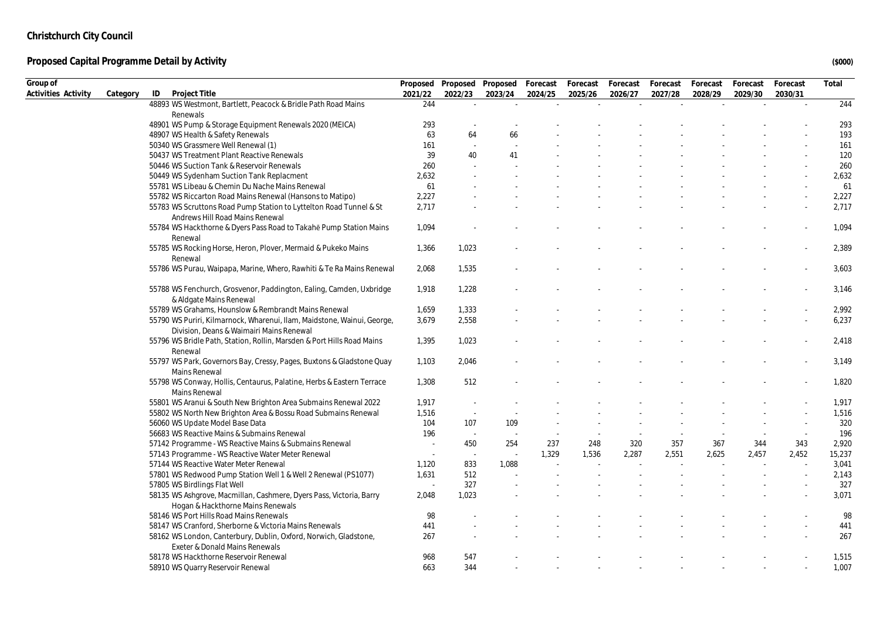| Group of            |          |                                                                                                                     |         | Proposed Proposed        | Proposed Forecast |         | Forecast | Forecast | Forecast | Forecast | Forecast | Forecast | Total  |
|---------------------|----------|---------------------------------------------------------------------------------------------------------------------|---------|--------------------------|-------------------|---------|----------|----------|----------|----------|----------|----------|--------|
| Activities Activity | Category | ID<br>Project Title                                                                                                 | 2021/22 | 2022/23                  | 2023/24           | 2024/25 | 2025/26  | 2026/27  | 2027/28  | 2028/29  | 2029/30  | 2030/31  |        |
|                     |          | 48893 WS Westmont, Bartlett, Peacock & Bridle Path Road Mains                                                       | 244     | ÷                        | $\sim$            |         |          |          |          |          |          |          | 244    |
|                     |          | Renewals                                                                                                            |         |                          |                   |         |          |          |          |          |          |          |        |
|                     |          | 48901 WS Pump & Storage Equipment Renewals 2020 (MEICA)                                                             | 293     |                          |                   |         |          |          |          |          |          |          | 293    |
|                     |          | 48907 WS Health & Safety Renewals                                                                                   | 63      | 64                       | 66                |         |          |          |          |          |          |          | 193    |
|                     |          | 50340 WS Grassmere Well Renewal (1)                                                                                 | 161     | $\overline{\phantom{a}}$ |                   |         |          |          |          |          |          |          | 161    |
|                     |          | 50437 WS Treatment Plant Reactive Renewals                                                                          | 39      | 40                       | 41                |         |          |          |          |          |          |          | 120    |
|                     |          | 50446 WS Suction Tank & Reservoir Renewals                                                                          | 260     |                          |                   |         |          |          |          |          |          |          | 260    |
|                     |          | 50449 WS Sydenham Suction Tank Replacment                                                                           | 2,632   |                          |                   |         |          |          |          |          |          |          | 2,632  |
|                     |          | 55781 WS Libeau & Chemin Du Nache Mains Renewal                                                                     | 61      |                          |                   |         |          |          |          |          |          |          | 61     |
|                     |          | 55782 WS Riccarton Road Mains Renewal (Hansons to Matipo)                                                           | 2,227   |                          |                   |         |          |          |          |          |          |          | 2,227  |
|                     |          | 55783 WS Scruttons Road Pump Station to Lyttelton Road Tunnel & St<br>Andrews Hill Road Mains Renewal               | 2,717   |                          |                   |         |          |          |          |          |          |          | 2,717  |
|                     |          | 55784 WS Hackthorne & Dyers Pass Road to Takahē Pump Station Mains<br>Renewal                                       | 1,094   |                          |                   |         |          |          |          |          |          |          | 1,094  |
|                     |          | 55785 WS Rocking Horse, Heron, Plover, Mermaid & Pukeko Mains<br>Renewal                                            | 1,366   | 1,023                    |                   |         |          |          |          |          |          |          | 2,389  |
|                     |          | 55786 WS Purau, Waipapa, Marine, Whero, Rawhiti & Te Ra Mains Renewal                                               | 2,068   | 1,535                    |                   |         |          |          |          |          |          |          | 3,603  |
|                     |          | 55788 WS Fenchurch, Grosvenor, Paddington, Ealing, Camden, Uxbridge<br>& Aldgate Mains Renewal                      | 1,918   | 1,228                    |                   |         |          |          |          |          |          |          | 3,146  |
|                     |          | 55789 WS Grahams, Hounslow & Rembrandt Mains Renewal                                                                | 1,659   | 1,333                    |                   |         |          |          |          |          |          |          | 2,992  |
|                     |          | 55790 WS Puriri, Kilmarnock, Wharenui, Ilam, Maidstone, Wainui, George,<br>Division, Deans & Waimairi Mains Renewal | 3,679   | 2,558                    |                   |         |          |          |          |          |          |          | 6,237  |
|                     |          | 55796 WS Bridle Path, Station, Rollin, Marsden & Port Hills Road Mains<br>Renewal                                   | 1,395   | 1,023                    |                   |         |          |          |          |          |          |          | 2,418  |
|                     |          | 55797 WS Park, Governors Bay, Cressy, Pages, Buxtons & Gladstone Quay<br>Mains Renewal                              | 1,103   | 2,046                    |                   |         |          |          |          |          |          |          | 3,149  |
|                     |          | 55798 WS Conway, Hollis, Centaurus, Palatine, Herbs & Eastern Terrace<br>Mains Renewal                              | 1,308   | 512                      |                   |         |          |          |          |          |          |          | 1,820  |
|                     |          | 55801 WS Aranui & South New Brighton Area Submains Renewal 2022                                                     | 1,917   |                          |                   |         |          |          |          |          |          |          | 1,917  |
|                     |          | 55802 WS North New Brighton Area & Bossu Road Submains Renewal                                                      | 1,516   | $\sim$                   |                   |         |          |          |          |          |          |          | 1,516  |
|                     |          | 56060 WS Update Model Base Data                                                                                     | 104     | 107                      | 109               |         |          |          |          |          |          |          | 320    |
|                     |          | 56683 WS Reactive Mains & Submains Renewal                                                                          | 196     | $\sim$                   | $\sim$            |         |          |          |          |          |          |          | 196    |
|                     |          | 57142 Programme - WS Reactive Mains & Submains Renewal                                                              | $\sim$  | 450                      | 254               | 237     | 248      | 320      | 357      | 367      | 344      | 343      | 2,920  |
|                     |          | 57143 Programme - WS Reactive Water Meter Renewal                                                                   | $\sim$  | $\sim$                   | $\sim$            | 1,329   | 1,536    | 2,287    | 2,551    | 2,625    | 2,457    | 2,452    | 15,237 |
|                     |          | 57144 WS Reactive Water Meter Renewal                                                                               | 1,120   | 833                      | 1,088             |         |          |          |          |          |          |          | 3,041  |
|                     |          | 57801 WS Redwood Pump Station Well 1 & Well 2 Renewal (PS1077)                                                      | 1,631   | 512                      |                   |         |          |          |          |          |          |          | 2,143  |
|                     |          | 57805 WS Birdlings Flat Well                                                                                        |         | 327                      |                   |         |          |          |          |          |          |          | 327    |
|                     |          | 58135 WS Ashgrove, Macmillan, Cashmere, Dyers Pass, Victoria, Barry<br>Hogan & Hackthorne Mains Renewals            | 2,048   | 1,023                    |                   |         |          |          |          |          |          |          | 3,071  |
|                     |          | 58146 WS Port Hills Road Mains Renewals                                                                             | 98      |                          |                   |         |          |          |          |          |          |          | 98     |
|                     |          | 58147 WS Cranford, Sherborne & Victoria Mains Renewals                                                              | 441     |                          |                   |         |          |          |          |          |          |          | 441    |
|                     |          | 58162 WS London, Canterbury, Dublin, Oxford, Norwich, Gladstone,                                                    | 267     |                          |                   |         |          |          |          |          |          |          | 267    |
|                     |          | Exeter & Donald Mains Renewals                                                                                      |         |                          |                   |         |          |          |          |          |          |          |        |
|                     |          | 58178 WS Hackthorne Reservoir Renewal                                                                               | 968     | 547                      |                   |         |          |          |          |          |          |          | 1,515  |
|                     |          | 58910 WS Quarry Reservoir Renewal                                                                                   | 663     | 344                      |                   |         |          |          |          |          |          |          | 1,007  |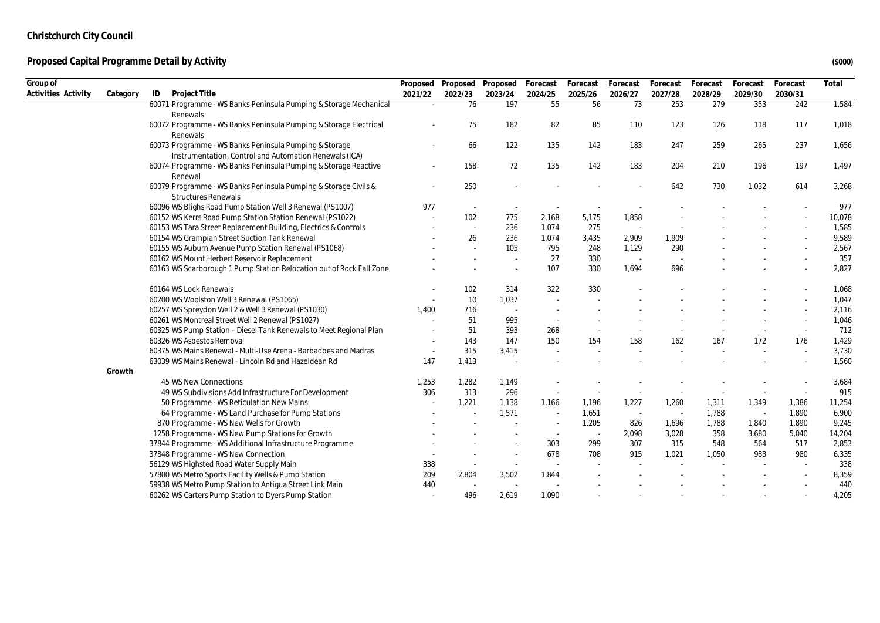| Group of            |          |                                                                      | Proposed | Proposed                 | Proposed | Forecast | Forecast | Forecast | Forecast | Forecast | Forecast | Forecast | Total  |
|---------------------|----------|----------------------------------------------------------------------|----------|--------------------------|----------|----------|----------|----------|----------|----------|----------|----------|--------|
| Activities Activity | Category | Project Title<br>ID                                                  | 2021/22  | 2022/23                  | 2023/24  | 2024/25  | 2025/26  | 2026/27  | 2027/28  | 2028/29  | 2029/30  | 2030/31  |        |
|                     |          | 60071 Programme - WS Banks Peninsula Pumping & Storage Mechanical    |          | 76                       | 197      | 55       | 56       | 73       | 253      | 279      | 353      | 242      | 1,584  |
|                     |          | Renewals                                                             |          |                          |          |          |          |          |          |          |          |          |        |
|                     |          | 60072 Programme - WS Banks Peninsula Pumping & Storage Electrical    |          | 75                       | 182      | 82       | 85       | 110      | 123      | 126      | 118      | 117      | 1,018  |
|                     |          | Renewals                                                             |          |                          |          |          |          |          |          |          |          |          |        |
|                     |          | 60073 Programme - WS Banks Peninsula Pumping & Storage               |          | 66                       | 122      | 135      | 142      | 183      | 247      | 259      | 265      | 237      | 1,656  |
|                     |          | Instrumentation, Control and Automation Renewals (ICA)               |          |                          |          |          |          |          |          |          |          |          |        |
|                     |          | 60074 Programme - WS Banks Peninsula Pumping & Storage Reactive      |          | 158                      | 72       | 135      | 142      | 183      | 204      | 210      | 196      | 197      | 1,497  |
|                     |          | Renewal                                                              |          |                          |          |          |          |          |          |          |          |          |        |
|                     |          | 60079 Programme - WS Banks Peninsula Pumping & Storage Civils &      |          | 250                      |          |          |          |          | 642      | 730      | 1,032    | 614      | 3,268  |
|                     |          | <b>Structures Renewals</b>                                           |          |                          |          |          |          |          |          |          |          |          |        |
|                     |          | 60096 WS Blighs Road Pump Station Well 3 Renewal (PS1007)            | 977      | $\sim$                   |          |          |          |          |          |          |          |          | 977    |
|                     |          | 60152 WS Kerrs Road Pump Station Station Renewal (PS1022)            |          | 102                      | 775      | 2,168    | 5,175    | 1,858    |          |          |          |          | 10,078 |
|                     |          | 60153 WS Tara Street Replacement Building, Electrics & Controls      |          | $\sim$                   | 236      | 1,074    | 275      | $\sim$   |          |          |          |          | 1,585  |
|                     |          | 60154 WS Grampian Street Suction Tank Renewal                        |          | 26                       | 236      | 1,074    | 3,435    | 2,909    | 1,909    |          |          |          | 9,589  |
|                     |          | 60155 WS Auburn Avenue Pump Station Renewal (PS1068)                 |          |                          | 105      | 795      | 248      | 1,129    | 290      |          |          | $\sim$   | 2,567  |
|                     |          | 60162 WS Mount Herbert Reservoir Replacement                         |          |                          | $\sim$   | 27       | 330      | $\sim$   |          |          |          |          | 357    |
|                     |          | 60163 WS Scarborough 1 Pump Station Relocation out of Rock Fall Zone |          |                          |          | 107      | 330      | 1,694    | 696      |          |          |          | 2,827  |
|                     |          | 60164 WS Lock Renewals                                               |          | 102                      | 314      | 322      | 330      |          |          |          |          |          | 1,068  |
|                     |          | 60200 WS Woolston Well 3 Renewal (PS1065)                            |          | 10                       | 1,037    |          |          |          |          |          |          |          | 1,047  |
|                     |          | 60257 WS Spreydon Well 2 & Well 3 Renewal (PS1030)                   | 1,400    | 716                      |          |          |          |          |          |          |          |          | 2,116  |
|                     |          | 60261 WS Montreal Street Well 2 Renewal (PS1027)                     |          | 51                       | 995      |          |          |          |          |          |          |          | 1,046  |
|                     |          | 60325 WS Pump Station - Diesel Tank Renewals to Meet Regional Plan   |          | 51                       | 393      | 268      |          |          |          |          |          | $\sim$   | 712    |
|                     |          | 60326 WS Asbestos Removal                                            |          | 143                      | 147      | 150      | 154      | 158      | 162      | 167      | 172      | 176      | 1,429  |
|                     |          | 60375 WS Mains Renewal - Multi-Use Arena - Barbadoes and Madras      |          | 315                      | 3,415    |          |          |          |          |          |          | $\sim$   | 3,730  |
|                     |          | 63039 WS Mains Renewal - Lincoln Rd and Hazeldean Rd                 | 147      | 1,413                    |          |          |          |          |          |          |          |          | 1,560  |
|                     | Growth   |                                                                      |          |                          |          |          |          |          |          |          |          |          |        |
|                     |          | 45 WS New Connections                                                | 1,253    | 1,282                    | 1,149    |          |          |          |          |          |          |          | 3,684  |
|                     |          | 49 WS Subdivisions Add Infrastructure For Development                | 306      | 313                      | 296      | $\sim$   |          |          |          |          |          | $\sim$   | 915    |
|                     |          | 50 Programme - WS Reticulation New Mains                             |          | 1,221                    | 1,138    | 1,166    | 1,196    | 1,227    | 1,260    | 1,311    | 1,349    | 1,386    | 11,254 |
|                     |          | 64 Programme - WS Land Purchase for Pump Stations                    |          |                          | 1,571    | $\sim$   | 1,651    | $\sim$   | $\sim$   | 1,788    | $\sim$   | 1,890    | 6,900  |
|                     |          | 870 Programme - WS New Wells for Growth                              |          |                          |          |          | 1,205    | 826      | 1,696    | 1,788    | 1,840    | 1,890    | 9,245  |
|                     |          | 1258 Programme - WS New Pump Stations for Growth                     |          |                          |          | $\sim$   | $\sim$   | 2,098    | 3,028    | 358      | 3,680    | 5,040    | 14,204 |
|                     |          | 37844 Programme - WS Additional Infrastructure Programme             |          |                          |          | 303      | 299      | 307      | 315      | 548      | 564      | 517      | 2,853  |
|                     |          | 37848 Programme - WS New Connection                                  |          |                          |          | 678      | 708      | 915      | 1,021    | 1,050    | 983      | 980      | 6,335  |
|                     |          | 56129 WS Highsted Road Water Supply Main                             | 338      | $\overline{\phantom{a}}$ | $\sim$   | $\sim$   |          |          |          |          |          | $\sim$   | 338    |
|                     |          | 57800 WS Metro Sports Facility Wells & Pump Station                  | 209      | 2,804                    | 3,502    | 1,844    |          |          |          |          |          |          | 8,359  |
|                     |          | 59938 WS Metro Pump Station to Antiqua Street Link Main              | 440      |                          |          |          |          |          |          |          |          |          | 440    |
|                     |          | 60262 WS Carters Pump Station to Dyers Pump Station                  |          | 496                      | 2,619    | 1,090    |          |          |          |          |          |          | 4,205  |